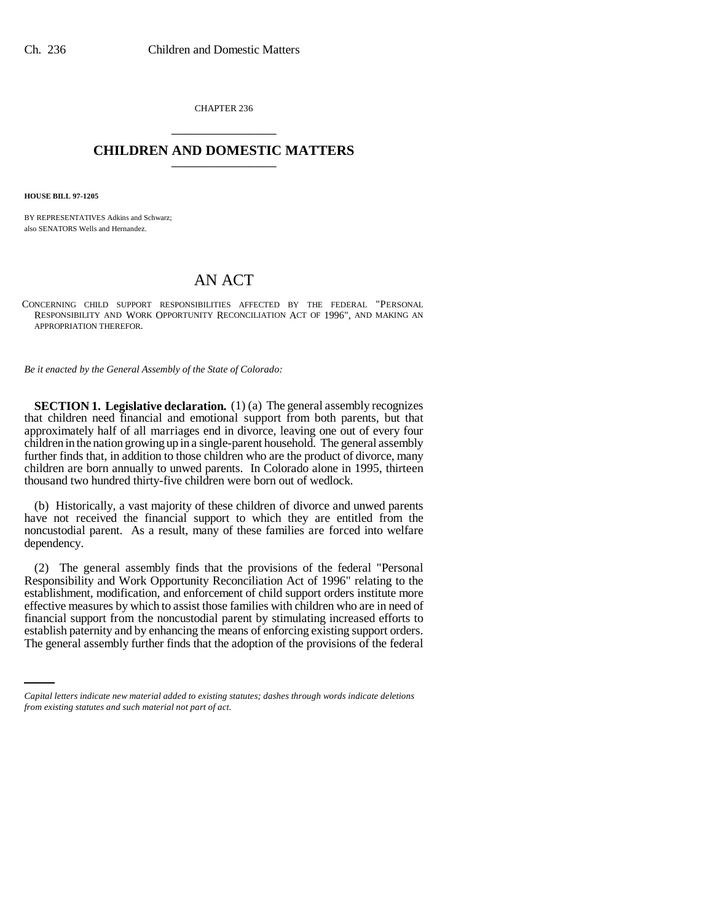CHAPTER 236 \_\_\_\_\_\_\_\_\_\_\_\_\_\_\_

# **CHILDREN AND DOMESTIC MATTERS** \_\_\_\_\_\_\_\_\_\_\_\_\_\_\_

**HOUSE BILL 97-1205**

BY REPRESENTATIVES Adkins and Schwarz; also SENATORS Wells and Hernandez.

# AN ACT

CONCERNING CHILD SUPPORT RESPONSIBILITIES AFFECTED BY THE FEDERAL "PERSONAL RESPONSIBILITY AND WORK OPPORTUNITY RECONCILIATION ACT OF 1996", AND MAKING AN APPROPRIATION THEREFOR.

*Be it enacted by the General Assembly of the State of Colorado:*

**SECTION 1. Legislative declaration.** (1) (a) The general assembly recognizes that children need financial and emotional support from both parents, but that approximately half of all marriages end in divorce, leaving one out of every four children in the nation growing up in a single-parent household. The general assembly further finds that, in addition to those children who are the product of divorce, many children are born annually to unwed parents. In Colorado alone in 1995, thirteen thousand two hundred thirty-five children were born out of wedlock.

(b) Historically, a vast majority of these children of divorce and unwed parents have not received the financial support to which they are entitled from the noncustodial parent. As a result, many of these families are forced into welfare dependency.

financial support from the noncustodial parent by stimulating increased efforts to (2) The general assembly finds that the provisions of the federal "Personal Responsibility and Work Opportunity Reconciliation Act of 1996" relating to the establishment, modification, and enforcement of child support orders institute more effective measures by which to assist those families with children who are in need of establish paternity and by enhancing the means of enforcing existing support orders. The general assembly further finds that the adoption of the provisions of the federal

*Capital letters indicate new material added to existing statutes; dashes through words indicate deletions from existing statutes and such material not part of act.*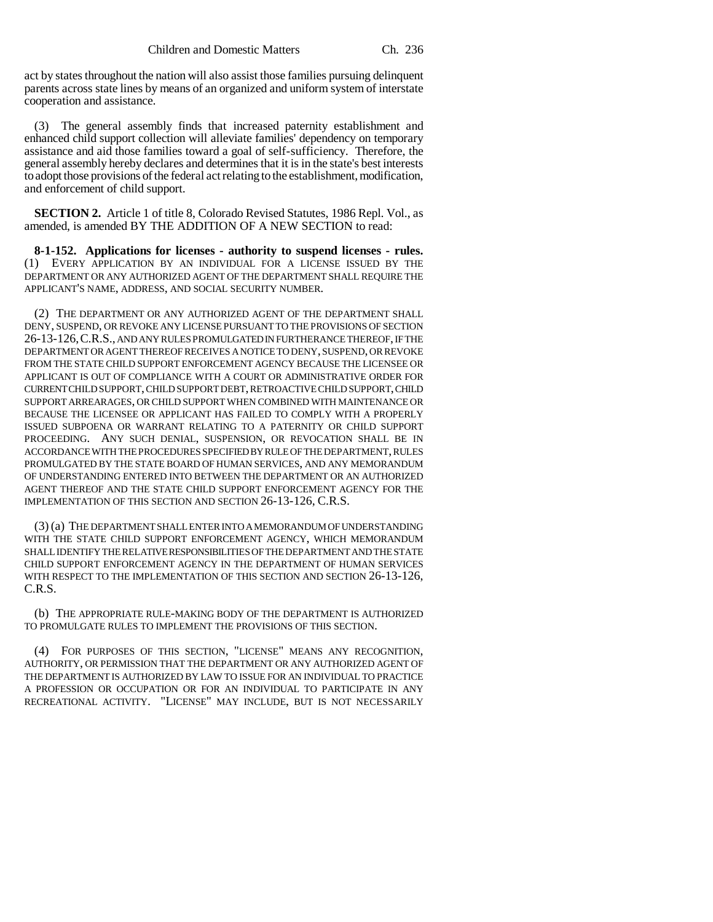act by states throughout the nation will also assist those families pursuing delinquent parents across state lines by means of an organized and uniform system of interstate cooperation and assistance.

(3) The general assembly finds that increased paternity establishment and enhanced child support collection will alleviate families' dependency on temporary assistance and aid those families toward a goal of self-sufficiency. Therefore, the general assembly hereby declares and determines that it is in the state's best interests to adopt those provisions of the federal act relating to the establishment, modification, and enforcement of child support.

**SECTION 2.** Article 1 of title 8, Colorado Revised Statutes, 1986 Repl. Vol., as amended, is amended BY THE ADDITION OF A NEW SECTION to read:

**8-1-152. Applications for licenses - authority to suspend licenses - rules.** (1) EVERY APPLICATION BY AN INDIVIDUAL FOR A LICENSE ISSUED BY THE DEPARTMENT OR ANY AUTHORIZED AGENT OF THE DEPARTMENT SHALL REQUIRE THE APPLICANT'S NAME, ADDRESS, AND SOCIAL SECURITY NUMBER.

(2) THE DEPARTMENT OR ANY AUTHORIZED AGENT OF THE DEPARTMENT SHALL DENY, SUSPEND, OR REVOKE ANY LICENSE PURSUANT TO THE PROVISIONS OF SECTION 26-13-126,C.R.S., AND ANY RULES PROMULGATED IN FURTHERANCE THEREOF, IF THE DEPARTMENT OR AGENT THEREOF RECEIVES A NOTICE TO DENY, SUSPEND, OR REVOKE FROM THE STATE CHILD SUPPORT ENFORCEMENT AGENCY BECAUSE THE LICENSEE OR APPLICANT IS OUT OF COMPLIANCE WITH A COURT OR ADMINISTRATIVE ORDER FOR CURRENT CHILD SUPPORT, CHILD SUPPORT DEBT, RETROACTIVE CHILD SUPPORT, CHILD SUPPORT ARREARAGES, OR CHILD SUPPORT WHEN COMBINED WITH MAINTENANCE OR BECAUSE THE LICENSEE OR APPLICANT HAS FAILED TO COMPLY WITH A PROPERLY ISSUED SUBPOENA OR WARRANT RELATING TO A PATERNITY OR CHILD SUPPORT PROCEEDING. ANY SUCH DENIAL, SUSPENSION, OR REVOCATION SHALL BE IN ACCORDANCE WITH THE PROCEDURES SPECIFIED BY RULE OF THE DEPARTMENT, RULES PROMULGATED BY THE STATE BOARD OF HUMAN SERVICES, AND ANY MEMORANDUM OF UNDERSTANDING ENTERED INTO BETWEEN THE DEPARTMENT OR AN AUTHORIZED AGENT THEREOF AND THE STATE CHILD SUPPORT ENFORCEMENT AGENCY FOR THE IMPLEMENTATION OF THIS SECTION AND SECTION 26-13-126, C.R.S.

(3) (a) THE DEPARTMENT SHALL ENTER INTO A MEMORANDUM OF UNDERSTANDING WITH THE STATE CHILD SUPPORT ENFORCEMENT AGENCY, WHICH MEMORANDUM SHALL IDENTIFY THE RELATIVE RESPONSIBILITIES OF THE DEPARTMENT AND THE STATE CHILD SUPPORT ENFORCEMENT AGENCY IN THE DEPARTMENT OF HUMAN SERVICES WITH RESPECT TO THE IMPLEMENTATION OF THIS SECTION AND SECTION 26-13-126, C.R.S.

(b) THE APPROPRIATE RULE-MAKING BODY OF THE DEPARTMENT IS AUTHORIZED TO PROMULGATE RULES TO IMPLEMENT THE PROVISIONS OF THIS SECTION.

(4) FOR PURPOSES OF THIS SECTION, "LICENSE" MEANS ANY RECOGNITION, AUTHORITY, OR PERMISSION THAT THE DEPARTMENT OR ANY AUTHORIZED AGENT OF THE DEPARTMENT IS AUTHORIZED BY LAW TO ISSUE FOR AN INDIVIDUAL TO PRACTICE A PROFESSION OR OCCUPATION OR FOR AN INDIVIDUAL TO PARTICIPATE IN ANY RECREATIONAL ACTIVITY. "LICENSE" MAY INCLUDE, BUT IS NOT NECESSARILY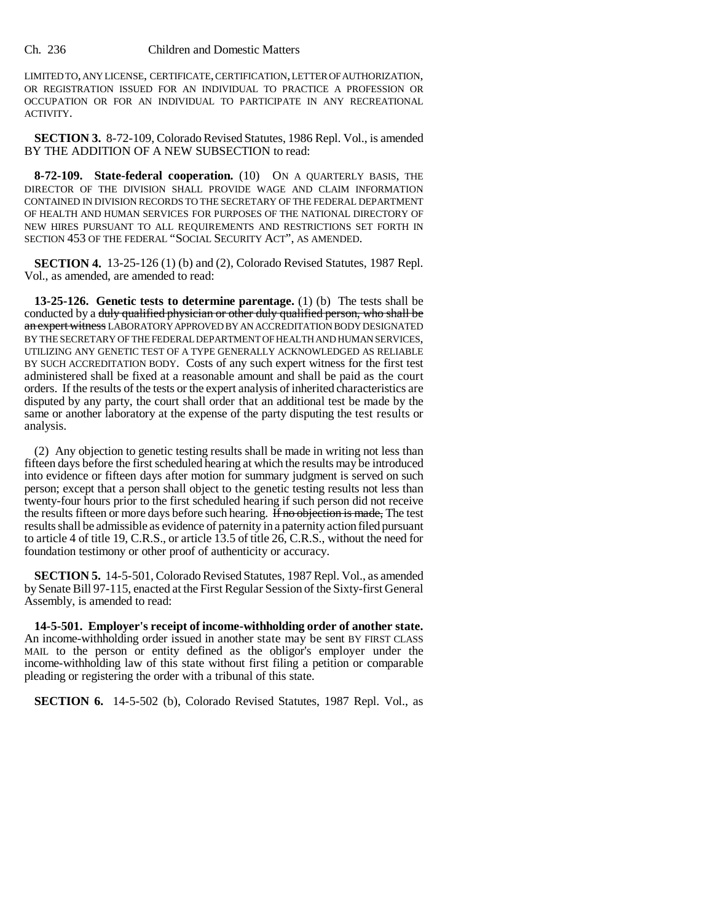LIMITED TO, ANY LICENSE, CERTIFICATE, CERTIFICATION, LETTER OF AUTHORIZATION, OR REGISTRATION ISSUED FOR AN INDIVIDUAL TO PRACTICE A PROFESSION OR OCCUPATION OR FOR AN INDIVIDUAL TO PARTICIPATE IN ANY RECREATIONAL ACTIVITY.

**SECTION 3.** 8-72-109, Colorado Revised Statutes, 1986 Repl. Vol., is amended BY THE ADDITION OF A NEW SUBSECTION to read:

**8-72-109. State-federal cooperation.** (10) ON A QUARTERLY BASIS, THE DIRECTOR OF THE DIVISION SHALL PROVIDE WAGE AND CLAIM INFORMATION CONTAINED IN DIVISION RECORDS TO THE SECRETARY OF THE FEDERAL DEPARTMENT OF HEALTH AND HUMAN SERVICES FOR PURPOSES OF THE NATIONAL DIRECTORY OF NEW HIRES PURSUANT TO ALL REQUIREMENTS AND RESTRICTIONS SET FORTH IN SECTION 453 OF THE FEDERAL "SOCIAL SECURITY ACT", AS AMENDED.

**SECTION 4.** 13-25-126 (1) (b) and (2), Colorado Revised Statutes, 1987 Repl. Vol., as amended, are amended to read:

**13-25-126. Genetic tests to determine parentage.** (1) (b) The tests shall be conducted by a duly qualified physician or other duly qualified person, who shall be an expert witness LABORATORY APPROVED BY AN ACCREDITATION BODY DESIGNATED BY THE SECRETARY OF THE FEDERAL DEPARTMENT OF HEALTH AND HUMAN SERVICES, UTILIZING ANY GENETIC TEST OF A TYPE GENERALLY ACKNOWLEDGED AS RELIABLE BY SUCH ACCREDITATION BODY. Costs of any such expert witness for the first test administered shall be fixed at a reasonable amount and shall be paid as the court orders. If the results of the tests or the expert analysis of inherited characteristics are disputed by any party, the court shall order that an additional test be made by the same or another laboratory at the expense of the party disputing the test results or analysis.

(2) Any objection to genetic testing results shall be made in writing not less than fifteen days before the first scheduled hearing at which the results may be introduced into evidence or fifteen days after motion for summary judgment is served on such person; except that a person shall object to the genetic testing results not less than twenty-four hours prior to the first scheduled hearing if such person did not receive the results fifteen or more days before such hearing. If no objection is made, The test results shall be admissible as evidence of paternity in a paternity action filed pursuant to article 4 of title 19, C.R.S., or article 13.5 of title 26, C.R.S., without the need for foundation testimony or other proof of authenticity or accuracy.

**SECTION 5.** 14-5-501, Colorado Revised Statutes, 1987 Repl. Vol., as amended by Senate Bill 97-115, enacted at the First Regular Session of the Sixty-first General Assembly, is amended to read:

**14-5-501. Employer's receipt of income-withholding order of another state.** An income-withholding order issued in another state may be sent BY FIRST CLASS MAIL to the person or entity defined as the obligor's employer under the income-withholding law of this state without first filing a petition or comparable pleading or registering the order with a tribunal of this state.

**SECTION 6.** 14-5-502 (b), Colorado Revised Statutes, 1987 Repl. Vol., as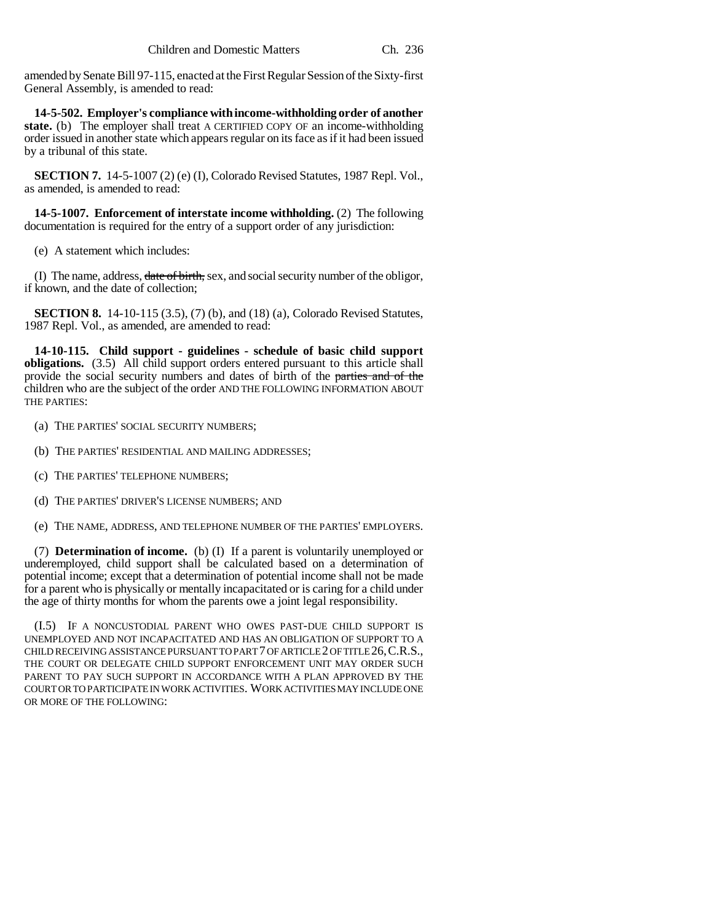amended by Senate Bill 97-115, enacted at the First Regular Session of the Sixty-first General Assembly, is amended to read:

**14-5-502. Employer's compliance with income-withholding order of another state.** (b) The employer shall treat A CERTIFIED COPY OF an income-withholding order issued in another state which appears regular on its face as if it had been issued by a tribunal of this state.

**SECTION 7.** 14-5-1007 (2) (e) (I), Colorado Revised Statutes, 1987 Repl. Vol., as amended, is amended to read:

**14-5-1007. Enforcement of interstate income withholding.** (2) The following documentation is required for the entry of a support order of any jurisdiction:

(e) A statement which includes:

(I) The name, address, date of birth, sex, and social security number of the obligor, if known, and the date of collection;

**SECTION 8.** 14-10-115 (3.5), (7) (b), and (18) (a), Colorado Revised Statutes, 1987 Repl. Vol., as amended, are amended to read:

**14-10-115. Child support - guidelines - schedule of basic child support obligations.** (3.5) All child support orders entered pursuant to this article shall provide the social security numbers and dates of birth of the parties and of the children who are the subject of the order AND THE FOLLOWING INFORMATION ABOUT THE PARTIES:

- (a) THE PARTIES' SOCIAL SECURITY NUMBERS;
- (b) THE PARTIES' RESIDENTIAL AND MAILING ADDRESSES;
- (c) THE PARTIES' TELEPHONE NUMBERS;
- (d) THE PARTIES' DRIVER'S LICENSE NUMBERS; AND
- (e) THE NAME, ADDRESS, AND TELEPHONE NUMBER OF THE PARTIES' EMPLOYERS.

(7) **Determination of income.** (b) (I) If a parent is voluntarily unemployed or underemployed, child support shall be calculated based on a determination of potential income; except that a determination of potential income shall not be made for a parent who is physically or mentally incapacitated or is caring for a child under the age of thirty months for whom the parents owe a joint legal responsibility.

(I.5) IF A NONCUSTODIAL PARENT WHO OWES PAST-DUE CHILD SUPPORT IS UNEMPLOYED AND NOT INCAPACITATED AND HAS AN OBLIGATION OF SUPPORT TO A CHILD RECEIVING ASSISTANCE PURSUANT TO PART 7 OF ARTICLE 2 OF TITLE 26,C.R.S., THE COURT OR DELEGATE CHILD SUPPORT ENFORCEMENT UNIT MAY ORDER SUCH PARENT TO PAY SUCH SUPPORT IN ACCORDANCE WITH A PLAN APPROVED BY THE COURT OR TO PARTICIPATE IN WORK ACTIVITIES. WORK ACTIVITIES MAY INCLUDE ONE OR MORE OF THE FOLLOWING: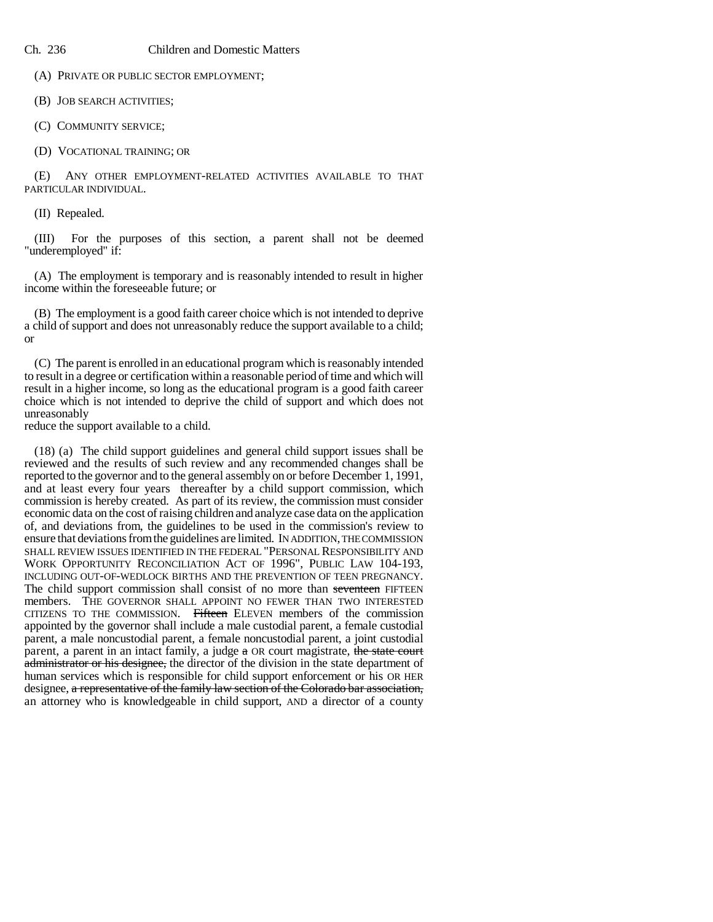(A) PRIVATE OR PUBLIC SECTOR EMPLOYMENT;

(B) JOB SEARCH ACTIVITIES;

(C) COMMUNITY SERVICE;

(D) VOCATIONAL TRAINING; OR

(E) ANY OTHER EMPLOYMENT-RELATED ACTIVITIES AVAILABLE TO THAT PARTICULAR INDIVIDUAL.

(II) Repealed.

(III) For the purposes of this section, a parent shall not be deemed "underemployed" if:

(A) The employment is temporary and is reasonably intended to result in higher income within the foreseeable future; or

(B) The employment is a good faith career choice which is not intended to deprive a child of support and does not unreasonably reduce the support available to a child; or

(C) The parent is enrolled in an educational program which is reasonably intended to result in a degree or certification within a reasonable period of time and which will result in a higher income, so long as the educational program is a good faith career choice which is not intended to deprive the child of support and which does not unreasonably

reduce the support available to a child.

(18) (a) The child support guidelines and general child support issues shall be reviewed and the results of such review and any recommended changes shall be reported to the governor and to the general assembly on or before December 1, 1991, and at least every four years thereafter by a child support commission, which commission is hereby created. As part of its review, the commission must consider economic data on the cost of raising children and analyze case data on the application of, and deviations from, the guidelines to be used in the commission's review to ensure that deviations from the guidelines are limited. IN ADDITION, THE COMMISSION SHALL REVIEW ISSUES IDENTIFIED IN THE FEDERAL "PERSONAL RESPONSIBILITY AND WORK OPPORTUNITY RECONCILIATION ACT OF 1996", PUBLIC LAW 104-193, INCLUDING OUT-OF-WEDLOCK BIRTHS AND THE PREVENTION OF TEEN PREGNANCY. The child support commission shall consist of no more than seventeen FIFTEEN members. THE GOVERNOR SHALL APPOINT NO FEWER THAN TWO INTERESTED CITIZENS TO THE COMMISSION. Fifteen ELEVEN members of the commission appointed by the governor shall include a male custodial parent, a female custodial parent, a male noncustodial parent, a female noncustodial parent, a joint custodial parent, a parent in an intact family, a judge a OR court magistrate, the state court administrator or his designee, the director of the division in the state department of human services which is responsible for child support enforcement or his OR HER designee, a representative of the family law section of the Colorado bar association, an attorney who is knowledgeable in child support, AND a director of a county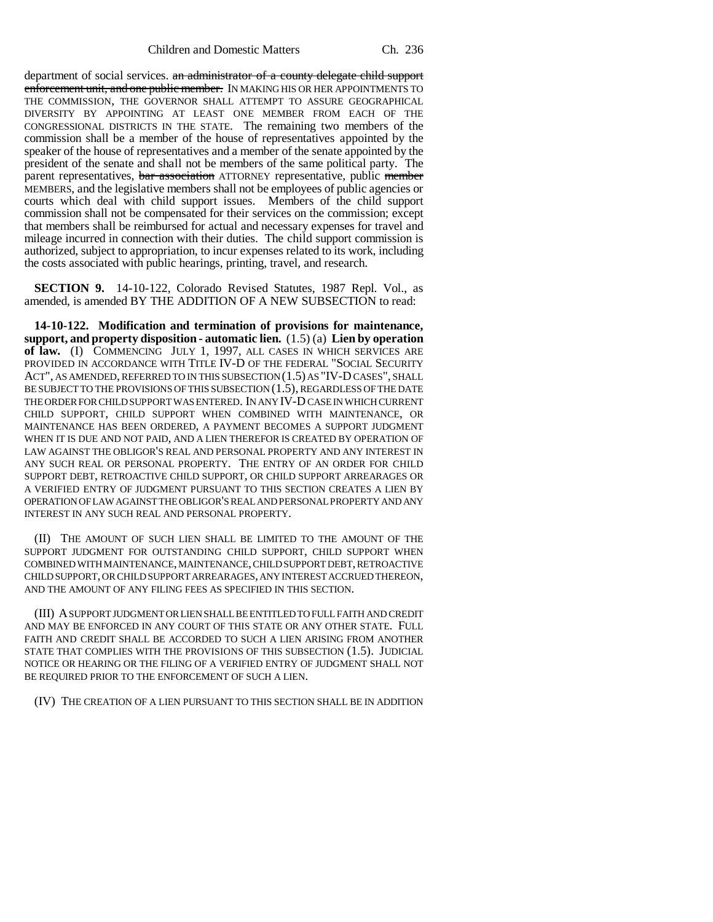department of social services. an administrator of a county delegate child support enforcement unit, and one public member. IN MAKING HIS OR HER APPOINTMENTS TO THE COMMISSION, THE GOVERNOR SHALL ATTEMPT TO ASSURE GEOGRAPHICAL DIVERSITY BY APPOINTING AT LEAST ONE MEMBER FROM EACH OF THE CONGRESSIONAL DISTRICTS IN THE STATE. The remaining two members of the commission shall be a member of the house of representatives appointed by the speaker of the house of representatives and a member of the senate appointed by the president of the senate and shall not be members of the same political party. The parent representatives, bar association ATTORNEY representative, public member MEMBERS, and the legislative members shall not be employees of public agencies or courts which deal with child support issues. Members of the child support commission shall not be compensated for their services on the commission; except that members shall be reimbursed for actual and necessary expenses for travel and mileage incurred in connection with their duties. The child support commission is authorized, subject to appropriation, to incur expenses related to its work, including the costs associated with public hearings, printing, travel, and research.

**SECTION 9.** 14-10-122, Colorado Revised Statutes, 1987 Repl. Vol., as amended, is amended BY THE ADDITION OF A NEW SUBSECTION to read:

**14-10-122. Modification and termination of provisions for maintenance, support, and property disposition - automatic lien.** (1.5) (a) **Lien by operation of law.** (I) COMMENCING JULY 1, 1997, ALL CASES IN WHICH SERVICES ARE PROVIDED IN ACCORDANCE WITH TITLE IV-D OF THE FEDERAL "SOCIAL SECURITY ACT", AS AMENDED, REFERRED TO IN THIS SUBSECTION (1.5) AS "IV-D CASES", SHALL BE SUBJECT TO THE PROVISIONS OF THIS SUBSECTION (1.5), REGARDLESS OF THE DATE THE ORDER FOR CHILD SUPPORT WAS ENTERED. IN ANY IV-D CASE IN WHICH CURRENT CHILD SUPPORT, CHILD SUPPORT WHEN COMBINED WITH MAINTENANCE, OR MAINTENANCE HAS BEEN ORDERED, A PAYMENT BECOMES A SUPPORT JUDGMENT WHEN IT IS DUE AND NOT PAID, AND A LIEN THEREFOR IS CREATED BY OPERATION OF LAW AGAINST THE OBLIGOR'S REAL AND PERSONAL PROPERTY AND ANY INTEREST IN ANY SUCH REAL OR PERSONAL PROPERTY. THE ENTRY OF AN ORDER FOR CHILD SUPPORT DEBT, RETROACTIVE CHILD SUPPORT, OR CHILD SUPPORT ARREARAGES OR A VERIFIED ENTRY OF JUDGMENT PURSUANT TO THIS SECTION CREATES A LIEN BY OPERATION OF LAW AGAINST THE OBLIGOR'S REAL AND PERSONAL PROPERTY AND ANY INTEREST IN ANY SUCH REAL AND PERSONAL PROPERTY.

(II) THE AMOUNT OF SUCH LIEN SHALL BE LIMITED TO THE AMOUNT OF THE SUPPORT JUDGMENT FOR OUTSTANDING CHILD SUPPORT, CHILD SUPPORT WHEN COMBINED WITH MAINTENANCE, MAINTENANCE, CHILD SUPPORT DEBT, RETROACTIVE CHILD SUPPORT, OR CHILD SUPPORT ARREARAGES, ANY INTEREST ACCRUED THEREON, AND THE AMOUNT OF ANY FILING FEES AS SPECIFIED IN THIS SECTION.

(III) A SUPPORT JUDGMENT OR LIEN SHALL BE ENTITLED TO FULL FAITH AND CREDIT AND MAY BE ENFORCED IN ANY COURT OF THIS STATE OR ANY OTHER STATE. FULL FAITH AND CREDIT SHALL BE ACCORDED TO SUCH A LIEN ARISING FROM ANOTHER STATE THAT COMPLIES WITH THE PROVISIONS OF THIS SUBSECTION (1.5). JUDICIAL NOTICE OR HEARING OR THE FILING OF A VERIFIED ENTRY OF JUDGMENT SHALL NOT BE REQUIRED PRIOR TO THE ENFORCEMENT OF SUCH A LIEN.

(IV) THE CREATION OF A LIEN PURSUANT TO THIS SECTION SHALL BE IN ADDITION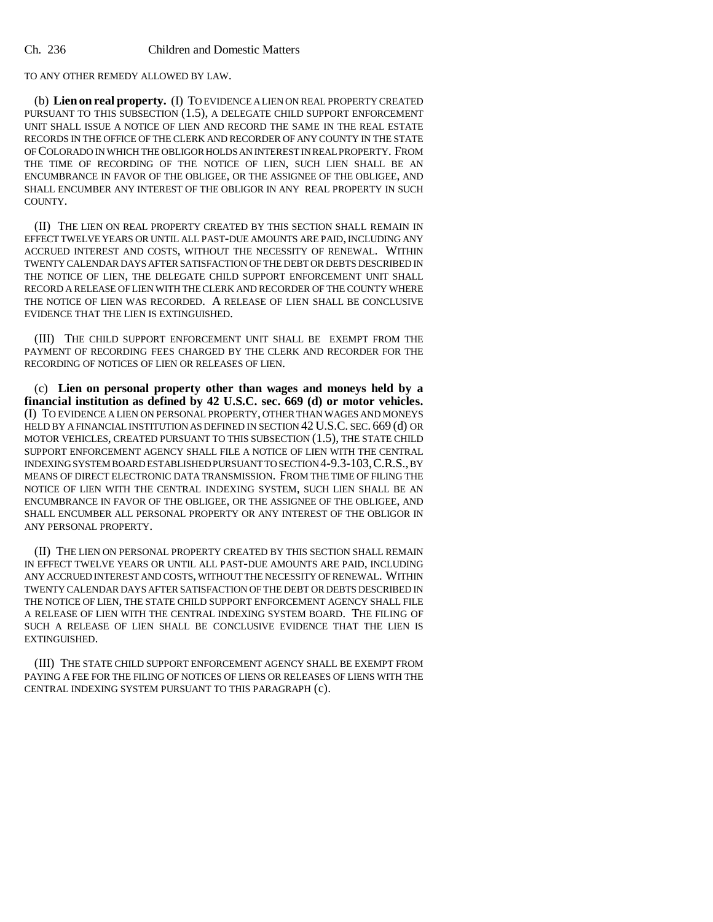TO ANY OTHER REMEDY ALLOWED BY LAW.

(b) **Lien on real property.** (I) TO EVIDENCE A LIEN ON REAL PROPERTY CREATED PURSUANT TO THIS SUBSECTION (1.5), A DELEGATE CHILD SUPPORT ENFORCEMENT UNIT SHALL ISSUE A NOTICE OF LIEN AND RECORD THE SAME IN THE REAL ESTATE RECORDS IN THE OFFICE OF THE CLERK AND RECORDER OF ANY COUNTY IN THE STATE OF COLORADO IN WHICH THE OBLIGOR HOLDS AN INTEREST IN REAL PROPERTY. FROM THE TIME OF RECORDING OF THE NOTICE OF LIEN, SUCH LIEN SHALL BE AN ENCUMBRANCE IN FAVOR OF THE OBLIGEE, OR THE ASSIGNEE OF THE OBLIGEE, AND SHALL ENCUMBER ANY INTEREST OF THE OBLIGOR IN ANY REAL PROPERTY IN SUCH COUNTY.

(II) THE LIEN ON REAL PROPERTY CREATED BY THIS SECTION SHALL REMAIN IN EFFECT TWELVE YEARS OR UNTIL ALL PAST-DUE AMOUNTS ARE PAID, INCLUDING ANY ACCRUED INTEREST AND COSTS, WITHOUT THE NECESSITY OF RENEWAL. WITHIN TWENTY CALENDAR DAYS AFTER SATISFACTION OF THE DEBT OR DEBTS DESCRIBED IN THE NOTICE OF LIEN, THE DELEGATE CHILD SUPPORT ENFORCEMENT UNIT SHALL RECORD A RELEASE OF LIEN WITH THE CLERK AND RECORDER OF THE COUNTY WHERE THE NOTICE OF LIEN WAS RECORDED. A RELEASE OF LIEN SHALL BE CONCLUSIVE EVIDENCE THAT THE LIEN IS EXTINGUISHED.

(III) THE CHILD SUPPORT ENFORCEMENT UNIT SHALL BE EXEMPT FROM THE PAYMENT OF RECORDING FEES CHARGED BY THE CLERK AND RECORDER FOR THE RECORDING OF NOTICES OF LIEN OR RELEASES OF LIEN.

(c) **Lien on personal property other than wages and moneys held by a financial institution as defined by 42 U.S.C. sec. 669 (d) or motor vehicles.** (I) TO EVIDENCE A LIEN ON PERSONAL PROPERTY, OTHER THAN WAGES AND MONEYS HELD BY A FINANCIAL INSTITUTION AS DEFINED IN SECTION 42 U.S.C. SEC. 669 (d) OR MOTOR VEHICLES, CREATED PURSUANT TO THIS SUBSECTION (1.5), THE STATE CHILD SUPPORT ENFORCEMENT AGENCY SHALL FILE A NOTICE OF LIEN WITH THE CENTRAL INDEXING SYSTEM BOARD ESTABLISHED PURSUANT TO SECTION 4-9.3-103,C.R.S., BY MEANS OF DIRECT ELECTRONIC DATA TRANSMISSION. FROM THE TIME OF FILING THE NOTICE OF LIEN WITH THE CENTRAL INDEXING SYSTEM, SUCH LIEN SHALL BE AN ENCUMBRANCE IN FAVOR OF THE OBLIGEE, OR THE ASSIGNEE OF THE OBLIGEE, AND SHALL ENCUMBER ALL PERSONAL PROPERTY OR ANY INTEREST OF THE OBLIGOR IN ANY PERSONAL PROPERTY.

(II) THE LIEN ON PERSONAL PROPERTY CREATED BY THIS SECTION SHALL REMAIN IN EFFECT TWELVE YEARS OR UNTIL ALL PAST-DUE AMOUNTS ARE PAID, INCLUDING ANY ACCRUED INTEREST AND COSTS, WITHOUT THE NECESSITY OF RENEWAL. WITHIN TWENTY CALENDAR DAYS AFTER SATISFACTION OF THE DEBT OR DEBTS DESCRIBED IN THE NOTICE OF LIEN, THE STATE CHILD SUPPORT ENFORCEMENT AGENCY SHALL FILE A RELEASE OF LIEN WITH THE CENTRAL INDEXING SYSTEM BOARD. THE FILING OF SUCH A RELEASE OF LIEN SHALL BE CONCLUSIVE EVIDENCE THAT THE LIEN IS EXTINGUISHED.

(III) THE STATE CHILD SUPPORT ENFORCEMENT AGENCY SHALL BE EXEMPT FROM PAYING A FEE FOR THE FILING OF NOTICES OF LIENS OR RELEASES OF LIENS WITH THE CENTRAL INDEXING SYSTEM PURSUANT TO THIS PARAGRAPH (c).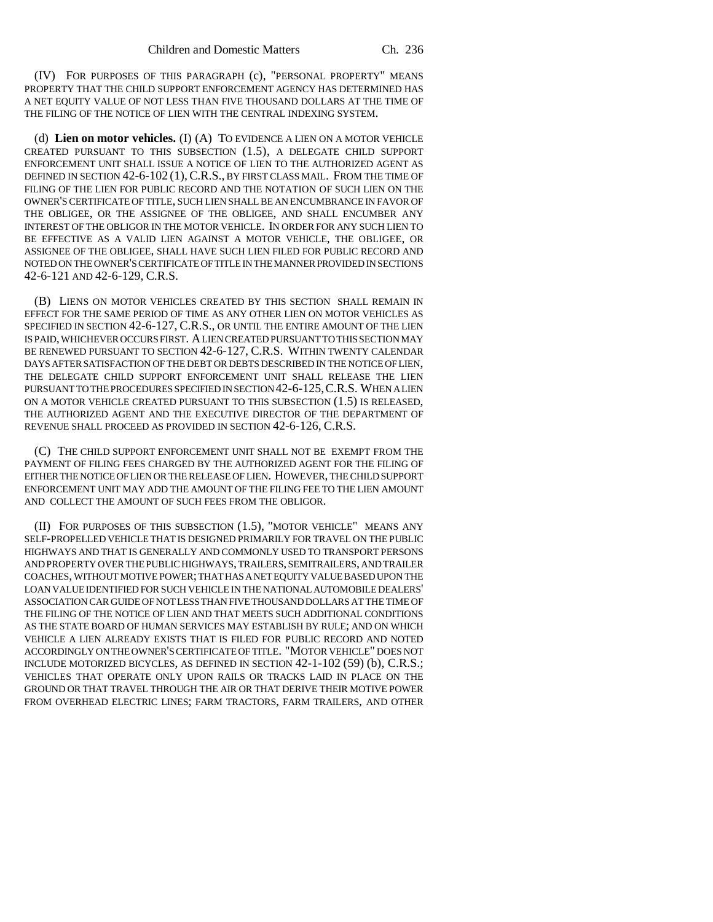(IV) FOR PURPOSES OF THIS PARAGRAPH (c), "PERSONAL PROPERTY" MEANS PROPERTY THAT THE CHILD SUPPORT ENFORCEMENT AGENCY HAS DETERMINED HAS A NET EQUITY VALUE OF NOT LESS THAN FIVE THOUSAND DOLLARS AT THE TIME OF THE FILING OF THE NOTICE OF LIEN WITH THE CENTRAL INDEXING SYSTEM.

(d) **Lien on motor vehicles.** (I) (A) TO EVIDENCE A LIEN ON A MOTOR VEHICLE CREATED PURSUANT TO THIS SUBSECTION (1.5), A DELEGATE CHILD SUPPORT ENFORCEMENT UNIT SHALL ISSUE A NOTICE OF LIEN TO THE AUTHORIZED AGENT AS DEFINED IN SECTION 42-6-102 (1),C.R.S., BY FIRST CLASS MAIL. FROM THE TIME OF FILING OF THE LIEN FOR PUBLIC RECORD AND THE NOTATION OF SUCH LIEN ON THE OWNER'S CERTIFICATE OF TITLE, SUCH LIEN SHALL BE AN ENCUMBRANCE IN FAVOR OF THE OBLIGEE, OR THE ASSIGNEE OF THE OBLIGEE, AND SHALL ENCUMBER ANY INTEREST OF THE OBLIGOR IN THE MOTOR VEHICLE. IN ORDER FOR ANY SUCH LIEN TO BE EFFECTIVE AS A VALID LIEN AGAINST A MOTOR VEHICLE, THE OBLIGEE, OR ASSIGNEE OF THE OBLIGEE, SHALL HAVE SUCH LIEN FILED FOR PUBLIC RECORD AND NOTED ON THE OWNER'S CERTIFICATE OF TITLE IN THE MANNER PROVIDED IN SECTIONS 42-6-121 AND 42-6-129, C.R.S.

(B) LIENS ON MOTOR VEHICLES CREATED BY THIS SECTION SHALL REMAIN IN EFFECT FOR THE SAME PERIOD OF TIME AS ANY OTHER LIEN ON MOTOR VEHICLES AS SPECIFIED IN SECTION 42-6-127, C.R.S., OR UNTIL THE ENTIRE AMOUNT OF THE LIEN IS PAID, WHICHEVER OCCURS FIRST. A LIEN CREATED PURSUANT TO THIS SECTION MAY BE RENEWED PURSUANT TO SECTION 42-6-127, C.R.S. WITHIN TWENTY CALENDAR DAYS AFTER SATISFACTION OF THE DEBT OR DEBTS DESCRIBED IN THE NOTICE OF LIEN, THE DELEGATE CHILD SUPPORT ENFORCEMENT UNIT SHALL RELEASE THE LIEN PURSUANT TO THE PROCEDURES SPECIFIED IN SECTION 42-6-125,C.R.S. WHEN A LIEN ON A MOTOR VEHICLE CREATED PURSUANT TO THIS SUBSECTION (1.5) IS RELEASED, THE AUTHORIZED AGENT AND THE EXECUTIVE DIRECTOR OF THE DEPARTMENT OF REVENUE SHALL PROCEED AS PROVIDED IN SECTION 42-6-126, C.R.S.

(C) THE CHILD SUPPORT ENFORCEMENT UNIT SHALL NOT BE EXEMPT FROM THE PAYMENT OF FILING FEES CHARGED BY THE AUTHORIZED AGENT FOR THE FILING OF EITHER THE NOTICE OF LIEN OR THE RELEASE OF LIEN. HOWEVER, THE CHILD SUPPORT ENFORCEMENT UNIT MAY ADD THE AMOUNT OF THE FILING FEE TO THE LIEN AMOUNT AND COLLECT THE AMOUNT OF SUCH FEES FROM THE OBLIGOR.

(II) FOR PURPOSES OF THIS SUBSECTION (1.5), "MOTOR VEHICLE" MEANS ANY SELF-PROPELLED VEHICLE THAT IS DESIGNED PRIMARILY FOR TRAVEL ON THE PUBLIC HIGHWAYS AND THAT IS GENERALLY AND COMMONLY USED TO TRANSPORT PERSONS AND PROPERTY OVER THE PUBLIC HIGHWAYS, TRAILERS, SEMITRAILERS, AND TRAILER COACHES, WITHOUT MOTIVE POWER; THAT HAS A NET EQUITY VALUE BASED UPON THE LOAN VALUE IDENTIFIED FOR SUCH VEHICLE IN THE NATIONAL AUTOMOBILE DEALERS' ASSOCIATION CAR GUIDE OF NOT LESS THAN FIVE THOUSAND DOLLARS AT THE TIME OF THE FILING OF THE NOTICE OF LIEN AND THAT MEETS SUCH ADDITIONAL CONDITIONS AS THE STATE BOARD OF HUMAN SERVICES MAY ESTABLISH BY RULE; AND ON WHICH VEHICLE A LIEN ALREADY EXISTS THAT IS FILED FOR PUBLIC RECORD AND NOTED ACCORDINGLY ON THE OWNER'S CERTIFICATE OF TITLE. "MOTOR VEHICLE" DOES NOT INCLUDE MOTORIZED BICYCLES, AS DEFINED IN SECTION 42-1-102 (59) (b), C.R.S.; VEHICLES THAT OPERATE ONLY UPON RAILS OR TRACKS LAID IN PLACE ON THE GROUND OR THAT TRAVEL THROUGH THE AIR OR THAT DERIVE THEIR MOTIVE POWER FROM OVERHEAD ELECTRIC LINES; FARM TRACTORS, FARM TRAILERS, AND OTHER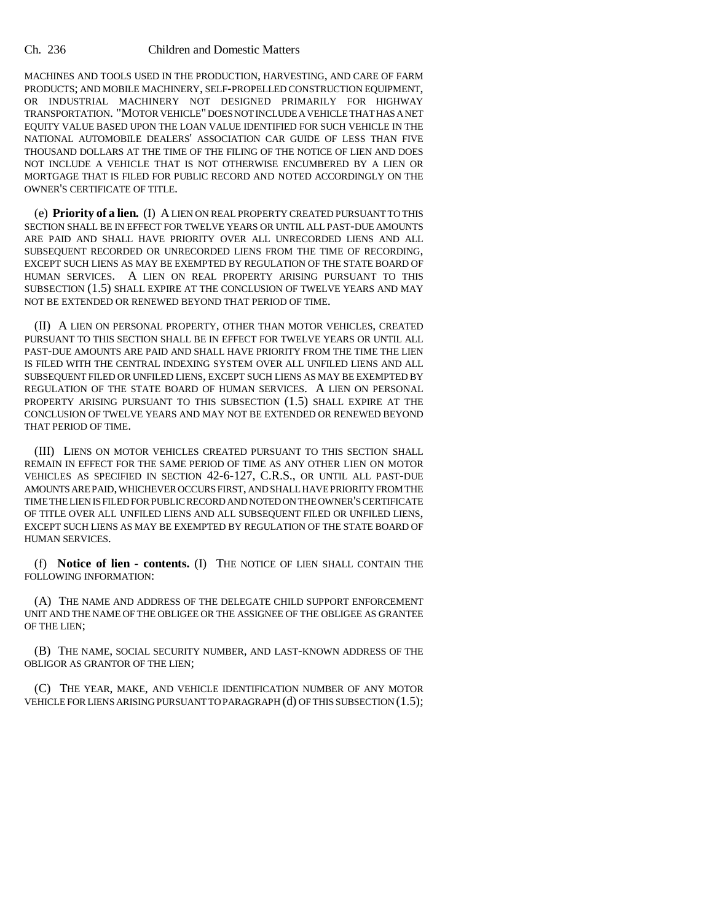MACHINES AND TOOLS USED IN THE PRODUCTION, HARVESTING, AND CARE OF FARM PRODUCTS; AND MOBILE MACHINERY, SELF-PROPELLED CONSTRUCTION EQUIPMENT, OR INDUSTRIAL MACHINERY NOT DESIGNED PRIMARILY FOR HIGHWAY TRANSPORTATION. "MOTOR VEHICLE" DOES NOT INCLUDE A VEHICLE THAT HAS A NET EQUITY VALUE BASED UPON THE LOAN VALUE IDENTIFIED FOR SUCH VEHICLE IN THE NATIONAL AUTOMOBILE DEALERS' ASSOCIATION CAR GUIDE OF LESS THAN FIVE THOUSAND DOLLARS AT THE TIME OF THE FILING OF THE NOTICE OF LIEN AND DOES NOT INCLUDE A VEHICLE THAT IS NOT OTHERWISE ENCUMBERED BY A LIEN OR MORTGAGE THAT IS FILED FOR PUBLIC RECORD AND NOTED ACCORDINGLY ON THE OWNER'S CERTIFICATE OF TITLE.

(e) **Priority of a lien.** (I) A LIEN ON REAL PROPERTY CREATED PURSUANT TO THIS SECTION SHALL BE IN EFFECT FOR TWELVE YEARS OR UNTIL ALL PAST-DUE AMOUNTS ARE PAID AND SHALL HAVE PRIORITY OVER ALL UNRECORDED LIENS AND ALL SUBSEQUENT RECORDED OR UNRECORDED LIENS FROM THE TIME OF RECORDING, EXCEPT SUCH LIENS AS MAY BE EXEMPTED BY REGULATION OF THE STATE BOARD OF HUMAN SERVICES. A LIEN ON REAL PROPERTY ARISING PURSUANT TO THIS SUBSECTION (1.5) SHALL EXPIRE AT THE CONCLUSION OF TWELVE YEARS AND MAY NOT BE EXTENDED OR RENEWED BEYOND THAT PERIOD OF TIME.

(II) A LIEN ON PERSONAL PROPERTY, OTHER THAN MOTOR VEHICLES, CREATED PURSUANT TO THIS SECTION SHALL BE IN EFFECT FOR TWELVE YEARS OR UNTIL ALL PAST-DUE AMOUNTS ARE PAID AND SHALL HAVE PRIORITY FROM THE TIME THE LIEN IS FILED WITH THE CENTRAL INDEXING SYSTEM OVER ALL UNFILED LIENS AND ALL SUBSEQUENT FILED OR UNFILED LIENS, EXCEPT SUCH LIENS AS MAY BE EXEMPTED BY REGULATION OF THE STATE BOARD OF HUMAN SERVICES. A LIEN ON PERSONAL PROPERTY ARISING PURSUANT TO THIS SUBSECTION (1.5) SHALL EXPIRE AT THE CONCLUSION OF TWELVE YEARS AND MAY NOT BE EXTENDED OR RENEWED BEYOND THAT PERIOD OF TIME.

(III) LIENS ON MOTOR VEHICLES CREATED PURSUANT TO THIS SECTION SHALL REMAIN IN EFFECT FOR THE SAME PERIOD OF TIME AS ANY OTHER LIEN ON MOTOR VEHICLES AS SPECIFIED IN SECTION 42-6-127, C.R.S., OR UNTIL ALL PAST-DUE AMOUNTS ARE PAID, WHICHEVER OCCURS FIRST, AND SHALL HAVE PRIORITY FROM THE TIME THE LIEN IS FILED FOR PUBLIC RECORD AND NOTED ON THE OWNER'S CERTIFICATE OF TITLE OVER ALL UNFILED LIENS AND ALL SUBSEQUENT FILED OR UNFILED LIENS, EXCEPT SUCH LIENS AS MAY BE EXEMPTED BY REGULATION OF THE STATE BOARD OF HUMAN SERVICES.

(f) **Notice of lien - contents.** (I) THE NOTICE OF LIEN SHALL CONTAIN THE FOLLOWING INFORMATION:

(A) THE NAME AND ADDRESS OF THE DELEGATE CHILD SUPPORT ENFORCEMENT UNIT AND THE NAME OF THE OBLIGEE OR THE ASSIGNEE OF THE OBLIGEE AS GRANTEE OF THE LIEN;

(B) THE NAME, SOCIAL SECURITY NUMBER, AND LAST-KNOWN ADDRESS OF THE OBLIGOR AS GRANTOR OF THE LIEN;

(C) THE YEAR, MAKE, AND VEHICLE IDENTIFICATION NUMBER OF ANY MOTOR VEHICLE FOR LIENS ARISING PURSUANT TO PARAGRAPH (d) OF THIS SUBSECTION (1.5);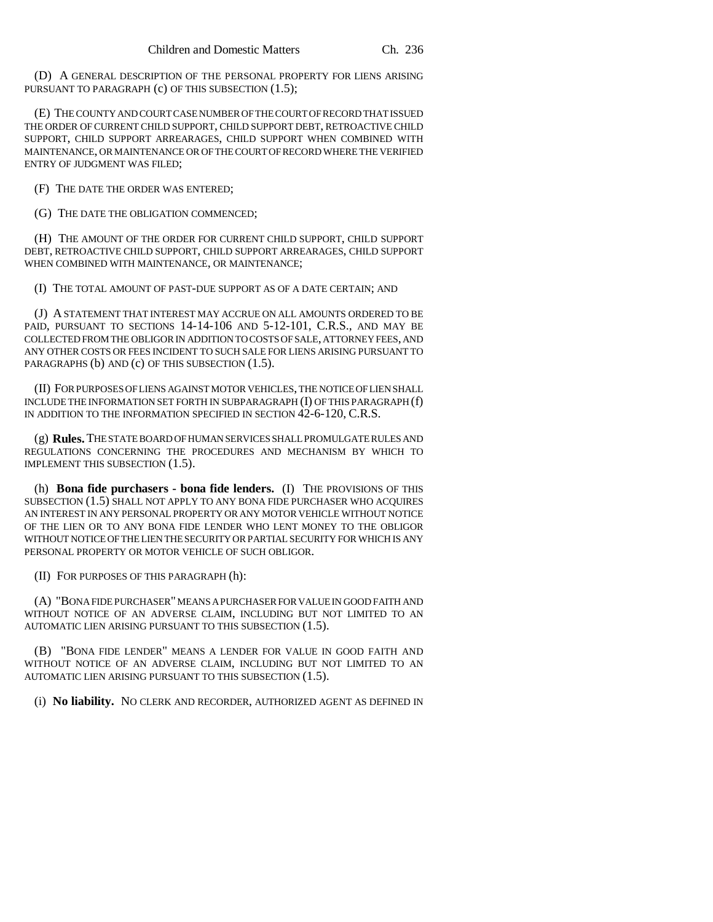(D) A GENERAL DESCRIPTION OF THE PERSONAL PROPERTY FOR LIENS ARISING PURSUANT TO PARAGRAPH (c) OF THIS SUBSECTION (1.5);

(E) THE COUNTY AND COURT CASE NUMBER OF THE COURT OF RECORD THAT ISSUED THE ORDER OF CURRENT CHILD SUPPORT, CHILD SUPPORT DEBT, RETROACTIVE CHILD SUPPORT, CHILD SUPPORT ARREARAGES, CHILD SUPPORT WHEN COMBINED WITH MAINTENANCE, OR MAINTENANCE OR OF THE COURT OF RECORD WHERE THE VERIFIED ENTRY OF JUDGMENT WAS FILED;

(F) THE DATE THE ORDER WAS ENTERED;

(G) THE DATE THE OBLIGATION COMMENCED;

(H) THE AMOUNT OF THE ORDER FOR CURRENT CHILD SUPPORT, CHILD SUPPORT DEBT, RETROACTIVE CHILD SUPPORT, CHILD SUPPORT ARREARAGES, CHILD SUPPORT WHEN COMBINED WITH MAINTENANCE, OR MAINTENANCE;

(I) THE TOTAL AMOUNT OF PAST-DUE SUPPORT AS OF A DATE CERTAIN; AND

(J) A STATEMENT THAT INTEREST MAY ACCRUE ON ALL AMOUNTS ORDERED TO BE PAID, PURSUANT TO SECTIONS 14-14-106 AND 5-12-101, C.R.S., AND MAY BE COLLECTED FROM THE OBLIGOR IN ADDITION TO COSTS OF SALE, ATTORNEY FEES, AND ANY OTHER COSTS OR FEES INCIDENT TO SUCH SALE FOR LIENS ARISING PURSUANT TO PARAGRAPHS (b) AND (c) OF THIS SUBSECTION (1.5).

(II) FOR PURPOSES OF LIENS AGAINST MOTOR VEHICLES, THE NOTICE OF LIEN SHALL INCLUDE THE INFORMATION SET FORTH IN SUBPARAGRAPH (I) OF THIS PARAGRAPH (f) IN ADDITION TO THE INFORMATION SPECIFIED IN SECTION 42-6-120, C.R.S.

(g) **Rules.** THE STATE BOARD OF HUMAN SERVICES SHALL PROMULGATE RULES AND REGULATIONS CONCERNING THE PROCEDURES AND MECHANISM BY WHICH TO IMPLEMENT THIS SUBSECTION (1.5).

(h) **Bona fide purchasers - bona fide lenders.** (I) THE PROVISIONS OF THIS SUBSECTION (1.5) SHALL NOT APPLY TO ANY BONA FIDE PURCHASER WHO ACQUIRES AN INTEREST IN ANY PERSONAL PROPERTY OR ANY MOTOR VEHICLE WITHOUT NOTICE OF THE LIEN OR TO ANY BONA FIDE LENDER WHO LENT MONEY TO THE OBLIGOR WITHOUT NOTICE OF THE LIEN THE SECURITY OR PARTIAL SECURITY FOR WHICH IS ANY PERSONAL PROPERTY OR MOTOR VEHICLE OF SUCH OBLIGOR.

(II) FOR PURPOSES OF THIS PARAGRAPH (h):

(A) "BONA FIDE PURCHASER" MEANS A PURCHASER FOR VALUE IN GOOD FAITH AND WITHOUT NOTICE OF AN ADVERSE CLAIM, INCLUDING BUT NOT LIMITED TO AN AUTOMATIC LIEN ARISING PURSUANT TO THIS SUBSECTION (1.5).

(B) "BONA FIDE LENDER" MEANS A LENDER FOR VALUE IN GOOD FAITH AND WITHOUT NOTICE OF AN ADVERSE CLAIM, INCLUDING BUT NOT LIMITED TO AN AUTOMATIC LIEN ARISING PURSUANT TO THIS SUBSECTION (1.5).

(i) **No liability.** NO CLERK AND RECORDER, AUTHORIZED AGENT AS DEFINED IN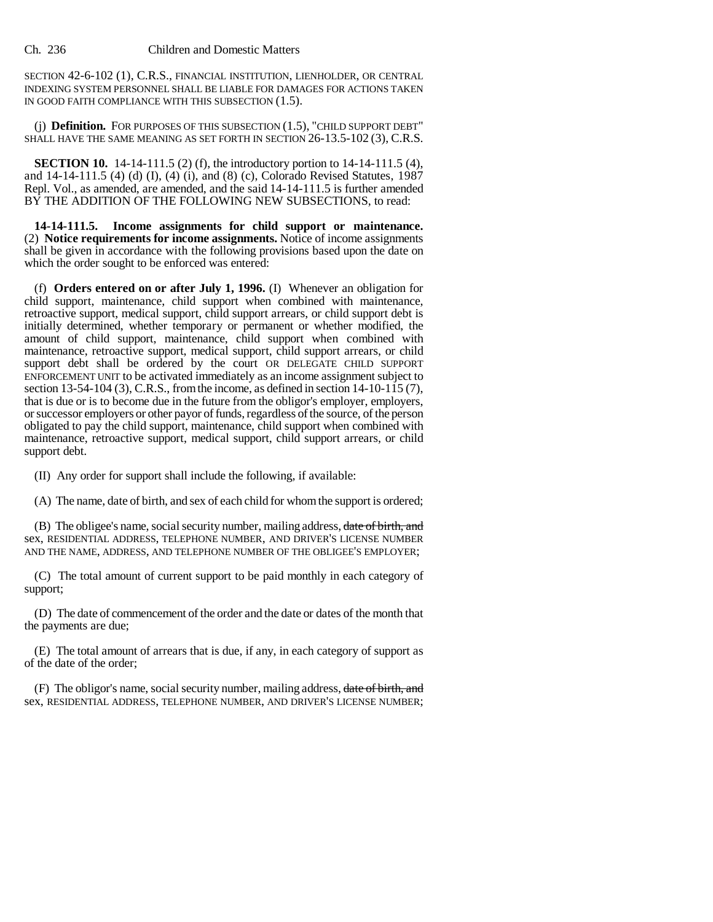SECTION 42-6-102 (1), C.R.S., FINANCIAL INSTITUTION, LIENHOLDER, OR CENTRAL INDEXING SYSTEM PERSONNEL SHALL BE LIABLE FOR DAMAGES FOR ACTIONS TAKEN IN GOOD FAITH COMPLIANCE WITH THIS SUBSECTION (1.5).

(j) **Definition.** FOR PURPOSES OF THIS SUBSECTION (1.5), "CHILD SUPPORT DEBT" SHALL HAVE THE SAME MEANING AS SET FORTH IN SECTION 26-13.5-102 (3), C.R.S.

**SECTION 10.** 14-14-111.5 (2) (f), the introductory portion to 14-14-111.5 (4), and 14-14-111.5 (4) (d) (I), (4) (i), and (8) (c), Colorado Revised Statutes, 1987 Repl. Vol., as amended, are amended, and the said 14-14-111.5 is further amended BY THE ADDITION OF THE FOLLOWING NEW SUBSECTIONS, to read:

**14-14-111.5. Income assignments for child support or maintenance.** (2) **Notice requirements for income assignments.** Notice of income assignments shall be given in accordance with the following provisions based upon the date on which the order sought to be enforced was entered:

(f) **Orders entered on or after July 1, 1996.** (I) Whenever an obligation for child support, maintenance, child support when combined with maintenance, retroactive support, medical support, child support arrears, or child support debt is initially determined, whether temporary or permanent or whether modified, the amount of child support, maintenance, child support when combined with maintenance, retroactive support, medical support, child support arrears, or child support debt shall be ordered by the court OR DELEGATE CHILD SUPPORT ENFORCEMENT UNIT to be activated immediately as an income assignment subject to section 13-54-104 (3), C.R.S., from the income, as defined in section 14-10-115 (7), that is due or is to become due in the future from the obligor's employer, employers, or successor employers or other payor of funds, regardless of the source, of the person obligated to pay the child support, maintenance, child support when combined with maintenance, retroactive support, medical support, child support arrears, or child support debt.

(II) Any order for support shall include the following, if available:

(A) The name, date of birth, and sex of each child for whom the support is ordered;

(B) The obligee's name, social security number, mailing address, date of birth, and sex, RESIDENTIAL ADDRESS, TELEPHONE NUMBER, AND DRIVER'S LICENSE NUMBER AND THE NAME, ADDRESS, AND TELEPHONE NUMBER OF THE OBLIGEE'S EMPLOYER;

(C) The total amount of current support to be paid monthly in each category of support;

(D) The date of commencement of the order and the date or dates of the month that the payments are due;

(E) The total amount of arrears that is due, if any, in each category of support as of the date of the order;

(F) The obligor's name, social security number, mailing address, date of birth, and sex, RESIDENTIAL ADDRESS, TELEPHONE NUMBER, AND DRIVER'S LICENSE NUMBER;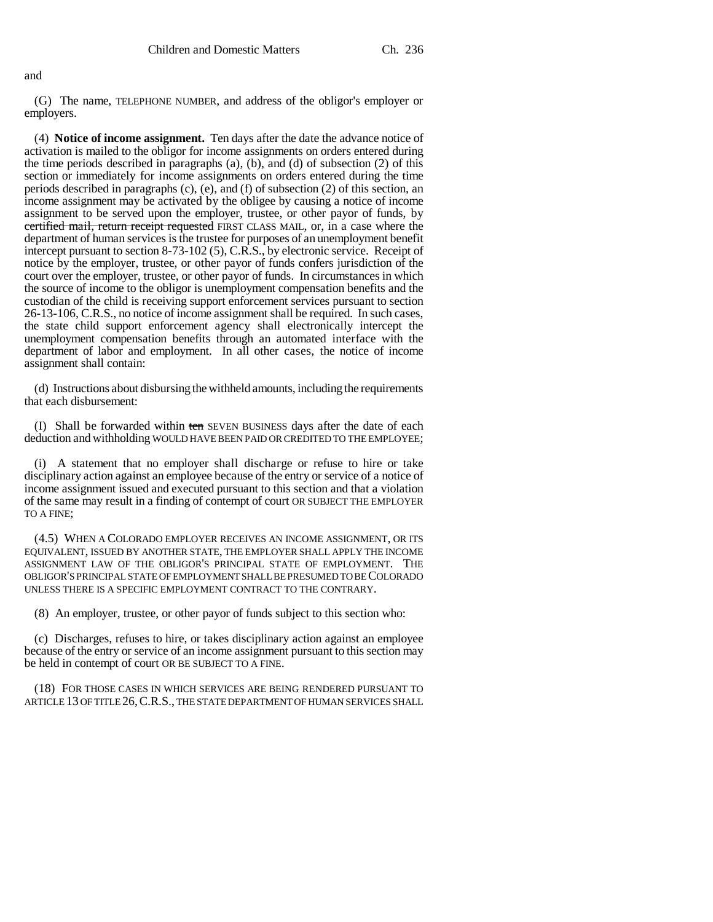(G) The name, TELEPHONE NUMBER, and address of the obligor's employer or employers.

(4) **Notice of income assignment.** Ten days after the date the advance notice of activation is mailed to the obligor for income assignments on orders entered during the time periods described in paragraphs (a), (b), and (d) of subsection (2) of this section or immediately for income assignments on orders entered during the time periods described in paragraphs (c), (e), and (f) of subsection (2) of this section, an income assignment may be activated by the obligee by causing a notice of income assignment to be served upon the employer, trustee, or other payor of funds, by certified mail, return receipt requested FIRST CLASS MAIL, or, in a case where the department of human services is the trustee for purposes of an unemployment benefit intercept pursuant to section 8-73-102 (5), C.R.S., by electronic service. Receipt of notice by the employer, trustee, or other payor of funds confers jurisdiction of the court over the employer, trustee, or other payor of funds. In circumstances in which the source of income to the obligor is unemployment compensation benefits and the custodian of the child is receiving support enforcement services pursuant to section 26-13-106, C.R.S., no notice of income assignment shall be required. In such cases, the state child support enforcement agency shall electronically intercept the unemployment compensation benefits through an automated interface with the department of labor and employment. In all other cases, the notice of income assignment shall contain:

(d) Instructions about disbursing the withheld amounts, including the requirements that each disbursement:

(I) Shall be forwarded within ten SEVEN BUSINESS days after the date of each deduction and withholding WOULD HAVE BEEN PAID OR CREDITED TO THE EMPLOYEE;

(i) A statement that no employer shall discharge or refuse to hire or take disciplinary action against an employee because of the entry or service of a notice of income assignment issued and executed pursuant to this section and that a violation of the same may result in a finding of contempt of court OR SUBJECT THE EMPLOYER TO A FINE;

(4.5) WHEN A COLORADO EMPLOYER RECEIVES AN INCOME ASSIGNMENT, OR ITS EQUIVALENT, ISSUED BY ANOTHER STATE, THE EMPLOYER SHALL APPLY THE INCOME ASSIGNMENT LAW OF THE OBLIGOR'S PRINCIPAL STATE OF EMPLOYMENT. THE OBLIGOR'S PRINCIPAL STATE OF EMPLOYMENT SHALL BE PRESUMED TO BE COLORADO UNLESS THERE IS A SPECIFIC EMPLOYMENT CONTRACT TO THE CONTRARY.

(8) An employer, trustee, or other payor of funds subject to this section who:

(c) Discharges, refuses to hire, or takes disciplinary action against an employee because of the entry or service of an income assignment pursuant to this section may be held in contempt of court OR BE SUBJECT TO A FINE.

(18) FOR THOSE CASES IN WHICH SERVICES ARE BEING RENDERED PURSUANT TO ARTICLE 13 OF TITLE 26, C.R.S., THE STATE DEPARTMENT OF HUMAN SERVICES SHALL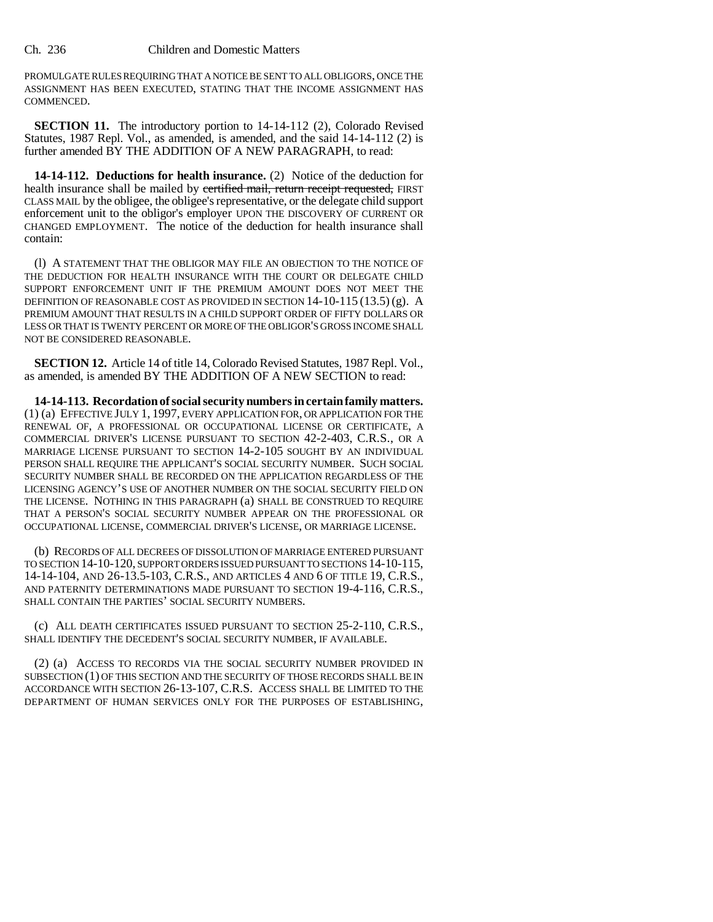PROMULGATE RULES REQUIRING THAT A NOTICE BE SENT TO ALL OBLIGORS, ONCE THE ASSIGNMENT HAS BEEN EXECUTED, STATING THAT THE INCOME ASSIGNMENT HAS COMMENCED.

**SECTION 11.** The introductory portion to 14-14-112 (2), Colorado Revised Statutes, 1987 Repl. Vol., as amended, is amended, and the said 14-14-112 (2) is further amended BY THE ADDITION OF A NEW PARAGRAPH, to read:

**14-14-112. Deductions for health insurance.** (2) Notice of the deduction for health insurance shall be mailed by certified mail, return receipt requested, FIRST CLASS MAIL by the obligee, the obligee's representative, or the delegate child support enforcement unit to the obligor's employer UPON THE DISCOVERY OF CURRENT OR CHANGED EMPLOYMENT. The notice of the deduction for health insurance shall contain:

(l) A STATEMENT THAT THE OBLIGOR MAY FILE AN OBJECTION TO THE NOTICE OF THE DEDUCTION FOR HEALTH INSURANCE WITH THE COURT OR DELEGATE CHILD SUPPORT ENFORCEMENT UNIT IF THE PREMIUM AMOUNT DOES NOT MEET THE DEFINITION OF REASONABLE COST AS PROVIDED IN SECTION  $14$ - $10$ - $115$   $(13.5)$   $(g)$ . A PREMIUM AMOUNT THAT RESULTS IN A CHILD SUPPORT ORDER OF FIFTY DOLLARS OR LESS OR THAT IS TWENTY PERCENT OR MORE OF THE OBLIGOR'S GROSS INCOME SHALL NOT BE CONSIDERED REASONABLE.

**SECTION 12.** Article 14 of title 14, Colorado Revised Statutes, 1987 Repl. Vol., as amended, is amended BY THE ADDITION OF A NEW SECTION to read:

**14-14-113. Recordation of social security numbers in certain family matters.** (1) (a) EFFECTIVE JULY 1, 1997, EVERY APPLICATION FOR, OR APPLICATION FOR THE RENEWAL OF, A PROFESSIONAL OR OCCUPATIONAL LICENSE OR CERTIFICATE, A COMMERCIAL DRIVER'S LICENSE PURSUANT TO SECTION 42-2-403, C.R.S., OR A MARRIAGE LICENSE PURSUANT TO SECTION 14-2-105 SOUGHT BY AN INDIVIDUAL PERSON SHALL REQUIRE THE APPLICANT'S SOCIAL SECURITY NUMBER. SUCH SOCIAL SECURITY NUMBER SHALL BE RECORDED ON THE APPLICATION REGARDLESS OF THE LICENSING AGENCY'S USE OF ANOTHER NUMBER ON THE SOCIAL SECURITY FIELD ON THE LICENSE. NOTHING IN THIS PARAGRAPH (a) SHALL BE CONSTRUED TO REQUIRE THAT A PERSON'S SOCIAL SECURITY NUMBER APPEAR ON THE PROFESSIONAL OR OCCUPATIONAL LICENSE, COMMERCIAL DRIVER'S LICENSE, OR MARRIAGE LICENSE.

(b) RECORDS OF ALL DECREES OF DISSOLUTION OF MARRIAGE ENTERED PURSUANT TO SECTION 14-10-120, SUPPORT ORDERS ISSUED PURSUANT TO SECTIONS 14-10-115, 14-14-104, AND 26-13.5-103, C.R.S., AND ARTICLES 4 AND 6 OF TITLE 19, C.R.S., AND PATERNITY DETERMINATIONS MADE PURSUANT TO SECTION 19-4-116, C.R.S., SHALL CONTAIN THE PARTIES' SOCIAL SECURITY NUMBERS.

(c) ALL DEATH CERTIFICATES ISSUED PURSUANT TO SECTION 25-2-110, C.R.S., SHALL IDENTIFY THE DECEDENT'S SOCIAL SECURITY NUMBER, IF AVAILABLE.

(2) (a) ACCESS TO RECORDS VIA THE SOCIAL SECURITY NUMBER PROVIDED IN SUBSECTION (1) OF THIS SECTION AND THE SECURITY OF THOSE RECORDS SHALL BE IN ACCORDANCE WITH SECTION 26-13-107, C.R.S. ACCESS SHALL BE LIMITED TO THE DEPARTMENT OF HUMAN SERVICES ONLY FOR THE PURPOSES OF ESTABLISHING,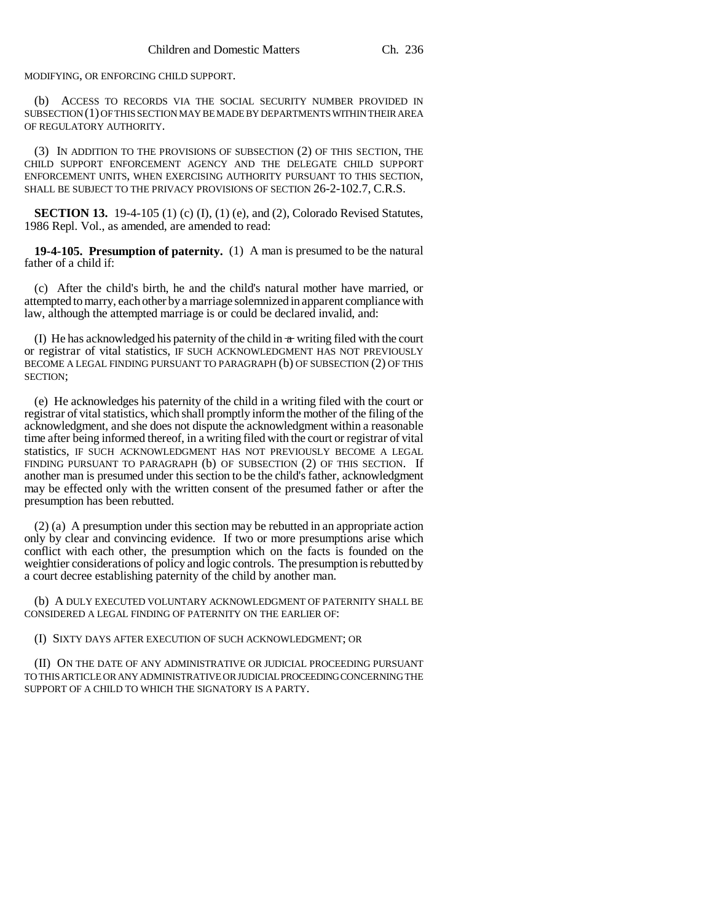MODIFYING, OR ENFORCING CHILD SUPPORT.

(b) ACCESS TO RECORDS VIA THE SOCIAL SECURITY NUMBER PROVIDED IN SUBSECTION (1) OF THIS SECTION MAY BE MADE BY DEPARTMENTS WITHIN THEIR AREA OF REGULATORY AUTHORITY.

(3) IN ADDITION TO THE PROVISIONS OF SUBSECTION (2) OF THIS SECTION, THE CHILD SUPPORT ENFORCEMENT AGENCY AND THE DELEGATE CHILD SUPPORT ENFORCEMENT UNITS, WHEN EXERCISING AUTHORITY PURSUANT TO THIS SECTION, SHALL BE SUBJECT TO THE PRIVACY PROVISIONS OF SECTION 26-2-102.7, C.R.S.

**SECTION 13.** 19-4-105 (1) (c) (I), (1) (e), and (2), Colorado Revised Statutes, 1986 Repl. Vol., as amended, are amended to read:

**19-4-105. Presumption of paternity.** (1) A man is presumed to be the natural father of a child if:

(c) After the child's birth, he and the child's natural mother have married, or attempted to marry, each other by a marriage solemnized in apparent compliance with law, although the attempted marriage is or could be declared invalid, and:

(I) He has acknowledged his paternity of the child in  $\pi$  writing filed with the court or registrar of vital statistics, IF SUCH ACKNOWLEDGMENT HAS NOT PREVIOUSLY BECOME A LEGAL FINDING PURSUANT TO PARAGRAPH (b) OF SUBSECTION (2) OF THIS SECTION;

(e) He acknowledges his paternity of the child in a writing filed with the court or registrar of vital statistics, which shall promptly inform the mother of the filing of the acknowledgment, and she does not dispute the acknowledgment within a reasonable time after being informed thereof, in a writing filed with the court or registrar of vital statistics, IF SUCH ACKNOWLEDGMENT HAS NOT PREVIOUSLY BECOME A LEGAL FINDING PURSUANT TO PARAGRAPH (b) OF SUBSECTION (2) OF THIS SECTION. If another man is presumed under this section to be the child's father, acknowledgment may be effected only with the written consent of the presumed father or after the presumption has been rebutted.

(2) (a) A presumption under this section may be rebutted in an appropriate action only by clear and convincing evidence. If two or more presumptions arise which conflict with each other, the presumption which on the facts is founded on the weightier considerations of policy and logic controls. The presumption is rebutted by a court decree establishing paternity of the child by another man.

(b) A DULY EXECUTED VOLUNTARY ACKNOWLEDGMENT OF PATERNITY SHALL BE CONSIDERED A LEGAL FINDING OF PATERNITY ON THE EARLIER OF:

(I) SIXTY DAYS AFTER EXECUTION OF SUCH ACKNOWLEDGMENT; OR

(II) ON THE DATE OF ANY ADMINISTRATIVE OR JUDICIAL PROCEEDING PURSUANT TO THIS ARTICLE OR ANY ADMINISTRATIVE OR JUDICIAL PROCEEDING CONCERNING THE SUPPORT OF A CHILD TO WHICH THE SIGNATORY IS A PARTY.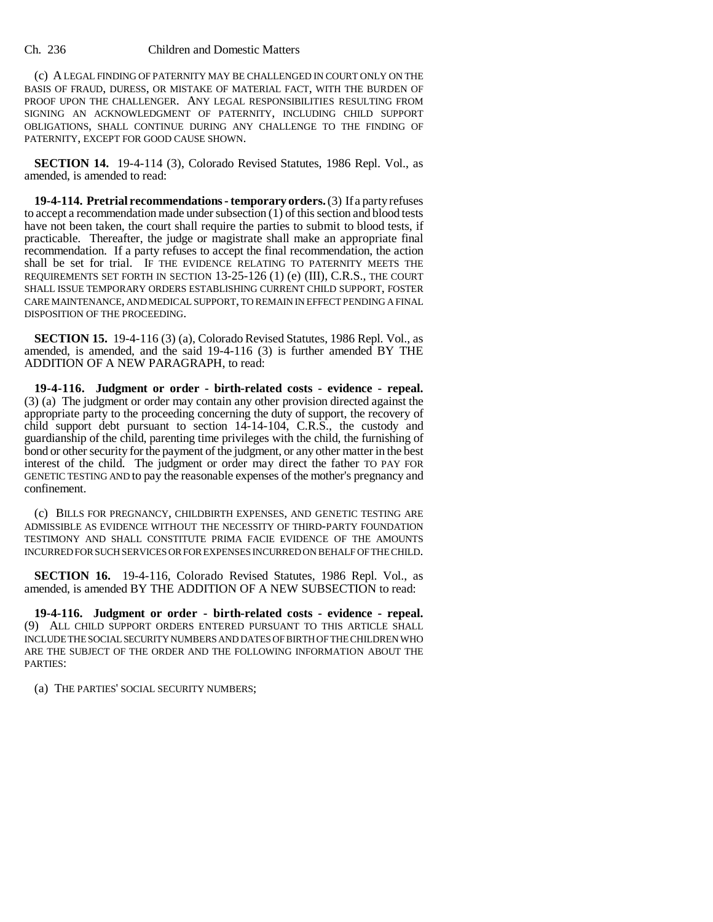(c) A LEGAL FINDING OF PATERNITY MAY BE CHALLENGED IN COURT ONLY ON THE BASIS OF FRAUD, DURESS, OR MISTAKE OF MATERIAL FACT, WITH THE BURDEN OF PROOF UPON THE CHALLENGER. ANY LEGAL RESPONSIBILITIES RESULTING FROM SIGNING AN ACKNOWLEDGMENT OF PATERNITY, INCLUDING CHILD SUPPORT OBLIGATIONS, SHALL CONTINUE DURING ANY CHALLENGE TO THE FINDING OF PATERNITY, EXCEPT FOR GOOD CAUSE SHOWN.

**SECTION 14.** 19-4-114 (3), Colorado Revised Statutes, 1986 Repl. Vol., as amended, is amended to read:

**19-4-114. Pretrial recommendations - temporary orders.** (3) If a party refuses to accept a recommendation made under subsection (1) of this section and blood tests have not been taken, the court shall require the parties to submit to blood tests, if practicable. Thereafter, the judge or magistrate shall make an appropriate final recommendation. If a party refuses to accept the final recommendation, the action shall be set for trial. IF THE EVIDENCE RELATING TO PATERNITY MEETS THE REQUIREMENTS SET FORTH IN SECTION 13-25-126 (1) (e) (III), C.R.S., THE COURT SHALL ISSUE TEMPORARY ORDERS ESTABLISHING CURRENT CHILD SUPPORT, FOSTER CARE MAINTENANCE, AND MEDICAL SUPPORT, TO REMAIN IN EFFECT PENDING A FINAL DISPOSITION OF THE PROCEEDING.

**SECTION 15.** 19-4-116 (3) (a), Colorado Revised Statutes, 1986 Repl. Vol., as amended, is amended, and the said 19-4-116 (3) is further amended BY THE ADDITION OF A NEW PARAGRAPH, to read:

**19-4-116. Judgment or order - birth-related costs - evidence - repeal.** (3) (a) The judgment or order may contain any other provision directed against the appropriate party to the proceeding concerning the duty of support, the recovery of child support debt pursuant to section 14-14-104, C.R.S., the custody and guardianship of the child, parenting time privileges with the child, the furnishing of bond or other security for the payment of the judgment, or any other matter in the best interest of the child. The judgment or order may direct the father TO PAY FOR GENETIC TESTING AND to pay the reasonable expenses of the mother's pregnancy and confinement.

(c) BILLS FOR PREGNANCY, CHILDBIRTH EXPENSES, AND GENETIC TESTING ARE ADMISSIBLE AS EVIDENCE WITHOUT THE NECESSITY OF THIRD-PARTY FOUNDATION TESTIMONY AND SHALL CONSTITUTE PRIMA FACIE EVIDENCE OF THE AMOUNTS INCURRED FOR SUCH SERVICES OR FOR EXPENSES INCURRED ON BEHALF OF THE CHILD.

**SECTION 16.** 19-4-116, Colorado Revised Statutes, 1986 Repl. Vol., as amended, is amended BY THE ADDITION OF A NEW SUBSECTION to read:

**19-4-116. Judgment or order - birth-related costs - evidence - repeal.** (9) ALL CHILD SUPPORT ORDERS ENTERED PURSUANT TO THIS ARTICLE SHALL INCLUDE THE SOCIAL SECURITY NUMBERS AND DATES OF BIRTH OF THE CHILDREN WHO ARE THE SUBJECT OF THE ORDER AND THE FOLLOWING INFORMATION ABOUT THE PARTIES:

(a) THE PARTIES' SOCIAL SECURITY NUMBERS;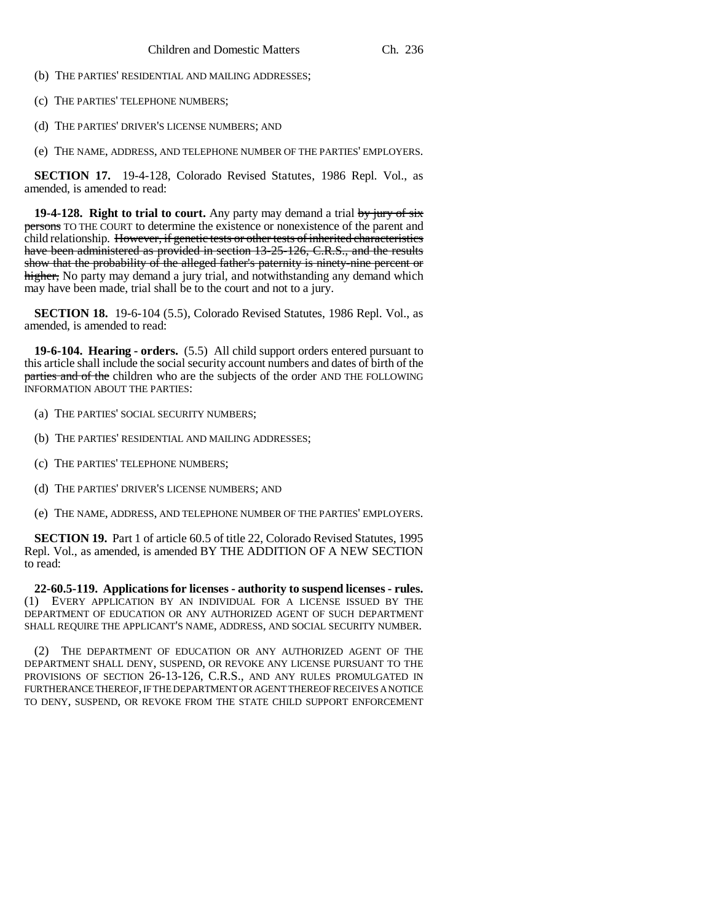- (b) THE PARTIES' RESIDENTIAL AND MAILING ADDRESSES;
- (c) THE PARTIES' TELEPHONE NUMBERS;
- (d) THE PARTIES' DRIVER'S LICENSE NUMBERS; AND
- (e) THE NAME, ADDRESS, AND TELEPHONE NUMBER OF THE PARTIES' EMPLOYERS.

**SECTION 17.** 19-4-128, Colorado Revised Statutes, 1986 Repl. Vol., as amended, is amended to read:

**19-4-128. Right to trial to court.** Any party may demand a trial by jury of six persons TO THE COURT to determine the existence or nonexistence of the parent and child relationship. However, if genetic tests or other tests of inherited characteristics have been administered as provided in section 13-25-126, C.R.S., and the results show that the probability of the alleged father's paternity is ninety-nine percent or higher, No party may demand a jury trial, and notwithstanding any demand which may have been made, trial shall be to the court and not to a jury.

**SECTION 18.** 19-6-104 (5.5), Colorado Revised Statutes, 1986 Repl. Vol., as amended, is amended to read:

**19-6-104. Hearing - orders.** (5.5) All child support orders entered pursuant to this article shall include the social security account numbers and dates of birth of the parties and of the children who are the subjects of the order AND THE FOLLOWING INFORMATION ABOUT THE PARTIES:

- (a) THE PARTIES' SOCIAL SECURITY NUMBERS;
- (b) THE PARTIES' RESIDENTIAL AND MAILING ADDRESSES;
- (c) THE PARTIES' TELEPHONE NUMBERS;
- (d) THE PARTIES' DRIVER'S LICENSE NUMBERS; AND
- (e) THE NAME, ADDRESS, AND TELEPHONE NUMBER OF THE PARTIES' EMPLOYERS.

**SECTION 19.** Part 1 of article 60.5 of title 22, Colorado Revised Statutes, 1995 Repl. Vol., as amended, is amended BY THE ADDITION OF A NEW SECTION to read:

**22-60.5-119. Applications for licenses - authority to suspend licenses - rules.** (1) EVERY APPLICATION BY AN INDIVIDUAL FOR A LICENSE ISSUED BY THE DEPARTMENT OF EDUCATION OR ANY AUTHORIZED AGENT OF SUCH DEPARTMENT SHALL REQUIRE THE APPLICANT'S NAME, ADDRESS, AND SOCIAL SECURITY NUMBER.

(2) THE DEPARTMENT OF EDUCATION OR ANY AUTHORIZED AGENT OF THE DEPARTMENT SHALL DENY, SUSPEND, OR REVOKE ANY LICENSE PURSUANT TO THE PROVISIONS OF SECTION 26-13-126, C.R.S., AND ANY RULES PROMULGATED IN FURTHERANCE THEREOF, IF THE DEPARTMENT OR AGENT THEREOF RECEIVES A NOTICE TO DENY, SUSPEND, OR REVOKE FROM THE STATE CHILD SUPPORT ENFORCEMENT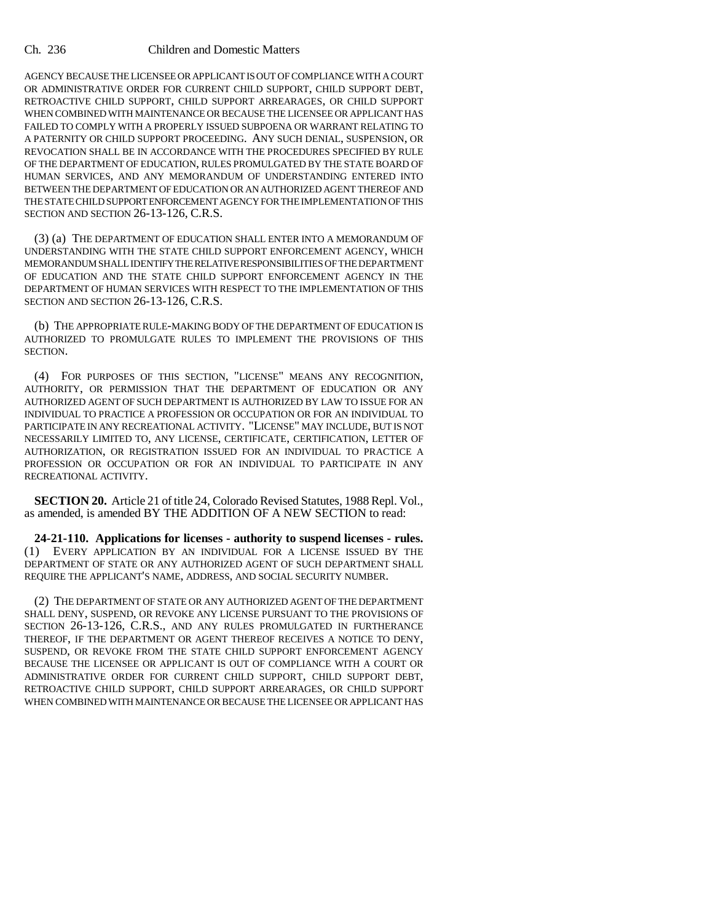AGENCY BECAUSE THE LICENSEE OR APPLICANT IS OUT OF COMPLIANCE WITH A COURT OR ADMINISTRATIVE ORDER FOR CURRENT CHILD SUPPORT, CHILD SUPPORT DEBT, RETROACTIVE CHILD SUPPORT, CHILD SUPPORT ARREARAGES, OR CHILD SUPPORT WHEN COMBINED WITH MAINTENANCE OR BECAUSE THE LICENSEE OR APPLICANT HAS FAILED TO COMPLY WITH A PROPERLY ISSUED SUBPOENA OR WARRANT RELATING TO A PATERNITY OR CHILD SUPPORT PROCEEDING. ANY SUCH DENIAL, SUSPENSION, OR REVOCATION SHALL BE IN ACCORDANCE WITH THE PROCEDURES SPECIFIED BY RULE OF THE DEPARTMENT OF EDUCATION, RULES PROMULGATED BY THE STATE BOARD OF HUMAN SERVICES, AND ANY MEMORANDUM OF UNDERSTANDING ENTERED INTO BETWEEN THE DEPARTMENT OF EDUCATION OR AN AUTHORIZED AGENT THEREOF AND THE STATE CHILD SUPPORT ENFORCEMENT AGENCY FOR THE IMPLEMENTATION OF THIS SECTION AND SECTION 26-13-126, C.R.S.

(3) (a) THE DEPARTMENT OF EDUCATION SHALL ENTER INTO A MEMORANDUM OF UNDERSTANDING WITH THE STATE CHILD SUPPORT ENFORCEMENT AGENCY, WHICH MEMORANDUM SHALL IDENTIFY THE RELATIVE RESPONSIBILITIES OF THE DEPARTMENT OF EDUCATION AND THE STATE CHILD SUPPORT ENFORCEMENT AGENCY IN THE DEPARTMENT OF HUMAN SERVICES WITH RESPECT TO THE IMPLEMENTATION OF THIS SECTION AND SECTION 26-13-126, C.R.S.

(b) THE APPROPRIATE RULE-MAKING BODY OF THE DEPARTMENT OF EDUCATION IS AUTHORIZED TO PROMULGATE RULES TO IMPLEMENT THE PROVISIONS OF THIS SECTION.

(4) FOR PURPOSES OF THIS SECTION, "LICENSE" MEANS ANY RECOGNITION, AUTHORITY, OR PERMISSION THAT THE DEPARTMENT OF EDUCATION OR ANY AUTHORIZED AGENT OF SUCH DEPARTMENT IS AUTHORIZED BY LAW TO ISSUE FOR AN INDIVIDUAL TO PRACTICE A PROFESSION OR OCCUPATION OR FOR AN INDIVIDUAL TO PARTICIPATE IN ANY RECREATIONAL ACTIVITY. "LICENSE" MAY INCLUDE, BUT IS NOT NECESSARILY LIMITED TO, ANY LICENSE, CERTIFICATE, CERTIFICATION, LETTER OF AUTHORIZATION, OR REGISTRATION ISSUED FOR AN INDIVIDUAL TO PRACTICE A PROFESSION OR OCCUPATION OR FOR AN INDIVIDUAL TO PARTICIPATE IN ANY RECREATIONAL ACTIVITY.

**SECTION 20.** Article 21 of title 24, Colorado Revised Statutes, 1988 Repl. Vol., as amended, is amended BY THE ADDITION OF A NEW SECTION to read:

**24-21-110. Applications for licenses - authority to suspend licenses - rules.** (1) EVERY APPLICATION BY AN INDIVIDUAL FOR A LICENSE ISSUED BY THE DEPARTMENT OF STATE OR ANY AUTHORIZED AGENT OF SUCH DEPARTMENT SHALL REQUIRE THE APPLICANT'S NAME, ADDRESS, AND SOCIAL SECURITY NUMBER.

(2) THE DEPARTMENT OF STATE OR ANY AUTHORIZED AGENT OF THE DEPARTMENT SHALL DENY, SUSPEND, OR REVOKE ANY LICENSE PURSUANT TO THE PROVISIONS OF SECTION 26-13-126, C.R.S., AND ANY RULES PROMULGATED IN FURTHERANCE THEREOF, IF THE DEPARTMENT OR AGENT THEREOF RECEIVES A NOTICE TO DENY, SUSPEND, OR REVOKE FROM THE STATE CHILD SUPPORT ENFORCEMENT AGENCY BECAUSE THE LICENSEE OR APPLICANT IS OUT OF COMPLIANCE WITH A COURT OR ADMINISTRATIVE ORDER FOR CURRENT CHILD SUPPORT, CHILD SUPPORT DEBT, RETROACTIVE CHILD SUPPORT, CHILD SUPPORT ARREARAGES, OR CHILD SUPPORT WHEN COMBINED WITH MAINTENANCE OR BECAUSE THE LICENSEE OR APPLICANT HAS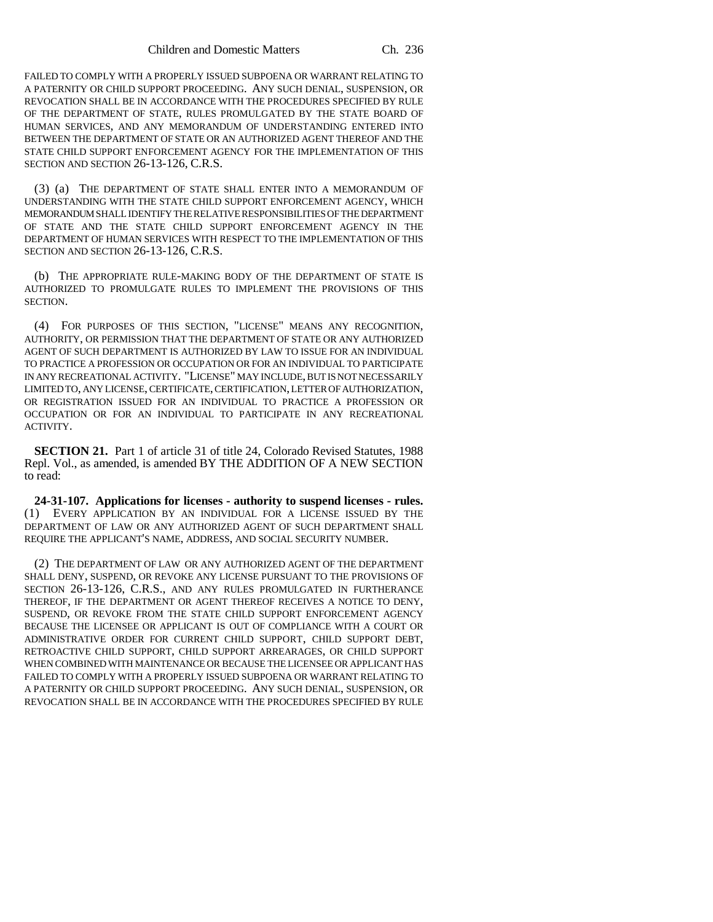FAILED TO COMPLY WITH A PROPERLY ISSUED SUBPOENA OR WARRANT RELATING TO A PATERNITY OR CHILD SUPPORT PROCEEDING. ANY SUCH DENIAL, SUSPENSION, OR REVOCATION SHALL BE IN ACCORDANCE WITH THE PROCEDURES SPECIFIED BY RULE OF THE DEPARTMENT OF STATE, RULES PROMULGATED BY THE STATE BOARD OF HUMAN SERVICES, AND ANY MEMORANDUM OF UNDERSTANDING ENTERED INTO BETWEEN THE DEPARTMENT OF STATE OR AN AUTHORIZED AGENT THEREOF AND THE STATE CHILD SUPPORT ENFORCEMENT AGENCY FOR THE IMPLEMENTATION OF THIS SECTION AND SECTION 26-13-126, C.R.S.

(3) (a) THE DEPARTMENT OF STATE SHALL ENTER INTO A MEMORANDUM OF UNDERSTANDING WITH THE STATE CHILD SUPPORT ENFORCEMENT AGENCY, WHICH MEMORANDUM SHALL IDENTIFY THE RELATIVE RESPONSIBILITIES OF THE DEPARTMENT OF STATE AND THE STATE CHILD SUPPORT ENFORCEMENT AGENCY IN THE DEPARTMENT OF HUMAN SERVICES WITH RESPECT TO THE IMPLEMENTATION OF THIS SECTION AND SECTION 26-13-126, C.R.S.

(b) THE APPROPRIATE RULE-MAKING BODY OF THE DEPARTMENT OF STATE IS AUTHORIZED TO PROMULGATE RULES TO IMPLEMENT THE PROVISIONS OF THIS SECTION.

(4) FOR PURPOSES OF THIS SECTION, "LICENSE" MEANS ANY RECOGNITION, AUTHORITY, OR PERMISSION THAT THE DEPARTMENT OF STATE OR ANY AUTHORIZED AGENT OF SUCH DEPARTMENT IS AUTHORIZED BY LAW TO ISSUE FOR AN INDIVIDUAL TO PRACTICE A PROFESSION OR OCCUPATION OR FOR AN INDIVIDUAL TO PARTICIPATE IN ANY RECREATIONAL ACTIVITY. "LICENSE" MAY INCLUDE, BUT IS NOT NECESSARILY LIMITED TO, ANY LICENSE, CERTIFICATE, CERTIFICATION, LETTER OF AUTHORIZATION, OR REGISTRATION ISSUED FOR AN INDIVIDUAL TO PRACTICE A PROFESSION OR OCCUPATION OR FOR AN INDIVIDUAL TO PARTICIPATE IN ANY RECREATIONAL ACTIVITY.

**SECTION 21.** Part 1 of article 31 of title 24, Colorado Revised Statutes, 1988 Repl. Vol., as amended, is amended BY THE ADDITION OF A NEW SECTION to read:

**24-31-107. Applications for licenses - authority to suspend licenses - rules.** (1) EVERY APPLICATION BY AN INDIVIDUAL FOR A LICENSE ISSUED BY THE DEPARTMENT OF LAW OR ANY AUTHORIZED AGENT OF SUCH DEPARTMENT SHALL REQUIRE THE APPLICANT'S NAME, ADDRESS, AND SOCIAL SECURITY NUMBER.

(2) THE DEPARTMENT OF LAW OR ANY AUTHORIZED AGENT OF THE DEPARTMENT SHALL DENY, SUSPEND, OR REVOKE ANY LICENSE PURSUANT TO THE PROVISIONS OF SECTION 26-13-126, C.R.S., AND ANY RULES PROMULGATED IN FURTHERANCE THEREOF, IF THE DEPARTMENT OR AGENT THEREOF RECEIVES A NOTICE TO DENY, SUSPEND, OR REVOKE FROM THE STATE CHILD SUPPORT ENFORCEMENT AGENCY BECAUSE THE LICENSEE OR APPLICANT IS OUT OF COMPLIANCE WITH A COURT OR ADMINISTRATIVE ORDER FOR CURRENT CHILD SUPPORT, CHILD SUPPORT DEBT, RETROACTIVE CHILD SUPPORT, CHILD SUPPORT ARREARAGES, OR CHILD SUPPORT WHEN COMBINED WITH MAINTENANCE OR BECAUSE THE LICENSEE OR APPLICANT HAS FAILED TO COMPLY WITH A PROPERLY ISSUED SUBPOENA OR WARRANT RELATING TO A PATERNITY OR CHILD SUPPORT PROCEEDING. ANY SUCH DENIAL, SUSPENSION, OR REVOCATION SHALL BE IN ACCORDANCE WITH THE PROCEDURES SPECIFIED BY RULE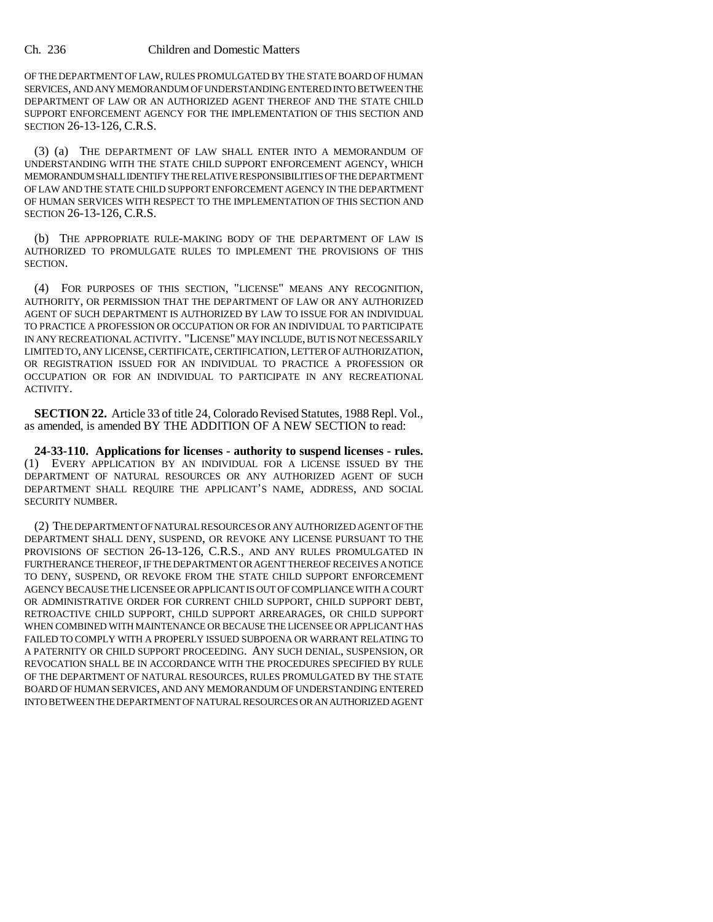OF THE DEPARTMENT OF LAW, RULES PROMULGATED BY THE STATE BOARD OF HUMAN SERVICES, AND ANY MEMORANDUM OF UNDERSTANDING ENTERED INTO BETWEEN THE DEPARTMENT OF LAW OR AN AUTHORIZED AGENT THEREOF AND THE STATE CHILD SUPPORT ENFORCEMENT AGENCY FOR THE IMPLEMENTATION OF THIS SECTION AND SECTION 26-13-126, C.R.S.

(3) (a) THE DEPARTMENT OF LAW SHALL ENTER INTO A MEMORANDUM OF UNDERSTANDING WITH THE STATE CHILD SUPPORT ENFORCEMENT AGENCY, WHICH MEMORANDUM SHALL IDENTIFY THE RELATIVE RESPONSIBILITIES OF THE DEPARTMENT OF LAW AND THE STATE CHILD SUPPORT ENFORCEMENT AGENCY IN THE DEPARTMENT OF HUMAN SERVICES WITH RESPECT TO THE IMPLEMENTATION OF THIS SECTION AND SECTION 26-13-126, C.R.S.

(b) THE APPROPRIATE RULE-MAKING BODY OF THE DEPARTMENT OF LAW IS AUTHORIZED TO PROMULGATE RULES TO IMPLEMENT THE PROVISIONS OF THIS SECTION.

(4) FOR PURPOSES OF THIS SECTION, "LICENSE" MEANS ANY RECOGNITION, AUTHORITY, OR PERMISSION THAT THE DEPARTMENT OF LAW OR ANY AUTHORIZED AGENT OF SUCH DEPARTMENT IS AUTHORIZED BY LAW TO ISSUE FOR AN INDIVIDUAL TO PRACTICE A PROFESSION OR OCCUPATION OR FOR AN INDIVIDUAL TO PARTICIPATE IN ANY RECREATIONAL ACTIVITY. "LICENSE" MAY INCLUDE, BUT IS NOT NECESSARILY LIMITED TO, ANY LICENSE, CERTIFICATE, CERTIFICATION, LETTER OF AUTHORIZATION, OR REGISTRATION ISSUED FOR AN INDIVIDUAL TO PRACTICE A PROFESSION OR OCCUPATION OR FOR AN INDIVIDUAL TO PARTICIPATE IN ANY RECREATIONAL ACTIVITY.

**SECTION 22.** Article 33 of title 24, Colorado Revised Statutes, 1988 Repl. Vol., as amended, is amended BY THE ADDITION OF A NEW SECTION to read:

**24-33-110. Applications for licenses - authority to suspend licenses - rules.** (1) EVERY APPLICATION BY AN INDIVIDUAL FOR A LICENSE ISSUED BY THE DEPARTMENT OF NATURAL RESOURCES OR ANY AUTHORIZED AGENT OF SUCH DEPARTMENT SHALL REQUIRE THE APPLICANT'S NAME, ADDRESS, AND SOCIAL SECURITY NUMBER.

(2) THE DEPARTMENT OF NATURAL RESOURCES OR ANY AUTHORIZED AGENT OF THE DEPARTMENT SHALL DENY, SUSPEND, OR REVOKE ANY LICENSE PURSUANT TO THE PROVISIONS OF SECTION 26-13-126, C.R.S., AND ANY RULES PROMULGATED IN FURTHERANCE THEREOF, IF THE DEPARTMENT OR AGENT THEREOF RECEIVES A NOTICE TO DENY, SUSPEND, OR REVOKE FROM THE STATE CHILD SUPPORT ENFORCEMENT AGENCY BECAUSE THE LICENSEE OR APPLICANT IS OUT OF COMPLIANCE WITH A COURT OR ADMINISTRATIVE ORDER FOR CURRENT CHILD SUPPORT, CHILD SUPPORT DEBT, RETROACTIVE CHILD SUPPORT, CHILD SUPPORT ARREARAGES, OR CHILD SUPPORT WHEN COMBINED WITH MAINTENANCE OR BECAUSE THE LICENSEE OR APPLICANT HAS FAILED TO COMPLY WITH A PROPERLY ISSUED SUBPOENA OR WARRANT RELATING TO A PATERNITY OR CHILD SUPPORT PROCEEDING. ANY SUCH DENIAL, SUSPENSION, OR REVOCATION SHALL BE IN ACCORDANCE WITH THE PROCEDURES SPECIFIED BY RULE OF THE DEPARTMENT OF NATURAL RESOURCES, RULES PROMULGATED BY THE STATE BOARD OF HUMAN SERVICES, AND ANY MEMORANDUM OF UNDERSTANDING ENTERED INTO BETWEEN THE DEPARTMENT OF NATURAL RESOURCES OR AN AUTHORIZED AGENT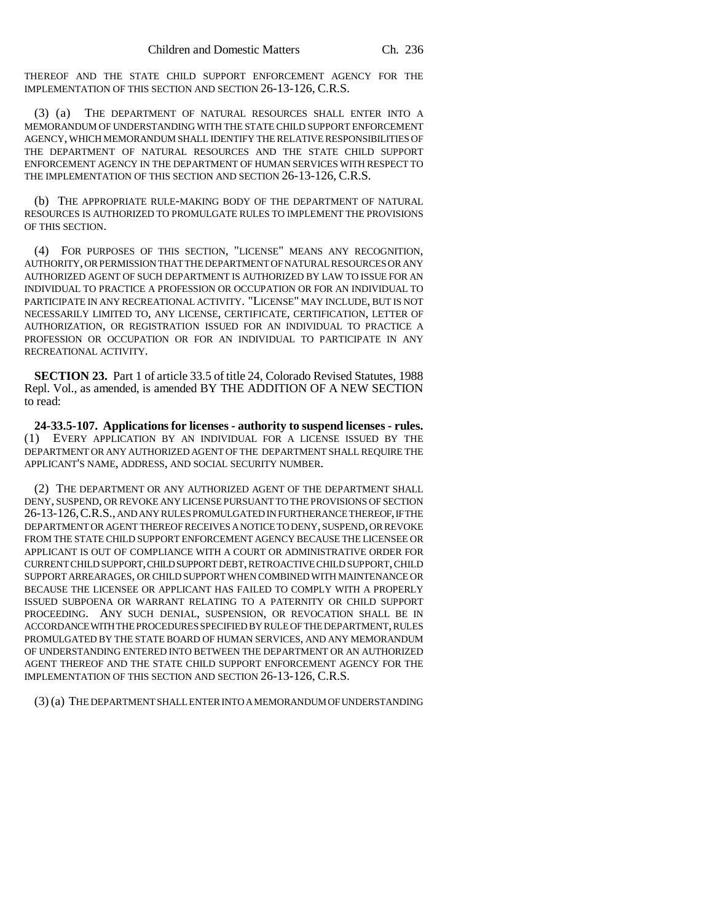THEREOF AND THE STATE CHILD SUPPORT ENFORCEMENT AGENCY FOR THE IMPLEMENTATION OF THIS SECTION AND SECTION 26-13-126, C.R.S.

(3) (a) THE DEPARTMENT OF NATURAL RESOURCES SHALL ENTER INTO A MEMORANDUM OF UNDERSTANDING WITH THE STATE CHILD SUPPORT ENFORCEMENT AGENCY, WHICH MEMORANDUM SHALL IDENTIFY THE RELATIVE RESPONSIBILITIES OF THE DEPARTMENT OF NATURAL RESOURCES AND THE STATE CHILD SUPPORT ENFORCEMENT AGENCY IN THE DEPARTMENT OF HUMAN SERVICES WITH RESPECT TO THE IMPLEMENTATION OF THIS SECTION AND SECTION 26-13-126, C.R.S.

(b) THE APPROPRIATE RULE-MAKING BODY OF THE DEPARTMENT OF NATURAL RESOURCES IS AUTHORIZED TO PROMULGATE RULES TO IMPLEMENT THE PROVISIONS OF THIS SECTION.

(4) FOR PURPOSES OF THIS SECTION, "LICENSE" MEANS ANY RECOGNITION, AUTHORITY, OR PERMISSION THAT THE DEPARTMENT OF NATURAL RESOURCES OR ANY AUTHORIZED AGENT OF SUCH DEPARTMENT IS AUTHORIZED BY LAW TO ISSUE FOR AN INDIVIDUAL TO PRACTICE A PROFESSION OR OCCUPATION OR FOR AN INDIVIDUAL TO PARTICIPATE IN ANY RECREATIONAL ACTIVITY. "LICENSE" MAY INCLUDE, BUT IS NOT NECESSARILY LIMITED TO, ANY LICENSE, CERTIFICATE, CERTIFICATION, LETTER OF AUTHORIZATION, OR REGISTRATION ISSUED FOR AN INDIVIDUAL TO PRACTICE A PROFESSION OR OCCUPATION OR FOR AN INDIVIDUAL TO PARTICIPATE IN ANY RECREATIONAL ACTIVITY.

**SECTION 23.** Part 1 of article 33.5 of title 24, Colorado Revised Statutes, 1988 Repl. Vol., as amended, is amended BY THE ADDITION OF A NEW SECTION to read:

**24-33.5-107. Applications for licenses - authority to suspend licenses - rules.** (1) EVERY APPLICATION BY AN INDIVIDUAL FOR A LICENSE ISSUED BY THE DEPARTMENT OR ANY AUTHORIZED AGENT OF THE DEPARTMENT SHALL REQUIRE THE APPLICANT'S NAME, ADDRESS, AND SOCIAL SECURITY NUMBER.

(2) THE DEPARTMENT OR ANY AUTHORIZED AGENT OF THE DEPARTMENT SHALL DENY, SUSPEND, OR REVOKE ANY LICENSE PURSUANT TO THE PROVISIONS OF SECTION 26-13-126,C.R.S., AND ANY RULES PROMULGATED IN FURTHERANCE THEREOF, IF THE DEPARTMENT OR AGENT THEREOF RECEIVES A NOTICE TO DENY, SUSPEND, OR REVOKE FROM THE STATE CHILD SUPPORT ENFORCEMENT AGENCY BECAUSE THE LICENSEE OR APPLICANT IS OUT OF COMPLIANCE WITH A COURT OR ADMINISTRATIVE ORDER FOR CURRENT CHILD SUPPORT, CHILD SUPPORT DEBT, RETROACTIVE CHILD SUPPORT, CHILD SUPPORT ARREARAGES, OR CHILD SUPPORT WHEN COMBINED WITH MAINTENANCE OR BECAUSE THE LICENSEE OR APPLICANT HAS FAILED TO COMPLY WITH A PROPERLY ISSUED SUBPOENA OR WARRANT RELATING TO A PATERNITY OR CHILD SUPPORT PROCEEDING. ANY SUCH DENIAL, SUSPENSION, OR REVOCATION SHALL BE IN ACCORDANCE WITH THE PROCEDURES SPECIFIED BY RULE OF THE DEPARTMENT, RULES PROMULGATED BY THE STATE BOARD OF HUMAN SERVICES, AND ANY MEMORANDUM OF UNDERSTANDING ENTERED INTO BETWEEN THE DEPARTMENT OR AN AUTHORIZED AGENT THEREOF AND THE STATE CHILD SUPPORT ENFORCEMENT AGENCY FOR THE IMPLEMENTATION OF THIS SECTION AND SECTION 26-13-126, C.R.S.

(3) (a) THE DEPARTMENT SHALL ENTER INTO A MEMORANDUM OF UNDERSTANDING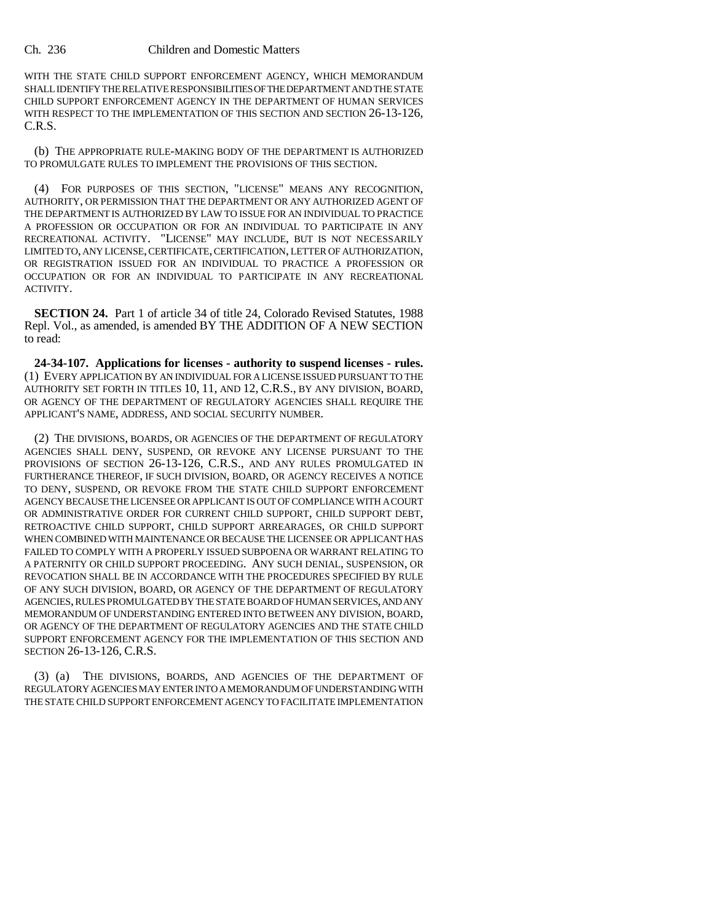WITH THE STATE CHILD SUPPORT ENFORCEMENT AGENCY, WHICH MEMORANDUM SHALL IDENTIFY THE RELATIVE RESPONSIBILITIES OF THE DEPARTMENT AND THE STATE CHILD SUPPORT ENFORCEMENT AGENCY IN THE DEPARTMENT OF HUMAN SERVICES WITH RESPECT TO THE IMPLEMENTATION OF THIS SECTION AND SECTION 26-13-126, C.R.S.

(b) THE APPROPRIATE RULE-MAKING BODY OF THE DEPARTMENT IS AUTHORIZED TO PROMULGATE RULES TO IMPLEMENT THE PROVISIONS OF THIS SECTION.

(4) FOR PURPOSES OF THIS SECTION, "LICENSE" MEANS ANY RECOGNITION, AUTHORITY, OR PERMISSION THAT THE DEPARTMENT OR ANY AUTHORIZED AGENT OF THE DEPARTMENT IS AUTHORIZED BY LAW TO ISSUE FOR AN INDIVIDUAL TO PRACTICE A PROFESSION OR OCCUPATION OR FOR AN INDIVIDUAL TO PARTICIPATE IN ANY RECREATIONAL ACTIVITY. "LICENSE" MAY INCLUDE, BUT IS NOT NECESSARILY LIMITED TO, ANY LICENSE, CERTIFICATE, CERTIFICATION, LETTER OF AUTHORIZATION, OR REGISTRATION ISSUED FOR AN INDIVIDUAL TO PRACTICE A PROFESSION OR OCCUPATION OR FOR AN INDIVIDUAL TO PARTICIPATE IN ANY RECREATIONAL ACTIVITY.

**SECTION 24.** Part 1 of article 34 of title 24, Colorado Revised Statutes, 1988 Repl. Vol., as amended, is amended BY THE ADDITION OF A NEW SECTION to read:

**24-34-107. Applications for licenses - authority to suspend licenses - rules.** (1) EVERY APPLICATION BY AN INDIVIDUAL FOR A LICENSE ISSUED PURSUANT TO THE AUTHORITY SET FORTH IN TITLES 10, 11, AND 12, C.R.S., BY ANY DIVISION, BOARD, OR AGENCY OF THE DEPARTMENT OF REGULATORY AGENCIES SHALL REQUIRE THE APPLICANT'S NAME, ADDRESS, AND SOCIAL SECURITY NUMBER.

(2) THE DIVISIONS, BOARDS, OR AGENCIES OF THE DEPARTMENT OF REGULATORY AGENCIES SHALL DENY, SUSPEND, OR REVOKE ANY LICENSE PURSUANT TO THE PROVISIONS OF SECTION 26-13-126, C.R.S., AND ANY RULES PROMULGATED IN FURTHERANCE THEREOF, IF SUCH DIVISION, BOARD, OR AGENCY RECEIVES A NOTICE TO DENY, SUSPEND, OR REVOKE FROM THE STATE CHILD SUPPORT ENFORCEMENT AGENCY BECAUSE THE LICENSEE OR APPLICANT IS OUT OF COMPLIANCE WITH A COURT OR ADMINISTRATIVE ORDER FOR CURRENT CHILD SUPPORT, CHILD SUPPORT DEBT, RETROACTIVE CHILD SUPPORT, CHILD SUPPORT ARREARAGES, OR CHILD SUPPORT WHEN COMBINED WITH MAINTENANCE OR BECAUSE THE LICENSEE OR APPLICANT HAS FAILED TO COMPLY WITH A PROPERLY ISSUED SUBPOENA OR WARRANT RELATING TO A PATERNITY OR CHILD SUPPORT PROCEEDING. ANY SUCH DENIAL, SUSPENSION, OR REVOCATION SHALL BE IN ACCORDANCE WITH THE PROCEDURES SPECIFIED BY RULE OF ANY SUCH DIVISION, BOARD, OR AGENCY OF THE DEPARTMENT OF REGULATORY AGENCIES, RULES PROMULGATED BY THE STATE BOARD OF HUMAN SERVICES, AND ANY MEMORANDUM OF UNDERSTANDING ENTERED INTO BETWEEN ANY DIVISION, BOARD, OR AGENCY OF THE DEPARTMENT OF REGULATORY AGENCIES AND THE STATE CHILD SUPPORT ENFORCEMENT AGENCY FOR THE IMPLEMENTATION OF THIS SECTION AND SECTION 26-13-126, C.R.S.

(3) (a) THE DIVISIONS, BOARDS, AND AGENCIES OF THE DEPARTMENT OF REGULATORY AGENCIES MAY ENTER INTO A MEMORANDUM OF UNDERSTANDING WITH THE STATE CHILD SUPPORT ENFORCEMENT AGENCY TO FACILITATE IMPLEMENTATION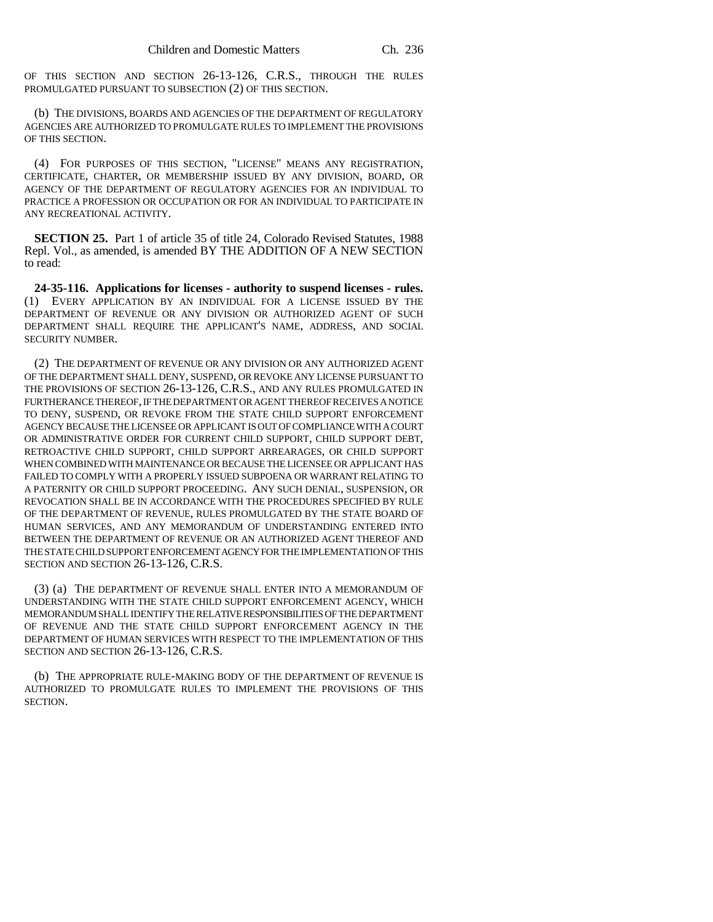OF THIS SECTION AND SECTION 26-13-126, C.R.S., THROUGH THE RULES PROMULGATED PURSUANT TO SUBSECTION (2) OF THIS SECTION.

(b) THE DIVISIONS, BOARDS AND AGENCIES OF THE DEPARTMENT OF REGULATORY AGENCIES ARE AUTHORIZED TO PROMULGATE RULES TO IMPLEMENT THE PROVISIONS OF THIS SECTION.

(4) FOR PURPOSES OF THIS SECTION, "LICENSE" MEANS ANY REGISTRATION, CERTIFICATE, CHARTER, OR MEMBERSHIP ISSUED BY ANY DIVISION, BOARD, OR AGENCY OF THE DEPARTMENT OF REGULATORY AGENCIES FOR AN INDIVIDUAL TO PRACTICE A PROFESSION OR OCCUPATION OR FOR AN INDIVIDUAL TO PARTICIPATE IN ANY RECREATIONAL ACTIVITY.

**SECTION 25.** Part 1 of article 35 of title 24, Colorado Revised Statutes, 1988 Repl. Vol., as amended, is amended BY THE ADDITION OF A NEW SECTION to read:

**24-35-116. Applications for licenses - authority to suspend licenses - rules.** (1) EVERY APPLICATION BY AN INDIVIDUAL FOR A LICENSE ISSUED BY THE DEPARTMENT OF REVENUE OR ANY DIVISION OR AUTHORIZED AGENT OF SUCH DEPARTMENT SHALL REQUIRE THE APPLICANT'S NAME, ADDRESS, AND SOCIAL SECURITY NUMBER.

(2) THE DEPARTMENT OF REVENUE OR ANY DIVISION OR ANY AUTHORIZED AGENT OF THE DEPARTMENT SHALL DENY, SUSPEND, OR REVOKE ANY LICENSE PURSUANT TO THE PROVISIONS OF SECTION 26-13-126, C.R.S., AND ANY RULES PROMULGATED IN FURTHERANCE THEREOF, IF THE DEPARTMENT OR AGENT THEREOF RECEIVES A NOTICE TO DENY, SUSPEND, OR REVOKE FROM THE STATE CHILD SUPPORT ENFORCEMENT AGENCY BECAUSE THE LICENSEE OR APPLICANT IS OUT OF COMPLIANCE WITH A COURT OR ADMINISTRATIVE ORDER FOR CURRENT CHILD SUPPORT, CHILD SUPPORT DEBT, RETROACTIVE CHILD SUPPORT, CHILD SUPPORT ARREARAGES, OR CHILD SUPPORT WHEN COMBINED WITH MAINTENANCE OR BECAUSE THE LICENSEE OR APPLICANT HAS FAILED TO COMPLY WITH A PROPERLY ISSUED SUBPOENA OR WARRANT RELATING TO A PATERNITY OR CHILD SUPPORT PROCEEDING. ANY SUCH DENIAL, SUSPENSION, OR REVOCATION SHALL BE IN ACCORDANCE WITH THE PROCEDURES SPECIFIED BY RULE OF THE DEPARTMENT OF REVENUE, RULES PROMULGATED BY THE STATE BOARD OF HUMAN SERVICES, AND ANY MEMORANDUM OF UNDERSTANDING ENTERED INTO BETWEEN THE DEPARTMENT OF REVENUE OR AN AUTHORIZED AGENT THEREOF AND THE STATE CHILD SUPPORT ENFORCEMENT AGENCY FOR THE IMPLEMENTATION OF THIS SECTION AND SECTION 26-13-126, C.R.S.

(3) (a) THE DEPARTMENT OF REVENUE SHALL ENTER INTO A MEMORANDUM OF UNDERSTANDING WITH THE STATE CHILD SUPPORT ENFORCEMENT AGENCY, WHICH MEMORANDUM SHALL IDENTIFY THE RELATIVE RESPONSIBILITIES OF THE DEPARTMENT OF REVENUE AND THE STATE CHILD SUPPORT ENFORCEMENT AGENCY IN THE DEPARTMENT OF HUMAN SERVICES WITH RESPECT TO THE IMPLEMENTATION OF THIS SECTION AND SECTION 26-13-126, C.R.S.

(b) THE APPROPRIATE RULE-MAKING BODY OF THE DEPARTMENT OF REVENUE IS AUTHORIZED TO PROMULGATE RULES TO IMPLEMENT THE PROVISIONS OF THIS SECTION.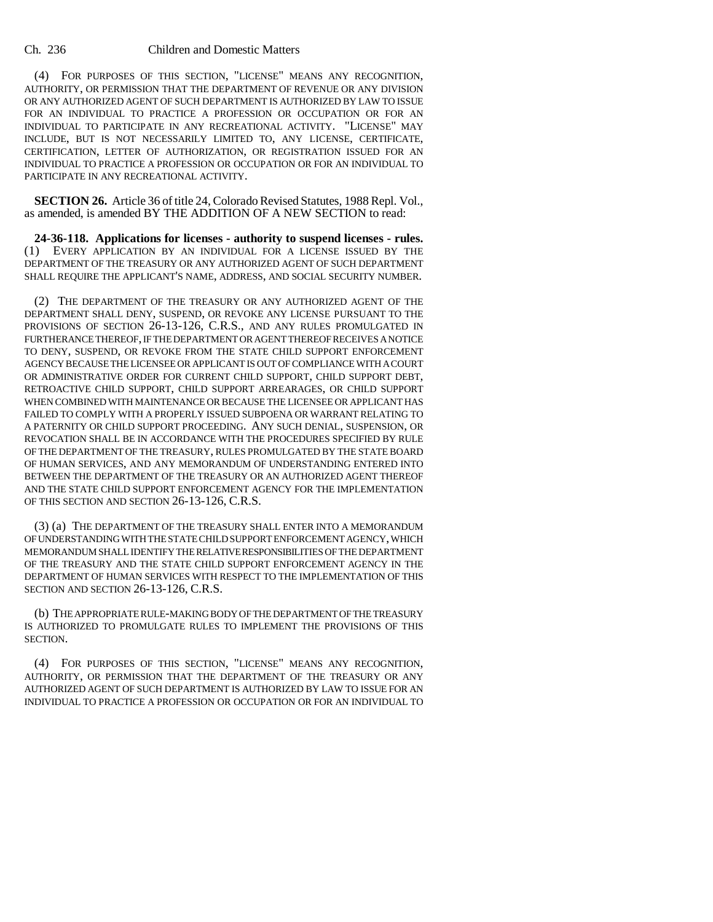(4) FOR PURPOSES OF THIS SECTION, "LICENSE" MEANS ANY RECOGNITION, AUTHORITY, OR PERMISSION THAT THE DEPARTMENT OF REVENUE OR ANY DIVISION OR ANY AUTHORIZED AGENT OF SUCH DEPARTMENT IS AUTHORIZED BY LAW TO ISSUE FOR AN INDIVIDUAL TO PRACTICE A PROFESSION OR OCCUPATION OR FOR AN INDIVIDUAL TO PARTICIPATE IN ANY RECREATIONAL ACTIVITY. "LICENSE" MAY INCLUDE, BUT IS NOT NECESSARILY LIMITED TO, ANY LICENSE, CERTIFICATE, CERTIFICATION, LETTER OF AUTHORIZATION, OR REGISTRATION ISSUED FOR AN INDIVIDUAL TO PRACTICE A PROFESSION OR OCCUPATION OR FOR AN INDIVIDUAL TO PARTICIPATE IN ANY RECREATIONAL ACTIVITY.

**SECTION 26.** Article 36 of title 24, Colorado Revised Statutes, 1988 Repl. Vol., as amended, is amended BY THE ADDITION OF A NEW SECTION to read:

**24-36-118. Applications for licenses - authority to suspend licenses - rules.** (1) EVERY APPLICATION BY AN INDIVIDUAL FOR A LICENSE ISSUED BY THE DEPARTMENT OF THE TREASURY OR ANY AUTHORIZED AGENT OF SUCH DEPARTMENT SHALL REQUIRE THE APPLICANT'S NAME, ADDRESS, AND SOCIAL SECURITY NUMBER.

(2) THE DEPARTMENT OF THE TREASURY OR ANY AUTHORIZED AGENT OF THE DEPARTMENT SHALL DENY, SUSPEND, OR REVOKE ANY LICENSE PURSUANT TO THE PROVISIONS OF SECTION 26-13-126, C.R.S., AND ANY RULES PROMULGATED IN FURTHERANCE THEREOF, IF THE DEPARTMENT OR AGENT THEREOF RECEIVES A NOTICE TO DENY, SUSPEND, OR REVOKE FROM THE STATE CHILD SUPPORT ENFORCEMENT AGENCY BECAUSE THE LICENSEE OR APPLICANT IS OUT OF COMPLIANCE WITH A COURT OR ADMINISTRATIVE ORDER FOR CURRENT CHILD SUPPORT, CHILD SUPPORT DEBT, RETROACTIVE CHILD SUPPORT, CHILD SUPPORT ARREARAGES, OR CHILD SUPPORT WHEN COMBINED WITH MAINTENANCE OR BECAUSE THE LICENSEE OR APPLICANT HAS FAILED TO COMPLY WITH A PROPERLY ISSUED SUBPOENA OR WARRANT RELATING TO A PATERNITY OR CHILD SUPPORT PROCEEDING. ANY SUCH DENIAL, SUSPENSION, OR REVOCATION SHALL BE IN ACCORDANCE WITH THE PROCEDURES SPECIFIED BY RULE OF THE DEPARTMENT OF THE TREASURY, RULES PROMULGATED BY THE STATE BOARD OF HUMAN SERVICES, AND ANY MEMORANDUM OF UNDERSTANDING ENTERED INTO BETWEEN THE DEPARTMENT OF THE TREASURY OR AN AUTHORIZED AGENT THEREOF AND THE STATE CHILD SUPPORT ENFORCEMENT AGENCY FOR THE IMPLEMENTATION OF THIS SECTION AND SECTION 26-13-126, C.R.S.

(3) (a) THE DEPARTMENT OF THE TREASURY SHALL ENTER INTO A MEMORANDUM OF UNDERSTANDING WITH THE STATE CHILD SUPPORT ENFORCEMENT AGENCY, WHICH MEMORANDUM SHALL IDENTIFY THE RELATIVE RESPONSIBILITIES OF THE DEPARTMENT OF THE TREASURY AND THE STATE CHILD SUPPORT ENFORCEMENT AGENCY IN THE DEPARTMENT OF HUMAN SERVICES WITH RESPECT TO THE IMPLEMENTATION OF THIS SECTION AND SECTION 26-13-126, C.R.S.

(b) THE APPROPRIATE RULE-MAKING BODY OF THE DEPARTMENT OF THE TREASURY IS AUTHORIZED TO PROMULGATE RULES TO IMPLEMENT THE PROVISIONS OF THIS SECTION.

(4) FOR PURPOSES OF THIS SECTION, "LICENSE" MEANS ANY RECOGNITION, AUTHORITY, OR PERMISSION THAT THE DEPARTMENT OF THE TREASURY OR ANY AUTHORIZED AGENT OF SUCH DEPARTMENT IS AUTHORIZED BY LAW TO ISSUE FOR AN INDIVIDUAL TO PRACTICE A PROFESSION OR OCCUPATION OR FOR AN INDIVIDUAL TO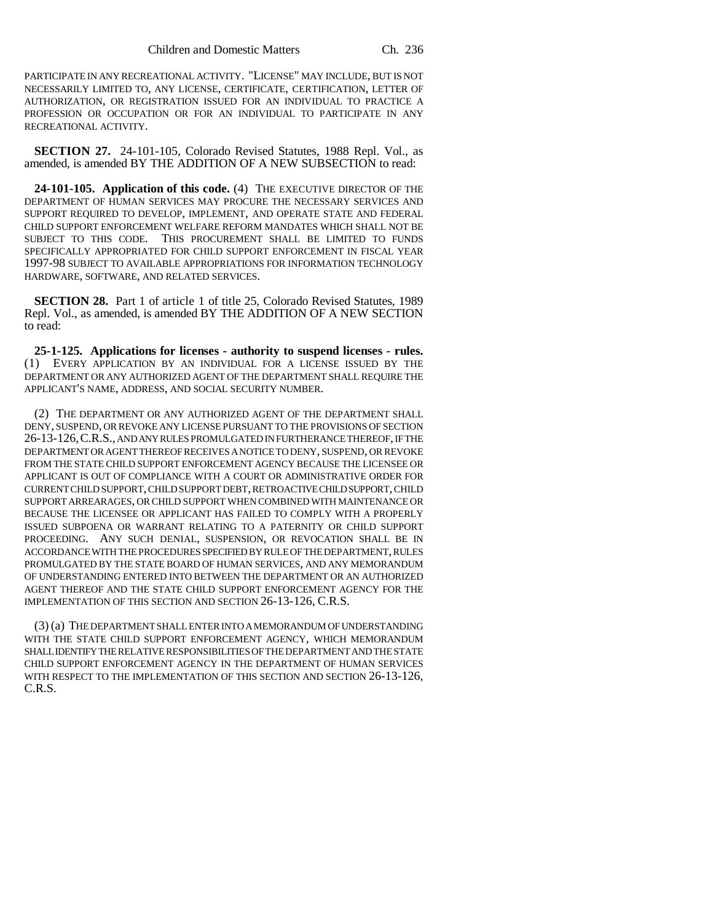PARTICIPATE IN ANY RECREATIONAL ACTIVITY. "LICENSE" MAY INCLUDE, BUT IS NOT NECESSARILY LIMITED TO, ANY LICENSE, CERTIFICATE, CERTIFICATION, LETTER OF AUTHORIZATION, OR REGISTRATION ISSUED FOR AN INDIVIDUAL TO PRACTICE A PROFESSION OR OCCUPATION OR FOR AN INDIVIDUAL TO PARTICIPATE IN ANY RECREATIONAL ACTIVITY.

**SECTION 27.** 24-101-105, Colorado Revised Statutes, 1988 Repl. Vol., as amended, is amended BY THE ADDITION OF A NEW SUBSECTION to read:

**24-101-105. Application of this code.** (4) THE EXECUTIVE DIRECTOR OF THE DEPARTMENT OF HUMAN SERVICES MAY PROCURE THE NECESSARY SERVICES AND SUPPORT REQUIRED TO DEVELOP, IMPLEMENT, AND OPERATE STATE AND FEDERAL CHILD SUPPORT ENFORCEMENT WELFARE REFORM MANDATES WHICH SHALL NOT BE SUBJECT TO THIS CODE. THIS PROCUREMENT SHALL BE LIMITED TO FUNDS SPECIFICALLY APPROPRIATED FOR CHILD SUPPORT ENFORCEMENT IN FISCAL YEAR 1997-98 SUBJECT TO AVAILABLE APPROPRIATIONS FOR INFORMATION TECHNOLOGY HARDWARE, SOFTWARE, AND RELATED SERVICES.

**SECTION 28.** Part 1 of article 1 of title 25, Colorado Revised Statutes, 1989 Repl. Vol., as amended, is amended BY THE ADDITION OF A NEW SECTION to read:

**25-1-125. Applications for licenses - authority to suspend licenses - rules.** (1) EVERY APPLICATION BY AN INDIVIDUAL FOR A LICENSE ISSUED BY THE DEPARTMENT OR ANY AUTHORIZED AGENT OF THE DEPARTMENT SHALL REQUIRE THE APPLICANT'S NAME, ADDRESS, AND SOCIAL SECURITY NUMBER.

(2) THE DEPARTMENT OR ANY AUTHORIZED AGENT OF THE DEPARTMENT SHALL DENY, SUSPEND, OR REVOKE ANY LICENSE PURSUANT TO THE PROVISIONS OF SECTION 26-13-126,C.R.S., AND ANY RULES PROMULGATED IN FURTHERANCE THEREOF, IF THE DEPARTMENT OR AGENT THEREOF RECEIVES A NOTICE TO DENY, SUSPEND, OR REVOKE FROM THE STATE CHILD SUPPORT ENFORCEMENT AGENCY BECAUSE THE LICENSEE OR APPLICANT IS OUT OF COMPLIANCE WITH A COURT OR ADMINISTRATIVE ORDER FOR CURRENT CHILD SUPPORT, CHILD SUPPORT DEBT, RETROACTIVE CHILD SUPPORT, CHILD SUPPORT ARREARAGES, OR CHILD SUPPORT WHEN COMBINED WITH MAINTENANCE OR BECAUSE THE LICENSEE OR APPLICANT HAS FAILED TO COMPLY WITH A PROPERLY ISSUED SUBPOENA OR WARRANT RELATING TO A PATERNITY OR CHILD SUPPORT PROCEEDING. ANY SUCH DENIAL, SUSPENSION, OR REVOCATION SHALL BE IN ACCORDANCE WITH THE PROCEDURES SPECIFIED BY RULE OF THE DEPARTMENT, RULES PROMULGATED BY THE STATE BOARD OF HUMAN SERVICES, AND ANY MEMORANDUM OF UNDERSTANDING ENTERED INTO BETWEEN THE DEPARTMENT OR AN AUTHORIZED AGENT THEREOF AND THE STATE CHILD SUPPORT ENFORCEMENT AGENCY FOR THE IMPLEMENTATION OF THIS SECTION AND SECTION 26-13-126, C.R.S.

(3) (a) THE DEPARTMENT SHALL ENTER INTO A MEMORANDUM OF UNDERSTANDING WITH THE STATE CHILD SUPPORT ENFORCEMENT AGENCY, WHICH MEMORANDUM SHALL IDENTIFY THE RELATIVE RESPONSIBILITIES OF THE DEPARTMENT AND THE STATE CHILD SUPPORT ENFORCEMENT AGENCY IN THE DEPARTMENT OF HUMAN SERVICES WITH RESPECT TO THE IMPLEMENTATION OF THIS SECTION AND SECTION 26-13-126. C.R.S.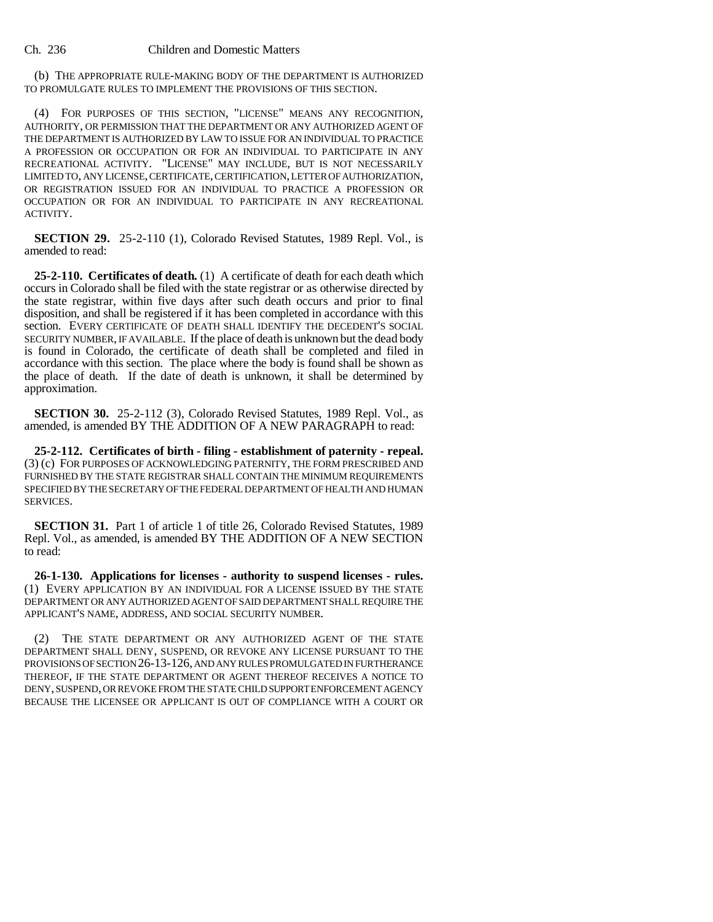(b) THE APPROPRIATE RULE-MAKING BODY OF THE DEPARTMENT IS AUTHORIZED TO PROMULGATE RULES TO IMPLEMENT THE PROVISIONS OF THIS SECTION.

(4) FOR PURPOSES OF THIS SECTION, "LICENSE" MEANS ANY RECOGNITION, AUTHORITY, OR PERMISSION THAT THE DEPARTMENT OR ANY AUTHORIZED AGENT OF THE DEPARTMENT IS AUTHORIZED BY LAW TO ISSUE FOR AN INDIVIDUAL TO PRACTICE A PROFESSION OR OCCUPATION OR FOR AN INDIVIDUAL TO PARTICIPATE IN ANY RECREATIONAL ACTIVITY. "LICENSE" MAY INCLUDE, BUT IS NOT NECESSARILY LIMITED TO, ANY LICENSE, CERTIFICATE, CERTIFICATION, LETTER OF AUTHORIZATION, OR REGISTRATION ISSUED FOR AN INDIVIDUAL TO PRACTICE A PROFESSION OR OCCUPATION OR FOR AN INDIVIDUAL TO PARTICIPATE IN ANY RECREATIONAL ACTIVITY.

**SECTION 29.** 25-2-110 (1), Colorado Revised Statutes, 1989 Repl. Vol., is amended to read:

**25-2-110. Certificates of death.** (1) A certificate of death for each death which occurs in Colorado shall be filed with the state registrar or as otherwise directed by the state registrar, within five days after such death occurs and prior to final disposition, and shall be registered if it has been completed in accordance with this section. EVERY CERTIFICATE OF DEATH SHALL IDENTIFY THE DECEDENT'S SOCIAL SECURITY NUMBER, IF AVAILABLE. If the place of death is unknown but the dead body is found in Colorado, the certificate of death shall be completed and filed in accordance with this section. The place where the body is found shall be shown as the place of death. If the date of death is unknown, it shall be determined by approximation.

**SECTION 30.** 25-2-112 (3), Colorado Revised Statutes, 1989 Repl. Vol., as amended, is amended BY THE ADDITION OF A NEW PARAGRAPH to read:

**25-2-112. Certificates of birth - filing - establishment of paternity - repeal.** (3) (c) FOR PURPOSES OF ACKNOWLEDGING PATERNITY, THE FORM PRESCRIBED AND FURNISHED BY THE STATE REGISTRAR SHALL CONTAIN THE MINIMUM REQUIREMENTS SPECIFIED BY THE SECRETARY OF THE FEDERAL DEPARTMENT OF HEALTH AND HUMAN SERVICES.

**SECTION 31.** Part 1 of article 1 of title 26, Colorado Revised Statutes, 1989 Repl. Vol., as amended, is amended BY THE ADDITION OF A NEW SECTION to read:

**26-1-130. Applications for licenses - authority to suspend licenses - rules.** (1) EVERY APPLICATION BY AN INDIVIDUAL FOR A LICENSE ISSUED BY THE STATE DEPARTMENT OR ANY AUTHORIZED AGENT OF SAID DEPARTMENT SHALL REQUIRE THE APPLICANT'S NAME, ADDRESS, AND SOCIAL SECURITY NUMBER.

THE STATE DEPARTMENT OR ANY AUTHORIZED AGENT OF THE STATE DEPARTMENT SHALL DENY, SUSPEND, OR REVOKE ANY LICENSE PURSUANT TO THE PROVISIONS OF SECTION 26-13-126, AND ANY RULES PROMULGATED IN FURTHERANCE THEREOF, IF THE STATE DEPARTMENT OR AGENT THEREOF RECEIVES A NOTICE TO DENY, SUSPEND, OR REVOKE FROM THE STATE CHILD SUPPORT ENFORCEMENT AGENCY BECAUSE THE LICENSEE OR APPLICANT IS OUT OF COMPLIANCE WITH A COURT OR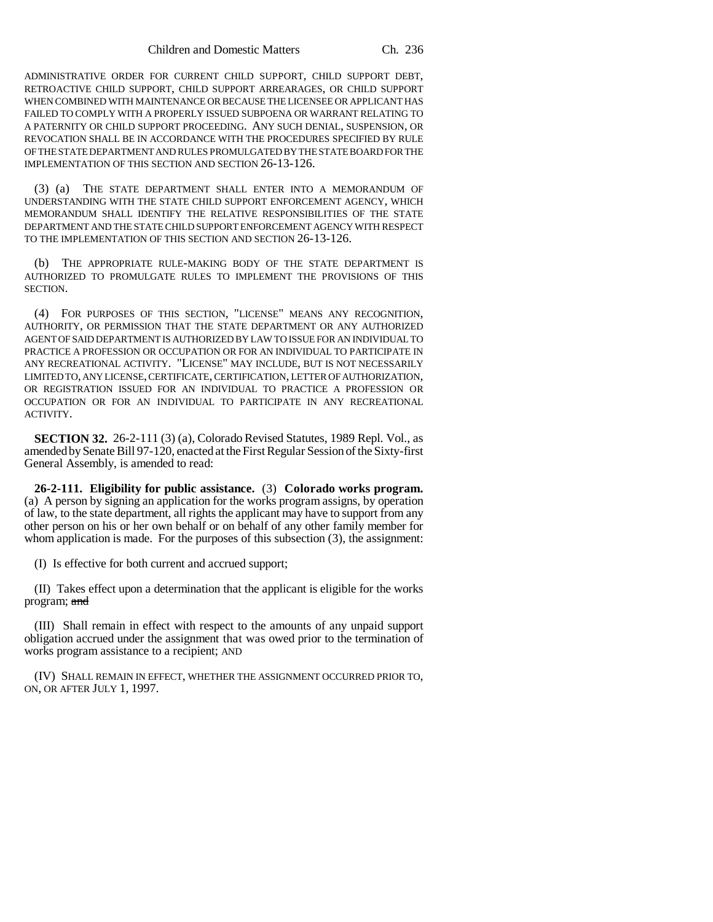ADMINISTRATIVE ORDER FOR CURRENT CHILD SUPPORT, CHILD SUPPORT DEBT, RETROACTIVE CHILD SUPPORT, CHILD SUPPORT ARREARAGES, OR CHILD SUPPORT WHEN COMBINED WITH MAINTENANCE OR BECAUSE THE LICENSEE OR APPLICANT HAS FAILED TO COMPLY WITH A PROPERLY ISSUED SUBPOENA OR WARRANT RELATING TO A PATERNITY OR CHILD SUPPORT PROCEEDING. ANY SUCH DENIAL, SUSPENSION, OR REVOCATION SHALL BE IN ACCORDANCE WITH THE PROCEDURES SPECIFIED BY RULE OF THE STATE DEPARTMENT AND RULES PROMULGATED BY THE STATE BOARD FOR THE IMPLEMENTATION OF THIS SECTION AND SECTION 26-13-126.

(3) (a) THE STATE DEPARTMENT SHALL ENTER INTO A MEMORANDUM OF UNDERSTANDING WITH THE STATE CHILD SUPPORT ENFORCEMENT AGENCY, WHICH MEMORANDUM SHALL IDENTIFY THE RELATIVE RESPONSIBILITIES OF THE STATE DEPARTMENT AND THE STATE CHILD SUPPORT ENFORCEMENT AGENCY WITH RESPECT TO THE IMPLEMENTATION OF THIS SECTION AND SECTION 26-13-126.

(b) THE APPROPRIATE RULE-MAKING BODY OF THE STATE DEPARTMENT IS AUTHORIZED TO PROMULGATE RULES TO IMPLEMENT THE PROVISIONS OF THIS SECTION.

(4) FOR PURPOSES OF THIS SECTION, "LICENSE" MEANS ANY RECOGNITION, AUTHORITY, OR PERMISSION THAT THE STATE DEPARTMENT OR ANY AUTHORIZED AGENT OF SAID DEPARTMENT IS AUTHORIZED BY LAW TO ISSUE FOR AN INDIVIDUAL TO PRACTICE A PROFESSION OR OCCUPATION OR FOR AN INDIVIDUAL TO PARTICIPATE IN ANY RECREATIONAL ACTIVITY. "LICENSE" MAY INCLUDE, BUT IS NOT NECESSARILY LIMITED TO, ANY LICENSE, CERTIFICATE, CERTIFICATION, LETTER OF AUTHORIZATION, OR REGISTRATION ISSUED FOR AN INDIVIDUAL TO PRACTICE A PROFESSION OR OCCUPATION OR FOR AN INDIVIDUAL TO PARTICIPATE IN ANY RECREATIONAL ACTIVITY.

**SECTION 32.** 26-2-111 (3) (a), Colorado Revised Statutes, 1989 Repl. Vol., as amended by Senate Bill 97-120, enacted at the First Regular Session of the Sixty-first General Assembly, is amended to read:

**26-2-111. Eligibility for public assistance.** (3) **Colorado works program.** (a) A person by signing an application for the works program assigns, by operation of law, to the state department, all rights the applicant may have to support from any other person on his or her own behalf or on behalf of any other family member for whom application is made. For the purposes of this subsection (3), the assignment:

(I) Is effective for both current and accrued support;

(II) Takes effect upon a determination that the applicant is eligible for the works program; and

(III) Shall remain in effect with respect to the amounts of any unpaid support obligation accrued under the assignment that was owed prior to the termination of works program assistance to a recipient; AND

(IV) SHALL REMAIN IN EFFECT, WHETHER THE ASSIGNMENT OCCURRED PRIOR TO, ON, OR AFTER JULY 1, 1997.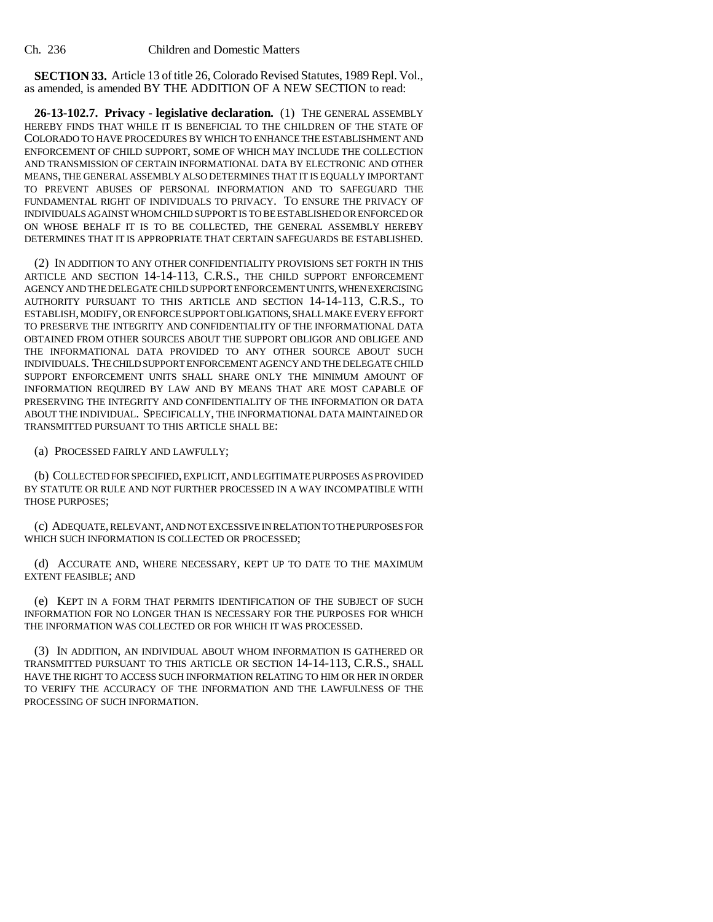**SECTION 33.** Article 13 of title 26, Colorado Revised Statutes, 1989 Repl. Vol., as amended, is amended BY THE ADDITION OF A NEW SECTION to read:

**26-13-102.7. Privacy - legislative declaration.** (1) THE GENERAL ASSEMBLY HEREBY FINDS THAT WHILE IT IS BENEFICIAL TO THE CHILDREN OF THE STATE OF COLORADO TO HAVE PROCEDURES BY WHICH TO ENHANCE THE ESTABLISHMENT AND ENFORCEMENT OF CHILD SUPPORT, SOME OF WHICH MAY INCLUDE THE COLLECTION AND TRANSMISSION OF CERTAIN INFORMATIONAL DATA BY ELECTRONIC AND OTHER MEANS, THE GENERAL ASSEMBLY ALSO DETERMINES THAT IT IS EQUALLY IMPORTANT TO PREVENT ABUSES OF PERSONAL INFORMATION AND TO SAFEGUARD THE FUNDAMENTAL RIGHT OF INDIVIDUALS TO PRIVACY. TO ENSURE THE PRIVACY OF INDIVIDUALS AGAINST WHOM CHILD SUPPORT IS TO BE ESTABLISHED OR ENFORCED OR ON WHOSE BEHALF IT IS TO BE COLLECTED, THE GENERAL ASSEMBLY HEREBY DETERMINES THAT IT IS APPROPRIATE THAT CERTAIN SAFEGUARDS BE ESTABLISHED.

(2) IN ADDITION TO ANY OTHER CONFIDENTIALITY PROVISIONS SET FORTH IN THIS ARTICLE AND SECTION 14-14-113, C.R.S., THE CHILD SUPPORT ENFORCEMENT AGENCY AND THE DELEGATE CHILD SUPPORT ENFORCEMENT UNITS, WHEN EXERCISING AUTHORITY PURSUANT TO THIS ARTICLE AND SECTION 14-14-113, C.R.S., TO ESTABLISH, MODIFY, OR ENFORCE SUPPORT OBLIGATIONS, SHALL MAKE EVERY EFFORT TO PRESERVE THE INTEGRITY AND CONFIDENTIALITY OF THE INFORMATIONAL DATA OBTAINED FROM OTHER SOURCES ABOUT THE SUPPORT OBLIGOR AND OBLIGEE AND THE INFORMATIONAL DATA PROVIDED TO ANY OTHER SOURCE ABOUT SUCH INDIVIDUALS. THE CHILD SUPPORT ENFORCEMENT AGENCY AND THE DELEGATE CHILD SUPPORT ENFORCEMENT UNITS SHALL SHARE ONLY THE MINIMUM AMOUNT OF INFORMATION REQUIRED BY LAW AND BY MEANS THAT ARE MOST CAPABLE OF PRESERVING THE INTEGRITY AND CONFIDENTIALITY OF THE INFORMATION OR DATA ABOUT THE INDIVIDUAL. SPECIFICALLY, THE INFORMATIONAL DATA MAINTAINED OR TRANSMITTED PURSUANT TO THIS ARTICLE SHALL BE:

(a) PROCESSED FAIRLY AND LAWFULLY;

(b) COLLECTED FOR SPECIFIED, EXPLICIT, AND LEGITIMATE PURPOSES AS PROVIDED BY STATUTE OR RULE AND NOT FURTHER PROCESSED IN A WAY INCOMPATIBLE WITH THOSE PURPOSES;

(c) ADEQUATE, RELEVANT, AND NOT EXCESSIVE IN RELATION TO THE PURPOSES FOR WHICH SUCH INFORMATION IS COLLECTED OR PROCESSED;

(d) ACCURATE AND, WHERE NECESSARY, KEPT UP TO DATE TO THE MAXIMUM EXTENT FEASIBLE; AND

(e) KEPT IN A FORM THAT PERMITS IDENTIFICATION OF THE SUBJECT OF SUCH INFORMATION FOR NO LONGER THAN IS NECESSARY FOR THE PURPOSES FOR WHICH THE INFORMATION WAS COLLECTED OR FOR WHICH IT WAS PROCESSED.

(3) IN ADDITION, AN INDIVIDUAL ABOUT WHOM INFORMATION IS GATHERED OR TRANSMITTED PURSUANT TO THIS ARTICLE OR SECTION 14-14-113, C.R.S., SHALL HAVE THE RIGHT TO ACCESS SUCH INFORMATION RELATING TO HIM OR HER IN ORDER TO VERIFY THE ACCURACY OF THE INFORMATION AND THE LAWFULNESS OF THE PROCESSING OF SUCH INFORMATION.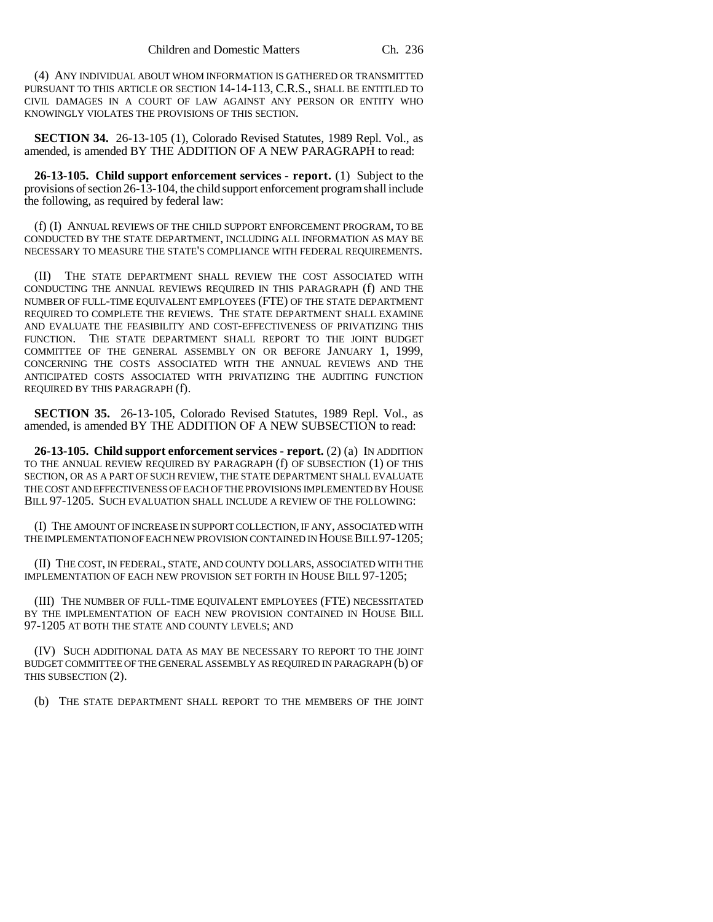(4) ANY INDIVIDUAL ABOUT WHOM INFORMATION IS GATHERED OR TRANSMITTED PURSUANT TO THIS ARTICLE OR SECTION 14-14-113, C.R.S., SHALL BE ENTITLED TO CIVIL DAMAGES IN A COURT OF LAW AGAINST ANY PERSON OR ENTITY WHO KNOWINGLY VIOLATES THE PROVISIONS OF THIS SECTION.

**SECTION 34.** 26-13-105 (1), Colorado Revised Statutes, 1989 Repl. Vol., as amended, is amended BY THE ADDITION OF A NEW PARAGRAPH to read:

**26-13-105. Child support enforcement services - report.** (1) Subject to the provisions of section 26-13-104, the child support enforcement program shall include the following, as required by federal law:

(f) (I) ANNUAL REVIEWS OF THE CHILD SUPPORT ENFORCEMENT PROGRAM, TO BE CONDUCTED BY THE STATE DEPARTMENT, INCLUDING ALL INFORMATION AS MAY BE NECESSARY TO MEASURE THE STATE'S COMPLIANCE WITH FEDERAL REQUIREMENTS.

(II) THE STATE DEPARTMENT SHALL REVIEW THE COST ASSOCIATED WITH CONDUCTING THE ANNUAL REVIEWS REQUIRED IN THIS PARAGRAPH (f) AND THE NUMBER OF FULL-TIME EQUIVALENT EMPLOYEES (FTE) OF THE STATE DEPARTMENT REQUIRED TO COMPLETE THE REVIEWS. THE STATE DEPARTMENT SHALL EXAMINE AND EVALUATE THE FEASIBILITY AND COST-EFFECTIVENESS OF PRIVATIZING THIS FUNCTION. THE STATE DEPARTMENT SHALL REPORT TO THE JOINT BUDGET COMMITTEE OF THE GENERAL ASSEMBLY ON OR BEFORE JANUARY 1, 1999, CONCERNING THE COSTS ASSOCIATED WITH THE ANNUAL REVIEWS AND THE ANTICIPATED COSTS ASSOCIATED WITH PRIVATIZING THE AUDITING FUNCTION REQUIRED BY THIS PARAGRAPH (f).

**SECTION 35.** 26-13-105, Colorado Revised Statutes, 1989 Repl. Vol., as amended, is amended BY THE ADDITION OF A NEW SUBSECTION to read:

**26-13-105. Child support enforcement services - report.** (2) (a) IN ADDITION TO THE ANNUAL REVIEW REQUIRED BY PARAGRAPH (f) OF SUBSECTION (1) OF THIS SECTION, OR AS A PART OF SUCH REVIEW, THE STATE DEPARTMENT SHALL EVALUATE THE COST AND EFFECTIVENESS OF EACH OF THE PROVISIONS IMPLEMENTED BY HOUSE BILL 97-1205. SUCH EVALUATION SHALL INCLUDE A REVIEW OF THE FOLLOWING:

(I) THE AMOUNT OF INCREASE IN SUPPORT COLLECTION, IF ANY, ASSOCIATED WITH THE IMPLEMENTATION OF EACH NEW PROVISION CONTAINED IN HOUSE BILL 97-1205;

(II) THE COST, IN FEDERAL, STATE, AND COUNTY DOLLARS, ASSOCIATED WITH THE IMPLEMENTATION OF EACH NEW PROVISION SET FORTH IN HOUSE BILL 97-1205;

(III) THE NUMBER OF FULL-TIME EQUIVALENT EMPLOYEES (FTE) NECESSITATED BY THE IMPLEMENTATION OF EACH NEW PROVISION CONTAINED IN HOUSE BILL 97-1205 AT BOTH THE STATE AND COUNTY LEVELS; AND

(IV) SUCH ADDITIONAL DATA AS MAY BE NECESSARY TO REPORT TO THE JOINT BUDGET COMMITTEE OF THE GENERAL ASSEMBLY AS REQUIRED IN PARAGRAPH (b) OF THIS SUBSECTION (2).

(b) THE STATE DEPARTMENT SHALL REPORT TO THE MEMBERS OF THE JOINT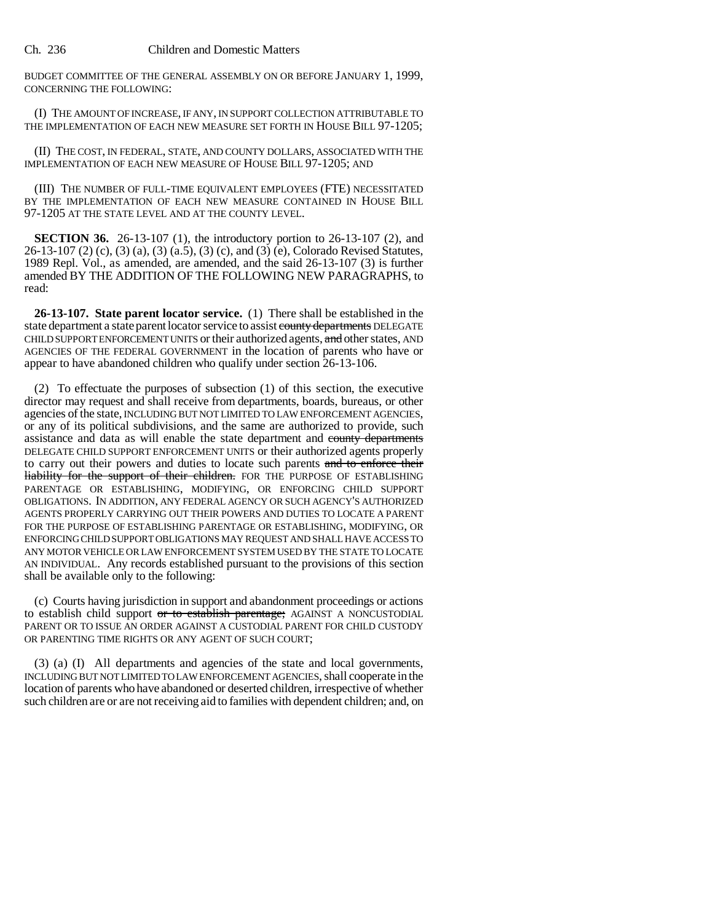BUDGET COMMITTEE OF THE GENERAL ASSEMBLY ON OR BEFORE JANUARY 1, 1999, CONCERNING THE FOLLOWING:

(I) THE AMOUNT OF INCREASE, IF ANY, IN SUPPORT COLLECTION ATTRIBUTABLE TO THE IMPLEMENTATION OF EACH NEW MEASURE SET FORTH IN HOUSE BILL 97-1205;

(II) THE COST, IN FEDERAL, STATE, AND COUNTY DOLLARS, ASSOCIATED WITH THE IMPLEMENTATION OF EACH NEW MEASURE OF HOUSE BILL 97-1205; AND

(III) THE NUMBER OF FULL-TIME EQUIVALENT EMPLOYEES (FTE) NECESSITATED BY THE IMPLEMENTATION OF EACH NEW MEASURE CONTAINED IN HOUSE BILL 97-1205 AT THE STATE LEVEL AND AT THE COUNTY LEVEL.

**SECTION 36.** 26-13-107 (1), the introductory portion to 26-13-107 (2), and 26-13-107 (2) (c), (3) (a), (3) (a.5), (3) (c), and (3) (e), Colorado Revised Statutes, 1989 Repl. Vol., as amended, are amended, and the said 26-13-107 (3) is further amended BY THE ADDITION OF THE FOLLOWING NEW PARAGRAPHS, to read:

**26-13-107. State parent locator service.** (1) There shall be established in the state department a state parent locator service to assist county departments DELEGATE CHILD SUPPORT ENFORCEMENT UNITS or their authorized agents, and other states, AND AGENCIES OF THE FEDERAL GOVERNMENT in the location of parents who have or appear to have abandoned children who qualify under section 26-13-106.

(2) To effectuate the purposes of subsection (1) of this section, the executive director may request and shall receive from departments, boards, bureaus, or other agencies of the state, INCLUDING BUT NOT LIMITED TO LAW ENFORCEMENT AGENCIES, or any of its political subdivisions, and the same are authorized to provide, such assistance and data as will enable the state department and county departments DELEGATE CHILD SUPPORT ENFORCEMENT UNITS or their authorized agents properly to carry out their powers and duties to locate such parents and to enforce their liability for the support of their children. FOR THE PURPOSE OF ESTABLISHING PARENTAGE OR ESTABLISHING, MODIFYING, OR ENFORCING CHILD SUPPORT OBLIGATIONS. IN ADDITION, ANY FEDERAL AGENCY OR SUCH AGENCY'S AUTHORIZED AGENTS PROPERLY CARRYING OUT THEIR POWERS AND DUTIES TO LOCATE A PARENT FOR THE PURPOSE OF ESTABLISHING PARENTAGE OR ESTABLISHING, MODIFYING, OR ENFORCING CHILD SUPPORT OBLIGATIONS MAY REQUEST AND SHALL HAVE ACCESS TO ANY MOTOR VEHICLE OR LAW ENFORCEMENT SYSTEM USED BY THE STATE TO LOCATE AN INDIVIDUAL. Any records established pursuant to the provisions of this section shall be available only to the following:

(c) Courts having jurisdiction in support and abandonment proceedings or actions to establish child support or to establish parentage; AGAINST A NONCUSTODIAL PARENT OR TO ISSUE AN ORDER AGAINST A CUSTODIAL PARENT FOR CHILD CUSTODY OR PARENTING TIME RIGHTS OR ANY AGENT OF SUCH COURT;

(3) (a) (I) All departments and agencies of the state and local governments, INCLUDING BUT NOT LIMITED TO LAW ENFORCEMENT AGENCIES, shall cooperate in the location of parents who have abandoned or deserted children, irrespective of whether such children are or are not receiving aid to families with dependent children; and, on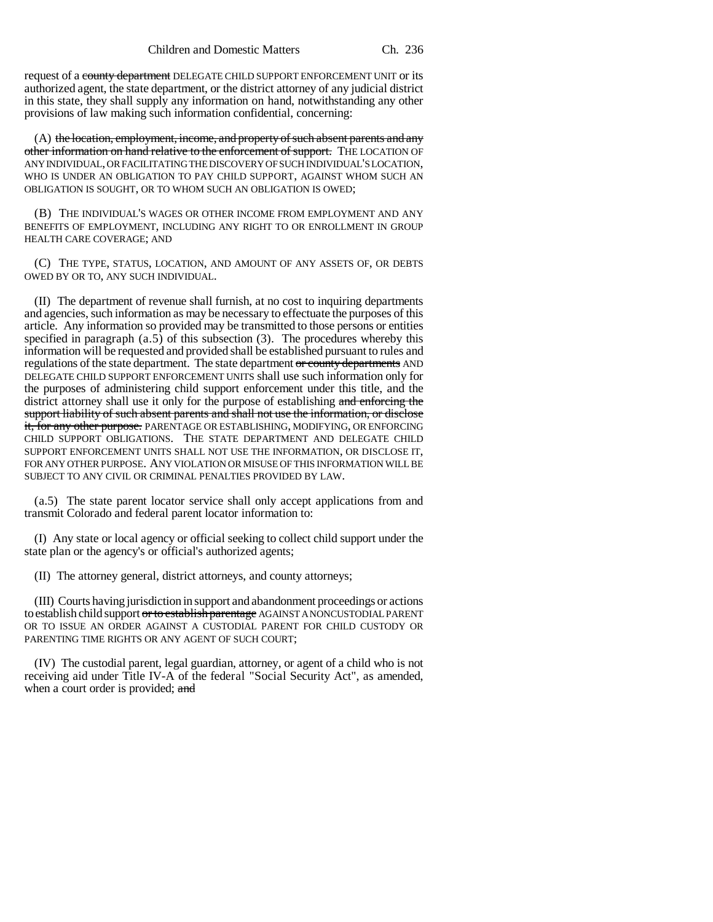request of a county department DELEGATE CHILD SUPPORT ENFORCEMENT UNIT or its authorized agent, the state department, or the district attorney of any judicial district in this state, they shall supply any information on hand, notwithstanding any other provisions of law making such information confidential, concerning:

(A) the location, employment, income, and property of such absent parents and any other information on hand relative to the enforcement of support. THE LOCATION OF ANY INDIVIDUAL, OR FACILITATING THE DISCOVERY OF SUCH INDIVIDUAL'S LOCATION, WHO IS UNDER AN OBLIGATION TO PAY CHILD SUPPORT, AGAINST WHOM SUCH AN OBLIGATION IS SOUGHT, OR TO WHOM SUCH AN OBLIGATION IS OWED;

(B) THE INDIVIDUAL'S WAGES OR OTHER INCOME FROM EMPLOYMENT AND ANY BENEFITS OF EMPLOYMENT, INCLUDING ANY RIGHT TO OR ENROLLMENT IN GROUP HEALTH CARE COVERAGE; AND

(C) THE TYPE, STATUS, LOCATION, AND AMOUNT OF ANY ASSETS OF, OR DEBTS OWED BY OR TO, ANY SUCH INDIVIDUAL.

(II) The department of revenue shall furnish, at no cost to inquiring departments and agencies, such information as may be necessary to effectuate the purposes of this article. Any information so provided may be transmitted to those persons or entities specified in paragraph  $(a.5)$  of this subsection  $(3)$ . The procedures whereby this information will be requested and provided shall be established pursuant to rules and regulations of the state department. The state department or county departments AND DELEGATE CHILD SUPPORT ENFORCEMENT UNITS shall use such information only for the purposes of administering child support enforcement under this title, and the district attorney shall use it only for the purpose of establishing and enforcing the support liability of such absent parents and shall not use the information, or disclose it, for any other purpose. PARENTAGE OR ESTABLISHING, MODIFYING, OR ENFORCING CHILD SUPPORT OBLIGATIONS. THE STATE DEPARTMENT AND DELEGATE CHILD SUPPORT ENFORCEMENT UNITS SHALL NOT USE THE INFORMATION, OR DISCLOSE IT, FOR ANY OTHER PURPOSE. ANY VIOLATION OR MISUSE OF THIS INFORMATION WILL BE SUBJECT TO ANY CIVIL OR CRIMINAL PENALTIES PROVIDED BY LAW.

(a.5) The state parent locator service shall only accept applications from and transmit Colorado and federal parent locator information to:

(I) Any state or local agency or official seeking to collect child support under the state plan or the agency's or official's authorized agents;

(II) The attorney general, district attorneys, and county attorneys;

(III) Courts having jurisdiction in support and abandonment proceedings or actions to establish child support or to establish parentage AGAINST A NONCUSTODIAL PARENT OR TO ISSUE AN ORDER AGAINST A CUSTODIAL PARENT FOR CHILD CUSTODY OR PARENTING TIME RIGHTS OR ANY AGENT OF SUCH COURT;

(IV) The custodial parent, legal guardian, attorney, or agent of a child who is not receiving aid under Title IV-A of the federal "Social Security Act", as amended, when a court order is provided; and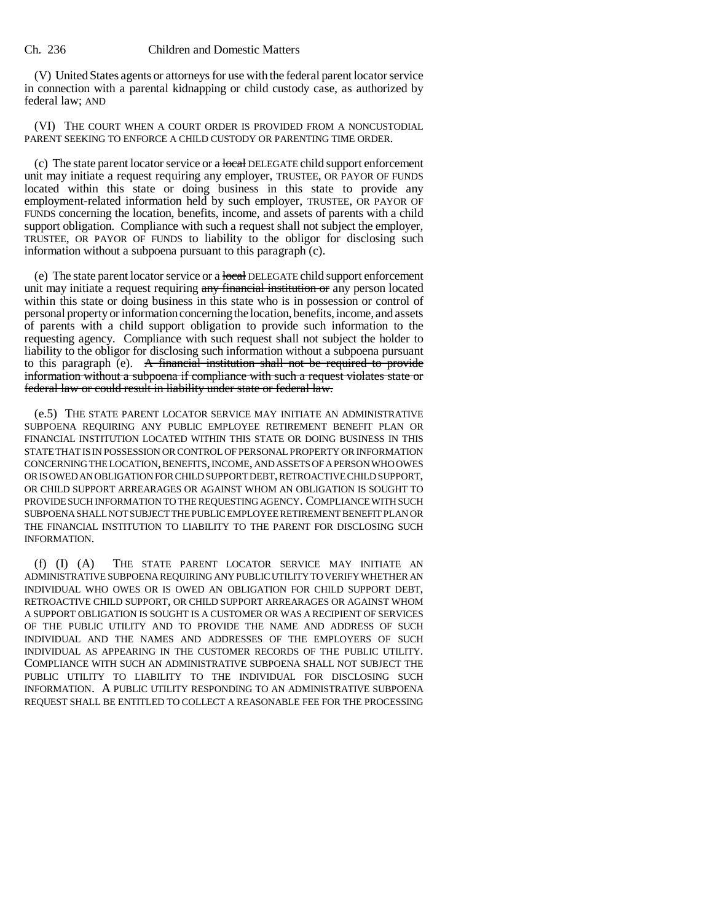(V) United States agents or attorneys for use with the federal parent locator service in connection with a parental kidnapping or child custody case, as authorized by federal law; AND

(VI) THE COURT WHEN A COURT ORDER IS PROVIDED FROM A NONCUSTODIAL PARENT SEEKING TO ENFORCE A CHILD CUSTODY OR PARENTING TIME ORDER.

(c) The state parent locator service or a local DELEGATE child support enforcement unit may initiate a request requiring any employer, TRUSTEE, OR PAYOR OF FUNDS located within this state or doing business in this state to provide any employment-related information held by such employer, TRUSTEE, OR PAYOR OF FUNDS concerning the location, benefits, income, and assets of parents with a child support obligation. Compliance with such a request shall not subject the employer, TRUSTEE, OR PAYOR OF FUNDS to liability to the obligor for disclosing such information without a subpoena pursuant to this paragraph (c).

(e) The state parent locator service or a local DELEGATE child support enforcement unit may initiate a request requiring any financial institution or any person located within this state or doing business in this state who is in possession or control of personal property or information concerning the location, benefits, income, and assets of parents with a child support obligation to provide such information to the requesting agency. Compliance with such request shall not subject the holder to liability to the obligor for disclosing such information without a subpoena pursuant to this paragraph (e). A financial institution shall not be required to provide information without a subpoena if compliance with such a request violates state or federal law or could result in liability under state or federal law.

(e.5) THE STATE PARENT LOCATOR SERVICE MAY INITIATE AN ADMINISTRATIVE SUBPOENA REQUIRING ANY PUBLIC EMPLOYEE RETIREMENT BENEFIT PLAN OR FINANCIAL INSTITUTION LOCATED WITHIN THIS STATE OR DOING BUSINESS IN THIS STATE THAT IS IN POSSESSION OR CONTROL OF PERSONAL PROPERTY OR INFORMATION CONCERNING THE LOCATION, BENEFITS, INCOME, AND ASSETS OF A PERSON WHO OWES OR IS OWED AN OBLIGATION FOR CHILD SUPPORT DEBT, RETROACTIVE CHILD SUPPORT, OR CHILD SUPPORT ARREARAGES OR AGAINST WHOM AN OBLIGATION IS SOUGHT TO PROVIDE SUCH INFORMATION TO THE REQUESTING AGENCY. COMPLIANCE WITH SUCH SUBPOENA SHALL NOT SUBJECT THE PUBLIC EMPLOYEE RETIREMENT BENEFIT PLAN OR THE FINANCIAL INSTITUTION TO LIABILITY TO THE PARENT FOR DISCLOSING SUCH INFORMATION.

(f) (I) (A) THE STATE PARENT LOCATOR SERVICE MAY INITIATE AN ADMINISTRATIVE SUBPOENA REQUIRING ANY PUBLIC UTILITY TO VERIFY WHETHER AN INDIVIDUAL WHO OWES OR IS OWED AN OBLIGATION FOR CHILD SUPPORT DEBT, RETROACTIVE CHILD SUPPORT, OR CHILD SUPPORT ARREARAGES OR AGAINST WHOM A SUPPORT OBLIGATION IS SOUGHT IS A CUSTOMER OR WAS A RECIPIENT OF SERVICES OF THE PUBLIC UTILITY AND TO PROVIDE THE NAME AND ADDRESS OF SUCH INDIVIDUAL AND THE NAMES AND ADDRESSES OF THE EMPLOYERS OF SUCH INDIVIDUAL AS APPEARING IN THE CUSTOMER RECORDS OF THE PUBLIC UTILITY. COMPLIANCE WITH SUCH AN ADMINISTRATIVE SUBPOENA SHALL NOT SUBJECT THE PUBLIC UTILITY TO LIABILITY TO THE INDIVIDUAL FOR DISCLOSING SUCH INFORMATION. A PUBLIC UTILITY RESPONDING TO AN ADMINISTRATIVE SUBPOENA REQUEST SHALL BE ENTITLED TO COLLECT A REASONABLE FEE FOR THE PROCESSING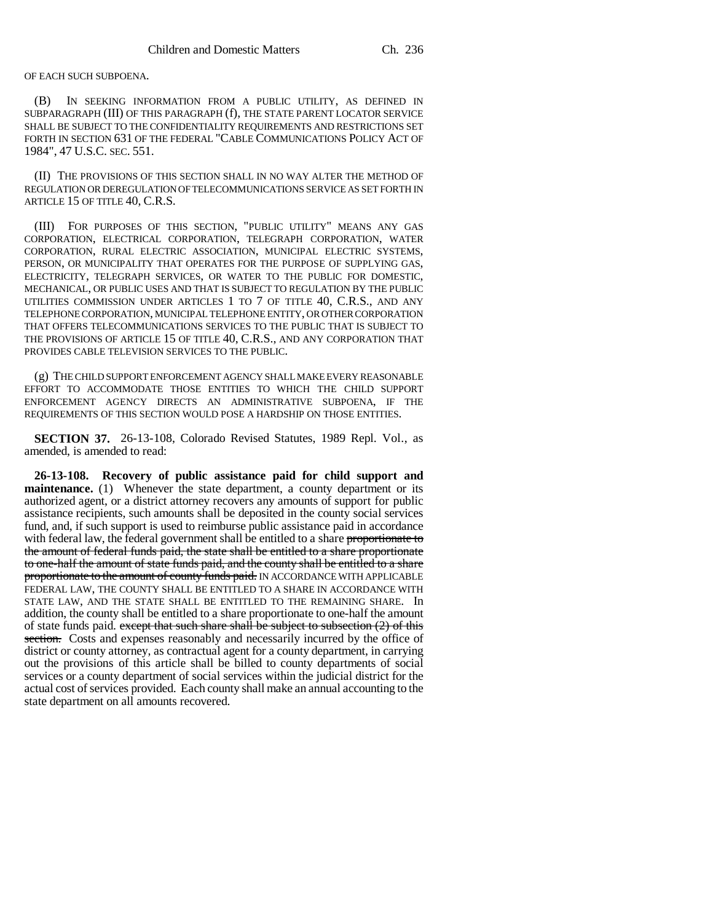OF EACH SUCH SUBPOENA.

(B) IN SEEKING INFORMATION FROM A PUBLIC UTILITY, AS DEFINED IN SUBPARAGRAPH (III) OF THIS PARAGRAPH (f), THE STATE PARENT LOCATOR SERVICE SHALL BE SUBJECT TO THE CONFIDENTIALITY REQUIREMENTS AND RESTRICTIONS SET FORTH IN SECTION 631 OF THE FEDERAL "CABLE COMMUNICATIONS POLICY ACT OF 1984", 47 U.S.C. SEC. 551.

(II) THE PROVISIONS OF THIS SECTION SHALL IN NO WAY ALTER THE METHOD OF REGULATION OR DEREGULATION OF TELECOMMUNICATIONS SERVICE AS SET FORTH IN ARTICLE 15 OF TITLE 40, C.R.S.

(III) FOR PURPOSES OF THIS SECTION, "PUBLIC UTILITY" MEANS ANY GAS CORPORATION, ELECTRICAL CORPORATION, TELEGRAPH CORPORATION, WATER CORPORATION, RURAL ELECTRIC ASSOCIATION, MUNICIPAL ELECTRIC SYSTEMS, PERSON, OR MUNICIPALITY THAT OPERATES FOR THE PURPOSE OF SUPPLYING GAS, ELECTRICITY, TELEGRAPH SERVICES, OR WATER TO THE PUBLIC FOR DOMESTIC, MECHANICAL, OR PUBLIC USES AND THAT IS SUBJECT TO REGULATION BY THE PUBLIC UTILITIES COMMISSION UNDER ARTICLES 1 TO 7 OF TITLE 40, C.R.S., AND ANY TELEPHONE CORPORATION, MUNICIPAL TELEPHONE ENTITY, OR OTHER CORPORATION THAT OFFERS TELECOMMUNICATIONS SERVICES TO THE PUBLIC THAT IS SUBJECT TO THE PROVISIONS OF ARTICLE 15 OF TITLE 40, C.R.S., AND ANY CORPORATION THAT PROVIDES CABLE TELEVISION SERVICES TO THE PUBLIC.

(g) THE CHILD SUPPORT ENFORCEMENT AGENCY SHALL MAKE EVERY REASONABLE EFFORT TO ACCOMMODATE THOSE ENTITIES TO WHICH THE CHILD SUPPORT ENFORCEMENT AGENCY DIRECTS AN ADMINISTRATIVE SUBPOENA, IF THE REQUIREMENTS OF THIS SECTION WOULD POSE A HARDSHIP ON THOSE ENTITIES.

**SECTION 37.** 26-13-108, Colorado Revised Statutes, 1989 Repl. Vol., as amended, is amended to read:

**26-13-108. Recovery of public assistance paid for child support and maintenance.** (1) Whenever the state department, a county department or its authorized agent, or a district attorney recovers any amounts of support for public assistance recipients, such amounts shall be deposited in the county social services fund, and, if such support is used to reimburse public assistance paid in accordance with federal law, the federal government shall be entitled to a share proportionate to the amount of federal funds paid, the state shall be entitled to a share proportionate to one-half the amount of state funds paid, and the county shall be entitled to a share proportionate to the amount of county funds paid. IN ACCORDANCE WITH APPLICABLE FEDERAL LAW, THE COUNTY SHALL BE ENTITLED TO A SHARE IN ACCORDANCE WITH STATE LAW, AND THE STATE SHALL BE ENTITLED TO THE REMAINING SHARE. In addition, the county shall be entitled to a share proportionate to one-half the amount of state funds paid. except that such share shall be subject to subsection  $(2)$  of this section. Costs and expenses reasonably and necessarily incurred by the office of district or county attorney, as contractual agent for a county department, in carrying out the provisions of this article shall be billed to county departments of social services or a county department of social services within the judicial district for the actual cost of services provided. Each county shall make an annual accounting to the state department on all amounts recovered.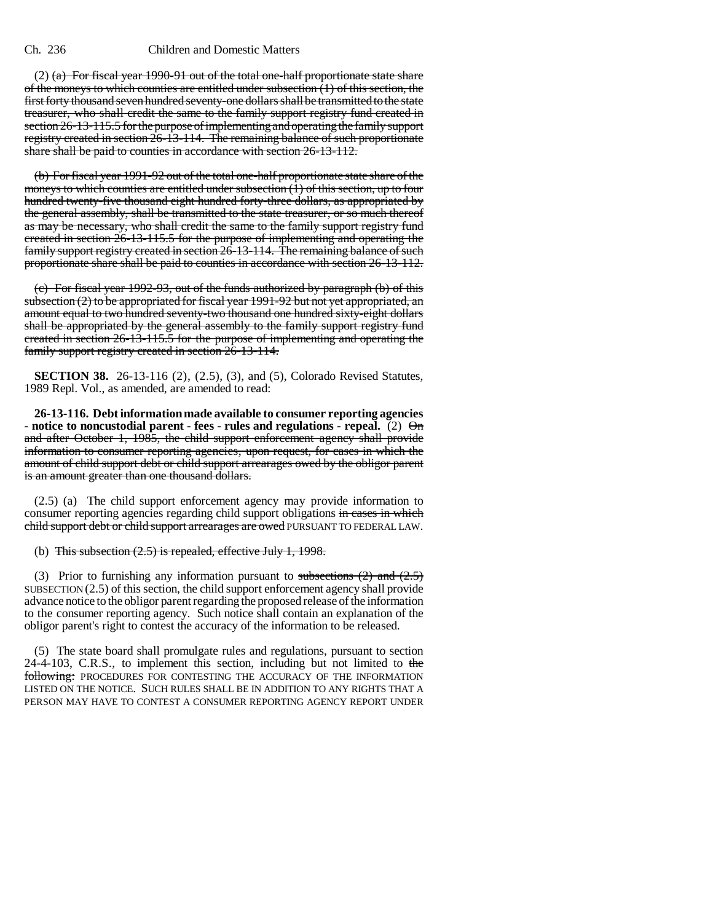$(2)$  (a) For fiscal year 1990-91 out of the total one-half proportionate state share of the moneys to which counties are entitled under subsection  $(1)$  of this section, the first forty thousand seven hundred seventy-one dollars shall be transmitted to the state treasurer, who shall credit the same to the family support registry fund created in section 26-13-115.5 for the purpose of implementing and operating the family support registry created in section 26-13-114. The remaining balance of such proportionate share shall be paid to counties in accordance with section 26-13-112.

(b) For fiscal year 1991-92 out of the total one-half proportionate state share of the moneys to which counties are entitled under subsection  $(1)$  of this section, up to four hundred twenty-five thousand eight hundred forty-three dollars, as appropriated by the general assembly, shall be transmitted to the state treasurer, or so much thereof as may be necessary, who shall credit the same to the family support registry fund created in section 26-13-115.5 for the purpose of implementing and operating the family support registry created in section 26-13-114. The remaining balance of such proportionate share shall be paid to counties in accordance with section 26-13-112.

(c) For fiscal year 1992-93, out of the funds authorized by paragraph (b) of this subsection  $(2)$  to be appropriated for fiscal year 1991-92 but not yet appropriated, an amount equal to two hundred seventy-two thousand one hundred sixty-eight dollars shall be appropriated by the general assembly to the family support registry fund created in section 26-13-115.5 for the purpose of implementing and operating the family support registry created in section 26-13-114.

**SECTION 38.** 26-13-116 (2), (2.5), (3), and (5), Colorado Revised Statutes, 1989 Repl. Vol., as amended, are amended to read:

**26-13-116. Debt information made available to consumer reporting agencies - notice to noncustodial parent - fees - rules and regulations - repeal.** (2)  $\Theta$ m and after October 1, 1985, the child support enforcement agency shall provide information to consumer reporting agencies, upon request, for cases in which the amount of child support debt or child support arrearages owed by the obligor parent is an amount greater than one thousand dollars.

(2.5) (a) The child support enforcement agency may provide information to consumer reporting agencies regarding child support obligations in cases in which child support debt or child support arrearages are owed PURSUANT TO FEDERAL LAW.

(b) This subsection  $(2.5)$  is repealed, effective July 1, 1998.

(3) Prior to furnishing any information pursuant to subsections  $(2)$  and  $(2.5)$ SUBSECTION (2.5) of this section, the child support enforcement agency shall provide advance notice to the obligor parent regarding the proposed release of the information to the consumer reporting agency. Such notice shall contain an explanation of the obligor parent's right to contest the accuracy of the information to be released.

(5) The state board shall promulgate rules and regulations, pursuant to section 24-4-103, C.R.S., to implement this section, including but not limited to the following: PROCEDURES FOR CONTESTING THE ACCURACY OF THE INFORMATION LISTED ON THE NOTICE. SUCH RULES SHALL BE IN ADDITION TO ANY RIGHTS THAT A PERSON MAY HAVE TO CONTEST A CONSUMER REPORTING AGENCY REPORT UNDER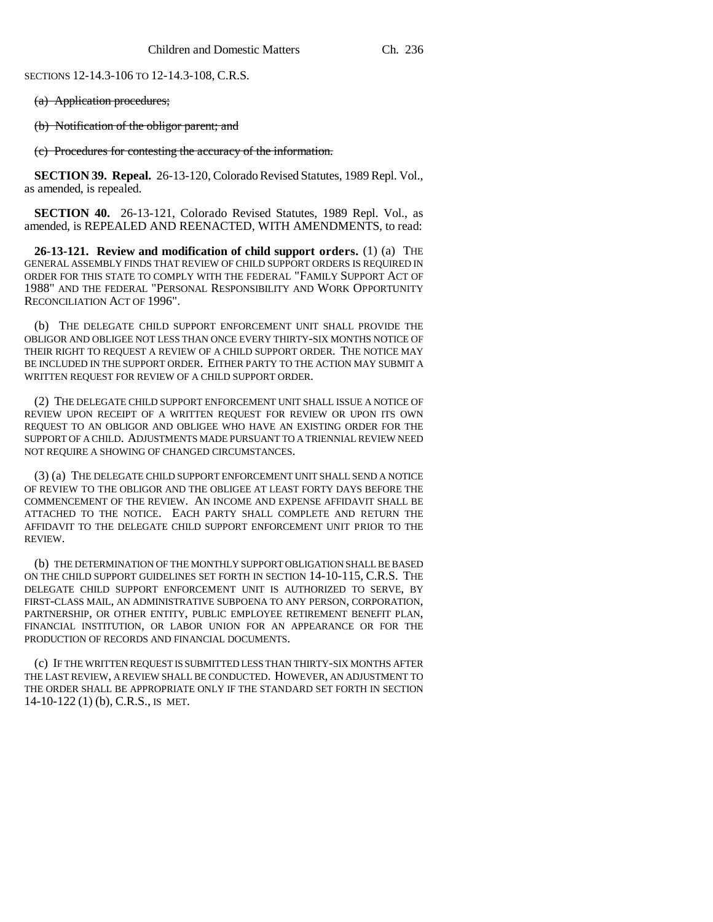SECTIONS 12-14.3-106 TO 12-14.3-108, C.R.S.

(a) Application procedures;

(b) Notification of the obligor parent; and

(c) Procedures for contesting the accuracy of the information.

**SECTION 39. Repeal.** 26-13-120, Colorado Revised Statutes, 1989 Repl. Vol., as amended, is repealed.

**SECTION 40.** 26-13-121, Colorado Revised Statutes, 1989 Repl. Vol., as amended, is REPEALED AND REENACTED, WITH AMENDMENTS, to read:

**26-13-121. Review and modification of child support orders.** (1) (a) THE GENERAL ASSEMBLY FINDS THAT REVIEW OF CHILD SUPPORT ORDERS IS REQUIRED IN ORDER FOR THIS STATE TO COMPLY WITH THE FEDERAL "FAMILY SUPPORT ACT OF 1988" AND THE FEDERAL "PERSONAL RESPONSIBILITY AND WORK OPPORTUNITY RECONCILIATION ACT OF 1996".

(b) THE DELEGATE CHILD SUPPORT ENFORCEMENT UNIT SHALL PROVIDE THE OBLIGOR AND OBLIGEE NOT LESS THAN ONCE EVERY THIRTY-SIX MONTHS NOTICE OF THEIR RIGHT TO REQUEST A REVIEW OF A CHILD SUPPORT ORDER. THE NOTICE MAY BE INCLUDED IN THE SUPPORT ORDER. EITHER PARTY TO THE ACTION MAY SUBMIT A WRITTEN REQUEST FOR REVIEW OF A CHILD SUPPORT ORDER.

(2) THE DELEGATE CHILD SUPPORT ENFORCEMENT UNIT SHALL ISSUE A NOTICE OF REVIEW UPON RECEIPT OF A WRITTEN REQUEST FOR REVIEW OR UPON ITS OWN REQUEST TO AN OBLIGOR AND OBLIGEE WHO HAVE AN EXISTING ORDER FOR THE SUPPORT OF A CHILD. ADJUSTMENTS MADE PURSUANT TO A TRIENNIAL REVIEW NEED NOT REQUIRE A SHOWING OF CHANGED CIRCUMSTANCES.

(3) (a) THE DELEGATE CHILD SUPPORT ENFORCEMENT UNIT SHALL SEND A NOTICE OF REVIEW TO THE OBLIGOR AND THE OBLIGEE AT LEAST FORTY DAYS BEFORE THE COMMENCEMENT OF THE REVIEW. AN INCOME AND EXPENSE AFFIDAVIT SHALL BE ATTACHED TO THE NOTICE. EACH PARTY SHALL COMPLETE AND RETURN THE AFFIDAVIT TO THE DELEGATE CHILD SUPPORT ENFORCEMENT UNIT PRIOR TO THE REVIEW.

(b) THE DETERMINATION OF THE MONTHLY SUPPORT OBLIGATION SHALL BE BASED ON THE CHILD SUPPORT GUIDELINES SET FORTH IN SECTION 14-10-115, C.R.S. THE DELEGATE CHILD SUPPORT ENFORCEMENT UNIT IS AUTHORIZED TO SERVE, BY FIRST-CLASS MAIL, AN ADMINISTRATIVE SUBPOENA TO ANY PERSON, CORPORATION, PARTNERSHIP, OR OTHER ENTITY, PUBLIC EMPLOYEE RETIREMENT BENEFIT PLAN, FINANCIAL INSTITUTION, OR LABOR UNION FOR AN APPEARANCE OR FOR THE PRODUCTION OF RECORDS AND FINANCIAL DOCUMENTS.

(c) IF THE WRITTEN REQUEST IS SUBMITTED LESS THAN THIRTY-SIX MONTHS AFTER THE LAST REVIEW, A REVIEW SHALL BE CONDUCTED. HOWEVER, AN ADJUSTMENT TO THE ORDER SHALL BE APPROPRIATE ONLY IF THE STANDARD SET FORTH IN SECTION 14-10-122 (1) (b), C.R.S., IS MET.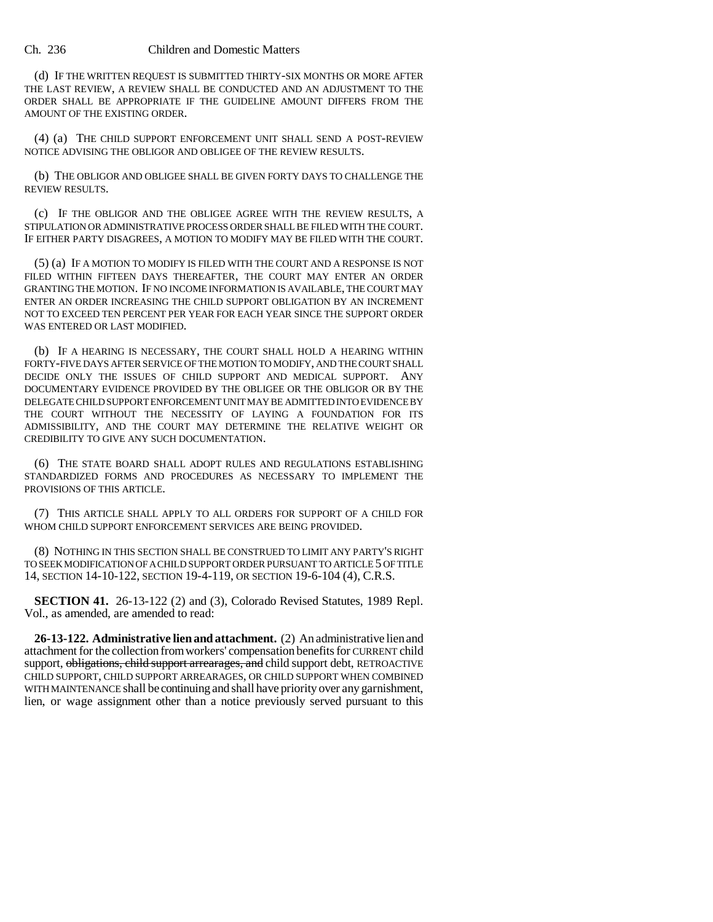(d) IF THE WRITTEN REQUEST IS SUBMITTED THIRTY-SIX MONTHS OR MORE AFTER THE LAST REVIEW, A REVIEW SHALL BE CONDUCTED AND AN ADJUSTMENT TO THE ORDER SHALL BE APPROPRIATE IF THE GUIDELINE AMOUNT DIFFERS FROM THE AMOUNT OF THE EXISTING ORDER.

(4) (a) THE CHILD SUPPORT ENFORCEMENT UNIT SHALL SEND A POST-REVIEW NOTICE ADVISING THE OBLIGOR AND OBLIGEE OF THE REVIEW RESULTS.

(b) THE OBLIGOR AND OBLIGEE SHALL BE GIVEN FORTY DAYS TO CHALLENGE THE REVIEW RESULTS.

(c) IF THE OBLIGOR AND THE OBLIGEE AGREE WITH THE REVIEW RESULTS, A STIPULATION OR ADMINISTRATIVE PROCESS ORDER SHALL BE FILED WITH THE COURT. IF EITHER PARTY DISAGREES, A MOTION TO MODIFY MAY BE FILED WITH THE COURT.

(5) (a) IF A MOTION TO MODIFY IS FILED WITH THE COURT AND A RESPONSE IS NOT FILED WITHIN FIFTEEN DAYS THEREAFTER, THE COURT MAY ENTER AN ORDER GRANTING THE MOTION. IF NO INCOME INFORMATION IS AVAILABLE, THE COURT MAY ENTER AN ORDER INCREASING THE CHILD SUPPORT OBLIGATION BY AN INCREMENT NOT TO EXCEED TEN PERCENT PER YEAR FOR EACH YEAR SINCE THE SUPPORT ORDER WAS ENTERED OR LAST MODIFIED.

(b) IF A HEARING IS NECESSARY, THE COURT SHALL HOLD A HEARING WITHIN FORTY-FIVE DAYS AFTER SERVICE OF THE MOTION TO MODIFY, AND THE COURT SHALL DECIDE ONLY THE ISSUES OF CHILD SUPPORT AND MEDICAL SUPPORT. ANY DOCUMENTARY EVIDENCE PROVIDED BY THE OBLIGEE OR THE OBLIGOR OR BY THE DELEGATE CHILD SUPPORT ENFORCEMENT UNIT MAY BE ADMITTED INTO EVIDENCE BY THE COURT WITHOUT THE NECESSITY OF LAYING A FOUNDATION FOR ITS ADMISSIBILITY, AND THE COURT MAY DETERMINE THE RELATIVE WEIGHT OR CREDIBILITY TO GIVE ANY SUCH DOCUMENTATION.

(6) THE STATE BOARD SHALL ADOPT RULES AND REGULATIONS ESTABLISHING STANDARDIZED FORMS AND PROCEDURES AS NECESSARY TO IMPLEMENT THE PROVISIONS OF THIS ARTICLE.

(7) THIS ARTICLE SHALL APPLY TO ALL ORDERS FOR SUPPORT OF A CHILD FOR WHOM CHILD SUPPORT ENFORCEMENT SERVICES ARE BEING PROVIDED.

(8) NOTHING IN THIS SECTION SHALL BE CONSTRUED TO LIMIT ANY PARTY'S RIGHT TO SEEK MODIFICATION OF A CHILD SUPPORT ORDER PURSUANT TO ARTICLE 5 OF TITLE 14, SECTION 14-10-122, SECTION 19-4-119, OR SECTION 19-6-104 (4), C.R.S.

**SECTION 41.** 26-13-122 (2) and (3), Colorado Revised Statutes, 1989 Repl. Vol., as amended, are amended to read:

**26-13-122. Administrative lien and attachment.** (2) An administrative lien and attachment for the collection from workers' compensation benefits for CURRENT child support, obligations, child support arrearages, and child support debt, RETROACTIVE CHILD SUPPORT, CHILD SUPPORT ARREARAGES, OR CHILD SUPPORT WHEN COMBINED WITH MAINTENANCE shall be continuing and shall have priority over any garnishment, lien, or wage assignment other than a notice previously served pursuant to this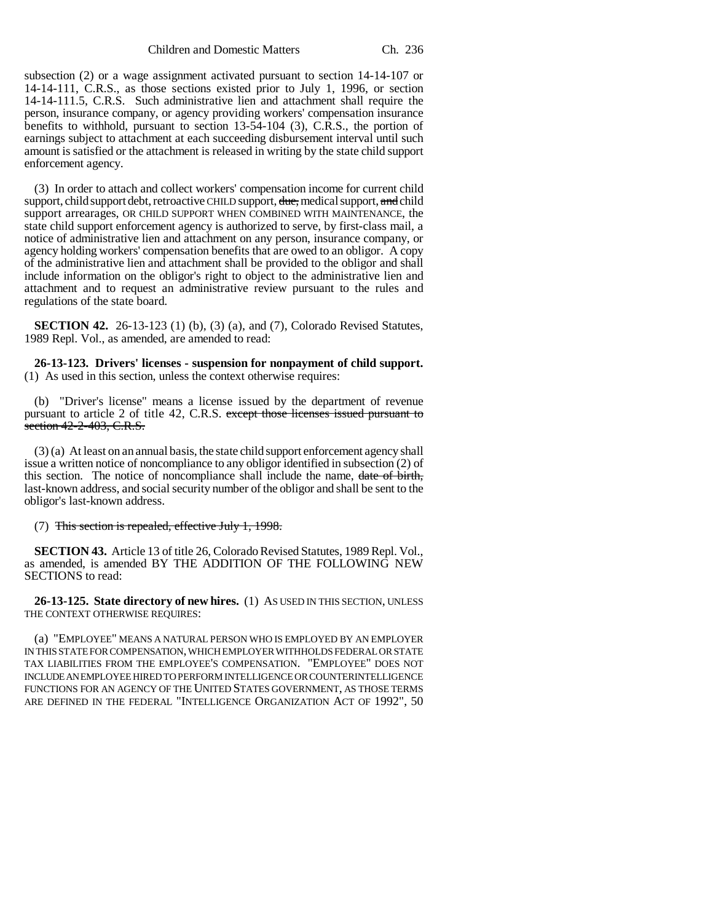subsection (2) or a wage assignment activated pursuant to section 14-14-107 or 14-14-111, C.R.S., as those sections existed prior to July 1, 1996, or section 14-14-111.5, C.R.S. Such administrative lien and attachment shall require the person, insurance company, or agency providing workers' compensation insurance benefits to withhold, pursuant to section 13-54-104 (3), C.R.S., the portion of earnings subject to attachment at each succeeding disbursement interval until such amount is satisfied or the attachment is released in writing by the state child support enforcement agency.

(3) In order to attach and collect workers' compensation income for current child support, child support debt, retroactive CHILD support, due, medical support, and child support arrearages, OR CHILD SUPPORT WHEN COMBINED WITH MAINTENANCE, the state child support enforcement agency is authorized to serve, by first-class mail, a notice of administrative lien and attachment on any person, insurance company, or agency holding workers' compensation benefits that are owed to an obligor. A copy of the administrative lien and attachment shall be provided to the obligor and shall include information on the obligor's right to object to the administrative lien and attachment and to request an administrative review pursuant to the rules and regulations of the state board.

**SECTION 42.** 26-13-123 (1) (b), (3) (a), and (7), Colorado Revised Statutes, 1989 Repl. Vol., as amended, are amended to read:

**26-13-123. Drivers' licenses - suspension for nonpayment of child support.** (1) As used in this section, unless the context otherwise requires:

(b) "Driver's license" means a license issued by the department of revenue pursuant to article 2 of title 42, C.R.S. except those licenses issued pursuant to section 42-2-403, C.R.S.

(3) (a) At least on an annual basis, the state child support enforcement agency shall issue a written notice of noncompliance to any obligor identified in subsection (2) of this section. The notice of noncompliance shall include the name, date of birth, last-known address, and social security number of the obligor and shall be sent to the obligor's last-known address.

(7) This section is repealed, effective July 1, 1998.

**SECTION 43.** Article 13 of title 26, Colorado Revised Statutes, 1989 Repl. Vol., as amended, is amended BY THE ADDITION OF THE FOLLOWING NEW SECTIONS to read:

**26-13-125. State directory of new hires.** (1) AS USED IN THIS SECTION, UNLESS THE CONTEXT OTHERWISE REQUIRES:

(a) "EMPLOYEE" MEANS A NATURAL PERSON WHO IS EMPLOYED BY AN EMPLOYER IN THIS STATE FOR COMPENSATION, WHICH EMPLOYER WITHHOLDS FEDERAL OR STATE TAX LIABILITIES FROM THE EMPLOYEE'S COMPENSATION. "EMPLOYEE" DOES NOT INCLUDE AN EMPLOYEE HIRED TO PERFORM INTELLIGENCE OR COUNTERINTELLIGENCE FUNCTIONS FOR AN AGENCY OF THE UNITED STATES GOVERNMENT, AS THOSE TERMS ARE DEFINED IN THE FEDERAL "INTELLIGENCE ORGANIZATION ACT OF 1992", 50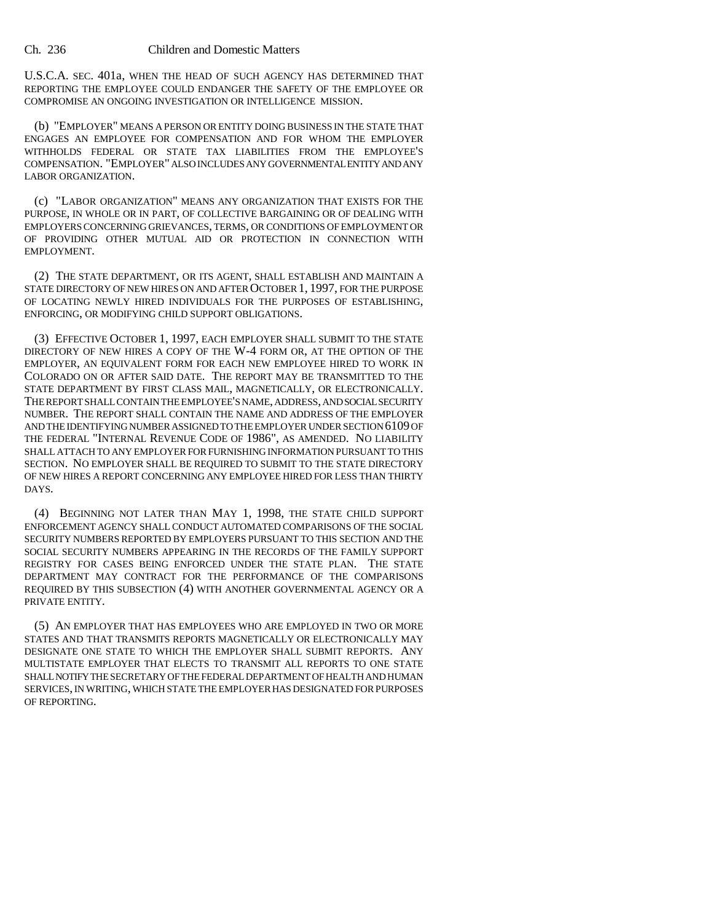U.S.C.A. SEC. 401a, WHEN THE HEAD OF SUCH AGENCY HAS DETERMINED THAT REPORTING THE EMPLOYEE COULD ENDANGER THE SAFETY OF THE EMPLOYEE OR COMPROMISE AN ONGOING INVESTIGATION OR INTELLIGENCE MISSION.

(b) "EMPLOYER" MEANS A PERSON OR ENTITY DOING BUSINESS IN THE STATE THAT ENGAGES AN EMPLOYEE FOR COMPENSATION AND FOR WHOM THE EMPLOYER WITHHOLDS FEDERAL OR STATE TAX LIABILITIES FROM THE EMPLOYEE'S COMPENSATION. "EMPLOYER" ALSO INCLUDES ANY GOVERNMENTAL ENTITY AND ANY LABOR ORGANIZATION.

(c) "LABOR ORGANIZATION" MEANS ANY ORGANIZATION THAT EXISTS FOR THE PURPOSE, IN WHOLE OR IN PART, OF COLLECTIVE BARGAINING OR OF DEALING WITH EMPLOYERS CONCERNING GRIEVANCES, TERMS, OR CONDITIONS OF EMPLOYMENT OR OF PROVIDING OTHER MUTUAL AID OR PROTECTION IN CONNECTION WITH EMPLOYMENT.

(2) THE STATE DEPARTMENT, OR ITS AGENT, SHALL ESTABLISH AND MAINTAIN A STATE DIRECTORY OF NEW HIRES ON AND AFTER OCTOBER 1, 1997, FOR THE PURPOSE OF LOCATING NEWLY HIRED INDIVIDUALS FOR THE PURPOSES OF ESTABLISHING, ENFORCING, OR MODIFYING CHILD SUPPORT OBLIGATIONS.

(3) EFFECTIVE OCTOBER 1, 1997, EACH EMPLOYER SHALL SUBMIT TO THE STATE DIRECTORY OF NEW HIRES A COPY OF THE W-4 FORM OR, AT THE OPTION OF THE EMPLOYER, AN EQUIVALENT FORM FOR EACH NEW EMPLOYEE HIRED TO WORK IN COLORADO ON OR AFTER SAID DATE. THE REPORT MAY BE TRANSMITTED TO THE STATE DEPARTMENT BY FIRST CLASS MAIL, MAGNETICALLY, OR ELECTRONICALLY. THE REPORT SHALL CONTAIN THE EMPLOYEE'S NAME, ADDRESS, AND SOCIAL SECURITY NUMBER. THE REPORT SHALL CONTAIN THE NAME AND ADDRESS OF THE EMPLOYER AND THE IDENTIFYING NUMBER ASSIGNED TO THE EMPLOYER UNDER SECTION 6109 OF THE FEDERAL "INTERNAL REVENUE CODE OF 1986", AS AMENDED. NO LIABILITY SHALL ATTACH TO ANY EMPLOYER FOR FURNISHING INFORMATION PURSUANT TO THIS SECTION. NO EMPLOYER SHALL BE REQUIRED TO SUBMIT TO THE STATE DIRECTORY OF NEW HIRES A REPORT CONCERNING ANY EMPLOYEE HIRED FOR LESS THAN THIRTY DAYS.

(4) BEGINNING NOT LATER THAN MAY 1, 1998, THE STATE CHILD SUPPORT ENFORCEMENT AGENCY SHALL CONDUCT AUTOMATED COMPARISONS OF THE SOCIAL SECURITY NUMBERS REPORTED BY EMPLOYERS PURSUANT TO THIS SECTION AND THE SOCIAL SECURITY NUMBERS APPEARING IN THE RECORDS OF THE FAMILY SUPPORT REGISTRY FOR CASES BEING ENFORCED UNDER THE STATE PLAN. THE STATE DEPARTMENT MAY CONTRACT FOR THE PERFORMANCE OF THE COMPARISONS REQUIRED BY THIS SUBSECTION (4) WITH ANOTHER GOVERNMENTAL AGENCY OR A PRIVATE ENTITY.

(5) AN EMPLOYER THAT HAS EMPLOYEES WHO ARE EMPLOYED IN TWO OR MORE STATES AND THAT TRANSMITS REPORTS MAGNETICALLY OR ELECTRONICALLY MAY DESIGNATE ONE STATE TO WHICH THE EMPLOYER SHALL SUBMIT REPORTS. ANY MULTISTATE EMPLOYER THAT ELECTS TO TRANSMIT ALL REPORTS TO ONE STATE SHALL NOTIFY THE SECRETARY OF THE FEDERAL DEPARTMENT OF HEALTH AND HUMAN SERVICES, IN WRITING, WHICH STATE THE EMPLOYER HAS DESIGNATED FOR PURPOSES OF REPORTING.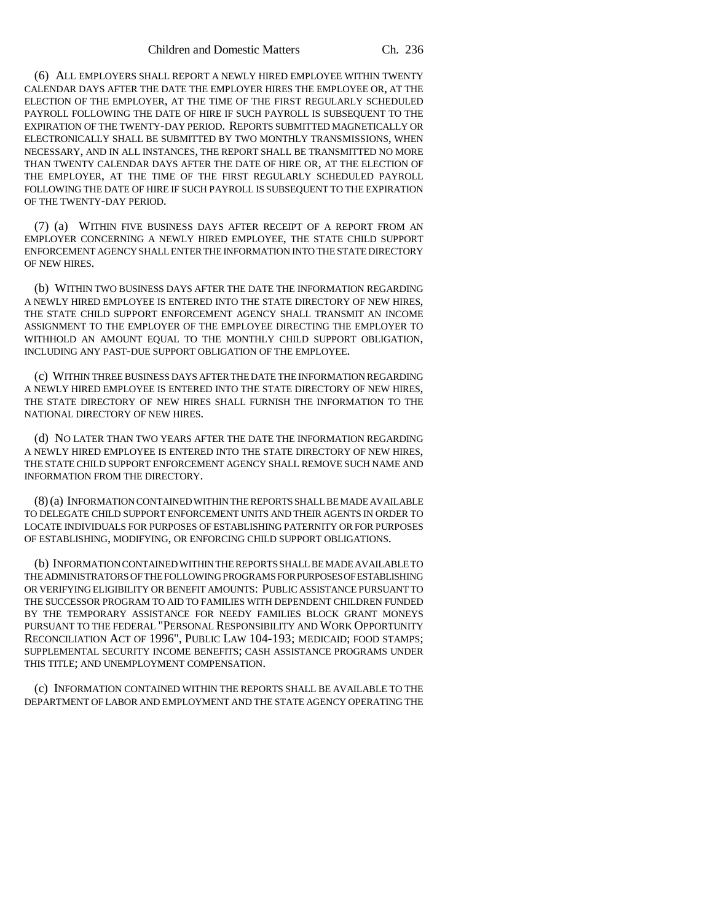(6) ALL EMPLOYERS SHALL REPORT A NEWLY HIRED EMPLOYEE WITHIN TWENTY CALENDAR DAYS AFTER THE DATE THE EMPLOYER HIRES THE EMPLOYEE OR, AT THE ELECTION OF THE EMPLOYER, AT THE TIME OF THE FIRST REGULARLY SCHEDULED PAYROLL FOLLOWING THE DATE OF HIRE IF SUCH PAYROLL IS SUBSEQUENT TO THE EXPIRATION OF THE TWENTY-DAY PERIOD. REPORTS SUBMITTED MAGNETICALLY OR ELECTRONICALLY SHALL BE SUBMITTED BY TWO MONTHLY TRANSMISSIONS, WHEN NECESSARY, AND IN ALL INSTANCES, THE REPORT SHALL BE TRANSMITTED NO MORE THAN TWENTY CALENDAR DAYS AFTER THE DATE OF HIRE OR, AT THE ELECTION OF THE EMPLOYER, AT THE TIME OF THE FIRST REGULARLY SCHEDULED PAYROLL FOLLOWING THE DATE OF HIRE IF SUCH PAYROLL IS SUBSEQUENT TO THE EXPIRATION OF THE TWENTY-DAY PERIOD.

(7) (a) WITHIN FIVE BUSINESS DAYS AFTER RECEIPT OF A REPORT FROM AN EMPLOYER CONCERNING A NEWLY HIRED EMPLOYEE, THE STATE CHILD SUPPORT ENFORCEMENT AGENCY SHALL ENTER THE INFORMATION INTO THE STATE DIRECTORY OF NEW HIRES.

(b) WITHIN TWO BUSINESS DAYS AFTER THE DATE THE INFORMATION REGARDING A NEWLY HIRED EMPLOYEE IS ENTERED INTO THE STATE DIRECTORY OF NEW HIRES, THE STATE CHILD SUPPORT ENFORCEMENT AGENCY SHALL TRANSMIT AN INCOME ASSIGNMENT TO THE EMPLOYER OF THE EMPLOYEE DIRECTING THE EMPLOYER TO WITHHOLD AN AMOUNT EQUAL TO THE MONTHLY CHILD SUPPORT OBLIGATION. INCLUDING ANY PAST-DUE SUPPORT OBLIGATION OF THE EMPLOYEE.

(c) WITHIN THREE BUSINESS DAYS AFTER THE DATE THE INFORMATION REGARDING A NEWLY HIRED EMPLOYEE IS ENTERED INTO THE STATE DIRECTORY OF NEW HIRES, THE STATE DIRECTORY OF NEW HIRES SHALL FURNISH THE INFORMATION TO THE NATIONAL DIRECTORY OF NEW HIRES.

(d) NO LATER THAN TWO YEARS AFTER THE DATE THE INFORMATION REGARDING A NEWLY HIRED EMPLOYEE IS ENTERED INTO THE STATE DIRECTORY OF NEW HIRES, THE STATE CHILD SUPPORT ENFORCEMENT AGENCY SHALL REMOVE SUCH NAME AND INFORMATION FROM THE DIRECTORY.

(8) (a) INFORMATION CONTAINED WITHIN THE REPORTS SHALL BE MADE AVAILABLE TO DELEGATE CHILD SUPPORT ENFORCEMENT UNITS AND THEIR AGENTS IN ORDER TO LOCATE INDIVIDUALS FOR PURPOSES OF ESTABLISHING PATERNITY OR FOR PURPOSES OF ESTABLISHING, MODIFYING, OR ENFORCING CHILD SUPPORT OBLIGATIONS.

(b) INFORMATION CONTAINED WITHIN THE REPORTS SHALL BE MADE AVAILABLE TO THE ADMINISTRATORS OF THE FOLLOWING PROGRAMS FOR PURPOSES OF ESTABLISHING OR VERIFYING ELIGIBILITY OR BENEFIT AMOUNTS: PUBLIC ASSISTANCE PURSUANT TO THE SUCCESSOR PROGRAM TO AID TO FAMILIES WITH DEPENDENT CHILDREN FUNDED BY THE TEMPORARY ASSISTANCE FOR NEEDY FAMILIES BLOCK GRANT MONEYS PURSUANT TO THE FEDERAL "PERSONAL RESPONSIBILITY AND WORK OPPORTUNITY RECONCILIATION ACT OF 1996", PUBLIC LAW 104-193; MEDICAID; FOOD STAMPS; SUPPLEMENTAL SECURITY INCOME BENEFITS; CASH ASSISTANCE PROGRAMS UNDER THIS TITLE; AND UNEMPLOYMENT COMPENSATION.

(c) INFORMATION CONTAINED WITHIN THE REPORTS SHALL BE AVAILABLE TO THE DEPARTMENT OF LABOR AND EMPLOYMENT AND THE STATE AGENCY OPERATING THE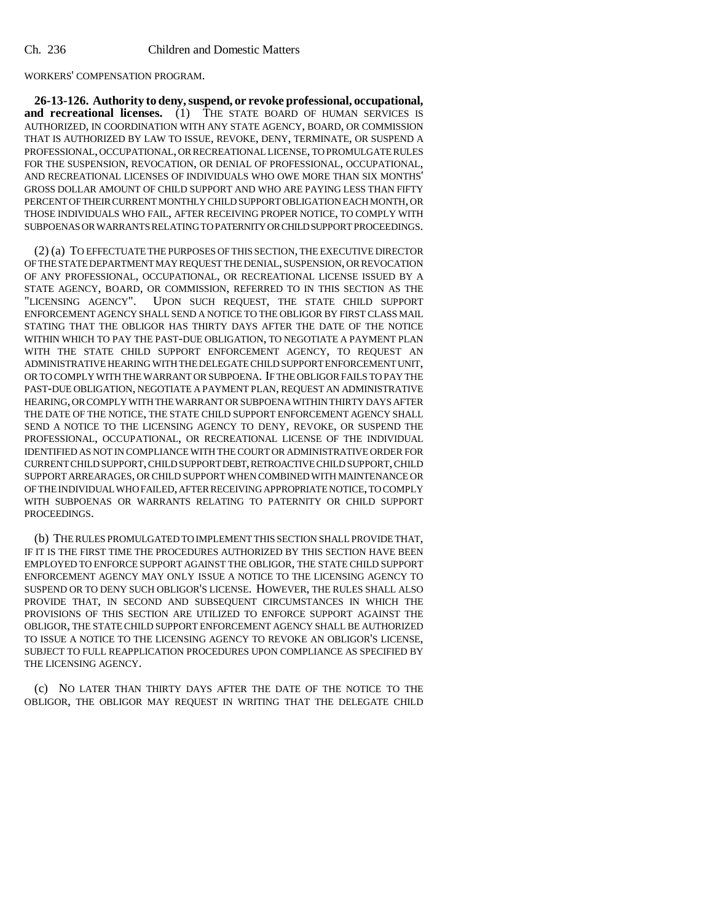WORKERS' COMPENSATION PROGRAM.

**26-13-126. Authority to deny, suspend, or revoke professional, occupational,** and recreational licenses. (1) THE STATE BOARD OF HUMAN SERVICES IS AUTHORIZED, IN COORDINATION WITH ANY STATE AGENCY, BOARD, OR COMMISSION THAT IS AUTHORIZED BY LAW TO ISSUE, REVOKE, DENY, TERMINATE, OR SUSPEND A PROFESSIONAL, OCCUPATIONAL, OR RECREATIONAL LICENSE, TO PROMULGATE RULES FOR THE SUSPENSION, REVOCATION, OR DENIAL OF PROFESSIONAL, OCCUPATIONAL, AND RECREATIONAL LICENSES OF INDIVIDUALS WHO OWE MORE THAN SIX MONTHS' GROSS DOLLAR AMOUNT OF CHILD SUPPORT AND WHO ARE PAYING LESS THAN FIFTY PERCENT OF THEIR CURRENT MONTHLY CHILD SUPPORT OBLIGATION EACH MONTH, OR THOSE INDIVIDUALS WHO FAIL, AFTER RECEIVING PROPER NOTICE, TO COMPLY WITH SUBPOENAS OR WARRANTS RELATING TO PATERNITY OR CHILD SUPPORT PROCEEDINGS.

(2) (a) TO EFFECTUATE THE PURPOSES OF THIS SECTION, THE EXECUTIVE DIRECTOR OF THE STATE DEPARTMENT MAY REQUEST THE DENIAL, SUSPENSION, OR REVOCATION OF ANY PROFESSIONAL, OCCUPATIONAL, OR RECREATIONAL LICENSE ISSUED BY A STATE AGENCY, BOARD, OR COMMISSION, REFERRED TO IN THIS SECTION AS THE "LICENSING AGENCY". UPON SUCH REQUEST, THE STATE CHILD SUPPORT ENFORCEMENT AGENCY SHALL SEND A NOTICE TO THE OBLIGOR BY FIRST CLASS MAIL STATING THAT THE OBLIGOR HAS THIRTY DAYS AFTER THE DATE OF THE NOTICE WITHIN WHICH TO PAY THE PAST-DUE OBLIGATION, TO NEGOTIATE A PAYMENT PLAN WITH THE STATE CHILD SUPPORT ENFORCEMENT AGENCY, TO REQUEST AN ADMINISTRATIVE HEARING WITH THE DELEGATE CHILD SUPPORT ENFORCEMENT UNIT, OR TO COMPLY WITH THE WARRANT OR SUBPOENA. IF THE OBLIGOR FAILS TO PAY THE PAST-DUE OBLIGATION, NEGOTIATE A PAYMENT PLAN, REQUEST AN ADMINISTRATIVE HEARING, OR COMPLY WITH THE WARRANT OR SUBPOENA WITHIN THIRTY DAYS AFTER THE DATE OF THE NOTICE, THE STATE CHILD SUPPORT ENFORCEMENT AGENCY SHALL SEND A NOTICE TO THE LICENSING AGENCY TO DENY, REVOKE, OR SUSPEND THE PROFESSIONAL, OCCUPATIONAL, OR RECREATIONAL LICENSE OF THE INDIVIDUAL IDENTIFIED AS NOT IN COMPLIANCE WITH THE COURT OR ADMINISTRATIVE ORDER FOR CURRENT CHILD SUPPORT, CHILD SUPPORT DEBT, RETROACTIVE CHILD SUPPORT, CHILD SUPPORT ARREARAGES, OR CHILD SUPPORT WHEN COMBINED WITH MAINTENANCE OR OF THE INDIVIDUAL WHO FAILED, AFTER RECEIVING APPROPRIATE NOTICE, TO COMPLY WITH SUBPOENAS OR WARRANTS RELATING TO PATERNITY OR CHILD SUPPORT PROCEEDINGS.

(b) THE RULES PROMULGATED TO IMPLEMENT THIS SECTION SHALL PROVIDE THAT, IF IT IS THE FIRST TIME THE PROCEDURES AUTHORIZED BY THIS SECTION HAVE BEEN EMPLOYED TO ENFORCE SUPPORT AGAINST THE OBLIGOR, THE STATE CHILD SUPPORT ENFORCEMENT AGENCY MAY ONLY ISSUE A NOTICE TO THE LICENSING AGENCY TO SUSPEND OR TO DENY SUCH OBLIGOR'S LICENSE. HOWEVER, THE RULES SHALL ALSO PROVIDE THAT, IN SECOND AND SUBSEQUENT CIRCUMSTANCES IN WHICH THE PROVISIONS OF THIS SECTION ARE UTILIZED TO ENFORCE SUPPORT AGAINST THE OBLIGOR, THE STATE CHILD SUPPORT ENFORCEMENT AGENCY SHALL BE AUTHORIZED TO ISSUE A NOTICE TO THE LICENSING AGENCY TO REVOKE AN OBLIGOR'S LICENSE, SUBJECT TO FULL REAPPLICATION PROCEDURES UPON COMPLIANCE AS SPECIFIED BY THE LICENSING AGENCY.

(c) NO LATER THAN THIRTY DAYS AFTER THE DATE OF THE NOTICE TO THE OBLIGOR, THE OBLIGOR MAY REQUEST IN WRITING THAT THE DELEGATE CHILD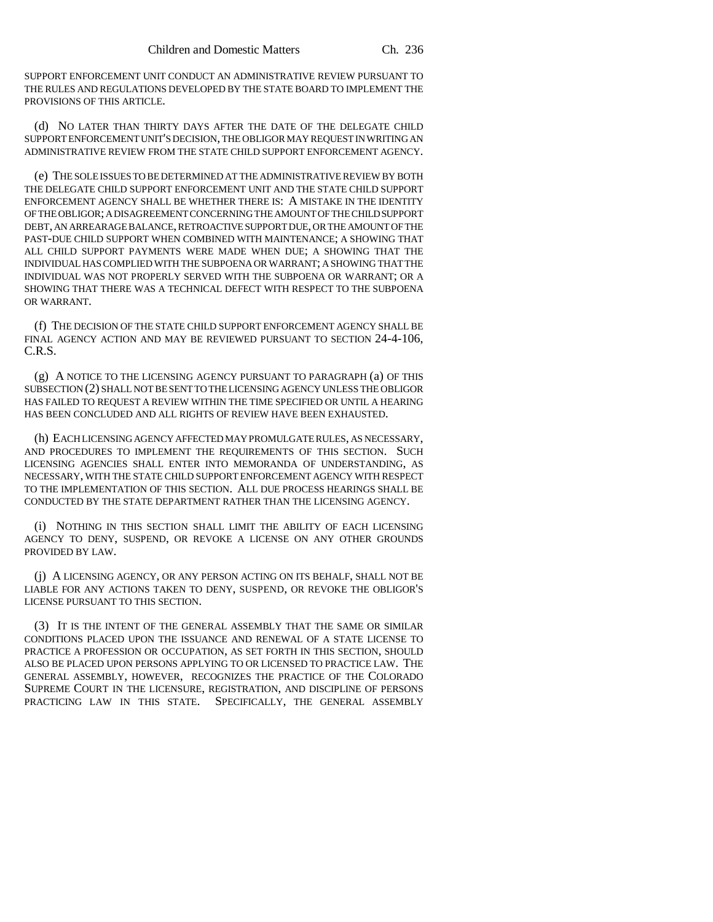SUPPORT ENFORCEMENT UNIT CONDUCT AN ADMINISTRATIVE REVIEW PURSUANT TO THE RULES AND REGULATIONS DEVELOPED BY THE STATE BOARD TO IMPLEMENT THE PROVISIONS OF THIS ARTICLE.

(d) NO LATER THAN THIRTY DAYS AFTER THE DATE OF THE DELEGATE CHILD SUPPORT ENFORCEMENT UNIT'S DECISION, THE OBLIGOR MAY REQUEST IN WRITING AN ADMINISTRATIVE REVIEW FROM THE STATE CHILD SUPPORT ENFORCEMENT AGENCY.

(e) THE SOLE ISSUES TO BE DETERMINED AT THE ADMINISTRATIVE REVIEW BY BOTH THE DELEGATE CHILD SUPPORT ENFORCEMENT UNIT AND THE STATE CHILD SUPPORT ENFORCEMENT AGENCY SHALL BE WHETHER THERE IS: A MISTAKE IN THE IDENTITY OF THE OBLIGOR; A DISAGREEMENT CONCERNING THE AMOUNT OF THE CHILD SUPPORT DEBT, AN ARREARAGE BALANCE, RETROACTIVE SUPPORT DUE, OR THE AMOUNT OF THE PAST-DUE CHILD SUPPORT WHEN COMBINED WITH MAINTENANCE; A SHOWING THAT ALL CHILD SUPPORT PAYMENTS WERE MADE WHEN DUE; A SHOWING THAT THE INDIVIDUAL HAS COMPLIED WITH THE SUBPOENA OR WARRANT; A SHOWING THAT THE INDIVIDUAL WAS NOT PROPERLY SERVED WITH THE SUBPOENA OR WARRANT; OR A SHOWING THAT THERE WAS A TECHNICAL DEFECT WITH RESPECT TO THE SUBPOENA OR WARRANT.

(f) THE DECISION OF THE STATE CHILD SUPPORT ENFORCEMENT AGENCY SHALL BE FINAL AGENCY ACTION AND MAY BE REVIEWED PURSUANT TO SECTION 24-4-106, C.R.S.

(g) A NOTICE TO THE LICENSING AGENCY PURSUANT TO PARAGRAPH (a) OF THIS SUBSECTION (2) SHALL NOT BE SENT TO THE LICENSING AGENCY UNLESS THE OBLIGOR HAS FAILED TO REQUEST A REVIEW WITHIN THE TIME SPECIFIED OR UNTIL A HEARING HAS BEEN CONCLUDED AND ALL RIGHTS OF REVIEW HAVE BEEN EXHAUSTED.

(h) EACH LICENSING AGENCY AFFECTED MAY PROMULGATE RULES, AS NECESSARY, AND PROCEDURES TO IMPLEMENT THE REQUIREMENTS OF THIS SECTION. SUCH LICENSING AGENCIES SHALL ENTER INTO MEMORANDA OF UNDERSTANDING, AS NECESSARY, WITH THE STATE CHILD SUPPORT ENFORCEMENT AGENCY WITH RESPECT TO THE IMPLEMENTATION OF THIS SECTION. ALL DUE PROCESS HEARINGS SHALL BE CONDUCTED BY THE STATE DEPARTMENT RATHER THAN THE LICENSING AGENCY.

(i) NOTHING IN THIS SECTION SHALL LIMIT THE ABILITY OF EACH LICENSING AGENCY TO DENY, SUSPEND, OR REVOKE A LICENSE ON ANY OTHER GROUNDS PROVIDED BY LAW.

(j) A LICENSING AGENCY, OR ANY PERSON ACTING ON ITS BEHALF, SHALL NOT BE LIABLE FOR ANY ACTIONS TAKEN TO DENY, SUSPEND, OR REVOKE THE OBLIGOR'S LICENSE PURSUANT TO THIS SECTION.

(3) IT IS THE INTENT OF THE GENERAL ASSEMBLY THAT THE SAME OR SIMILAR CONDITIONS PLACED UPON THE ISSUANCE AND RENEWAL OF A STATE LICENSE TO PRACTICE A PROFESSION OR OCCUPATION, AS SET FORTH IN THIS SECTION, SHOULD ALSO BE PLACED UPON PERSONS APPLYING TO OR LICENSED TO PRACTICE LAW. THE GENERAL ASSEMBLY, HOWEVER, RECOGNIZES THE PRACTICE OF THE COLORADO SUPREME COURT IN THE LICENSURE, REGISTRATION, AND DISCIPLINE OF PERSONS PRACTICING LAW IN THIS STATE. SPECIFICALLY, THE GENERAL ASSEMBLY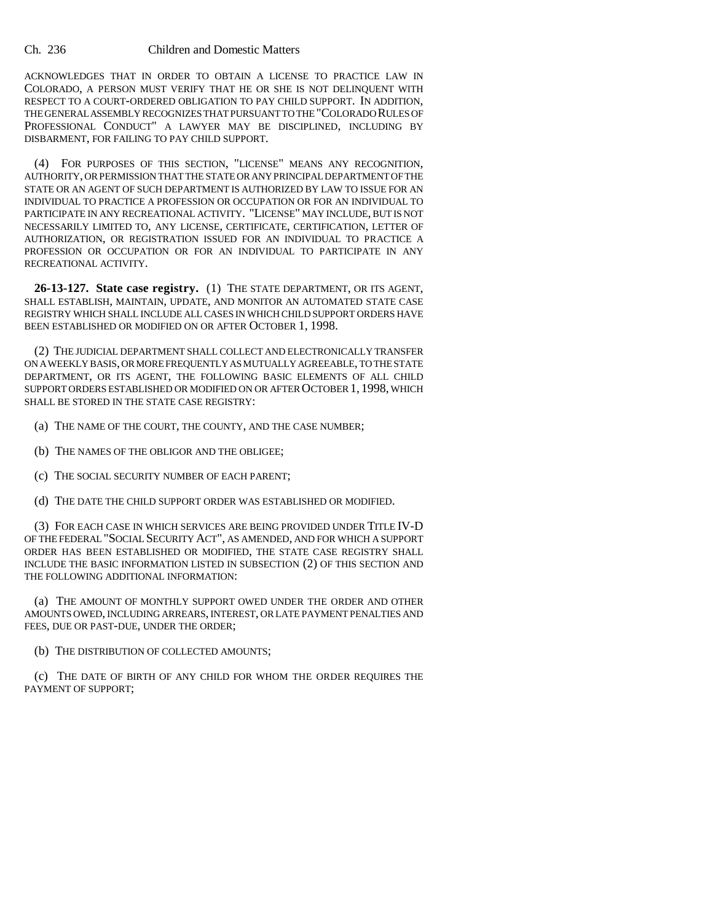ACKNOWLEDGES THAT IN ORDER TO OBTAIN A LICENSE TO PRACTICE LAW IN COLORADO, A PERSON MUST VERIFY THAT HE OR SHE IS NOT DELINQUENT WITH RESPECT TO A COURT-ORDERED OBLIGATION TO PAY CHILD SUPPORT. IN ADDITION, THE GENERAL ASSEMBLY RECOGNIZES THAT PURSUANT TO THE "COLORADO RULES OF PROFESSIONAL CONDUCT" A LAWYER MAY BE DISCIPLINED, INCLUDING BY DISBARMENT, FOR FAILING TO PAY CHILD SUPPORT.

(4) FOR PURPOSES OF THIS SECTION, "LICENSE" MEANS ANY RECOGNITION, AUTHORITY, OR PERMISSION THAT THE STATE OR ANY PRINCIPAL DEPARTMENT OF THE STATE OR AN AGENT OF SUCH DEPARTMENT IS AUTHORIZED BY LAW TO ISSUE FOR AN INDIVIDUAL TO PRACTICE A PROFESSION OR OCCUPATION OR FOR AN INDIVIDUAL TO PARTICIPATE IN ANY RECREATIONAL ACTIVITY. "LICENSE" MAY INCLUDE, BUT IS NOT NECESSARILY LIMITED TO, ANY LICENSE, CERTIFICATE, CERTIFICATION, LETTER OF AUTHORIZATION, OR REGISTRATION ISSUED FOR AN INDIVIDUAL TO PRACTICE A PROFESSION OR OCCUPATION OR FOR AN INDIVIDUAL TO PARTICIPATE IN ANY RECREATIONAL ACTIVITY.

**26-13-127. State case registry.** (1) THE STATE DEPARTMENT, OR ITS AGENT, SHALL ESTABLISH, MAINTAIN, UPDATE, AND MONITOR AN AUTOMATED STATE CASE REGISTRY WHICH SHALL INCLUDE ALL CASES IN WHICH CHILD SUPPORT ORDERS HAVE BEEN ESTABLISHED OR MODIFIED ON OR AFTER OCTOBER 1, 1998.

(2) THE JUDICIAL DEPARTMENT SHALL COLLECT AND ELECTRONICALLY TRANSFER ON A WEEKLY BASIS, OR MORE FREQUENTLY AS MUTUALLY AGREEABLE, TO THE STATE DEPARTMENT, OR ITS AGENT, THE FOLLOWING BASIC ELEMENTS OF ALL CHILD SUPPORT ORDERS ESTABLISHED OR MODIFIED ON OR AFTER OCTOBER 1, 1998, WHICH SHALL BE STORED IN THE STATE CASE REGISTRY:

(a) THE NAME OF THE COURT, THE COUNTY, AND THE CASE NUMBER;

- (b) THE NAMES OF THE OBLIGOR AND THE OBLIGEE;
- (c) THE SOCIAL SECURITY NUMBER OF EACH PARENT;
- (d) THE DATE THE CHILD SUPPORT ORDER WAS ESTABLISHED OR MODIFIED.

(3) FOR EACH CASE IN WHICH SERVICES ARE BEING PROVIDED UNDER TITLE IV-D OF THE FEDERAL "SOCIAL SECURITY ACT", AS AMENDED, AND FOR WHICH A SUPPORT ORDER HAS BEEN ESTABLISHED OR MODIFIED, THE STATE CASE REGISTRY SHALL INCLUDE THE BASIC INFORMATION LISTED IN SUBSECTION (2) OF THIS SECTION AND THE FOLLOWING ADDITIONAL INFORMATION:

(a) THE AMOUNT OF MONTHLY SUPPORT OWED UNDER THE ORDER AND OTHER AMOUNTS OWED, INCLUDING ARREARS, INTEREST, OR LATE PAYMENT PENALTIES AND FEES, DUE OR PAST-DUE, UNDER THE ORDER;

(b) THE DISTRIBUTION OF COLLECTED AMOUNTS;

(c) THE DATE OF BIRTH OF ANY CHILD FOR WHOM THE ORDER REQUIRES THE PAYMENT OF SUPPORT;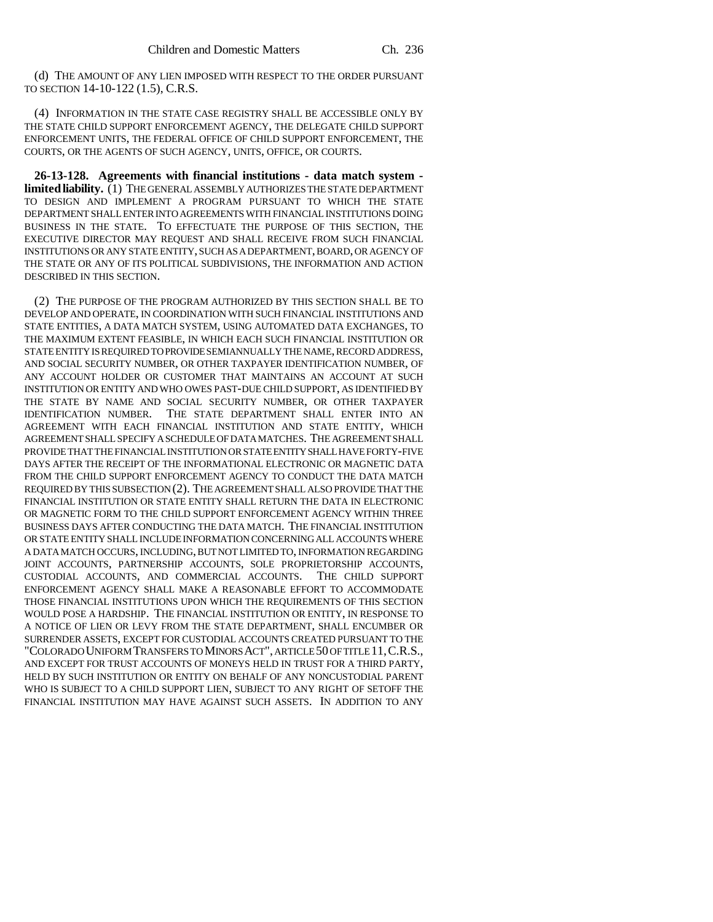(d) THE AMOUNT OF ANY LIEN IMPOSED WITH RESPECT TO THE ORDER PURSUANT TO SECTION 14-10-122 (1.5), C.R.S.

(4) INFORMATION IN THE STATE CASE REGISTRY SHALL BE ACCESSIBLE ONLY BY THE STATE CHILD SUPPORT ENFORCEMENT AGENCY, THE DELEGATE CHILD SUPPORT ENFORCEMENT UNITS, THE FEDERAL OFFICE OF CHILD SUPPORT ENFORCEMENT, THE COURTS, OR THE AGENTS OF SUCH AGENCY, UNITS, OFFICE, OR COURTS.

**26-13-128. Agreements with financial institutions - data match system limited liability.** (1) THE GENERAL ASSEMBLY AUTHORIZES THE STATE DEPARTMENT TO DESIGN AND IMPLEMENT A PROGRAM PURSUANT TO WHICH THE STATE DEPARTMENT SHALL ENTER INTO AGREEMENTS WITH FINANCIAL INSTITUTIONS DOING BUSINESS IN THE STATE. TO EFFECTUATE THE PURPOSE OF THIS SECTION, THE EXECUTIVE DIRECTOR MAY REQUEST AND SHALL RECEIVE FROM SUCH FINANCIAL INSTITUTIONS OR ANY STATE ENTITY, SUCH AS A DEPARTMENT, BOARD, OR AGENCY OF THE STATE OR ANY OF ITS POLITICAL SUBDIVISIONS, THE INFORMATION AND ACTION DESCRIBED IN THIS SECTION.

(2) THE PURPOSE OF THE PROGRAM AUTHORIZED BY THIS SECTION SHALL BE TO DEVELOP AND OPERATE, IN COORDINATION WITH SUCH FINANCIAL INSTITUTIONS AND STATE ENTITIES, A DATA MATCH SYSTEM, USING AUTOMATED DATA EXCHANGES, TO THE MAXIMUM EXTENT FEASIBLE, IN WHICH EACH SUCH FINANCIAL INSTITUTION OR STATE ENTITY IS REQUIRED TO PROVIDE SEMIANNUALLY THE NAME, RECORD ADDRESS, AND SOCIAL SECURITY NUMBER, OR OTHER TAXPAYER IDENTIFICATION NUMBER, OF ANY ACCOUNT HOLDER OR CUSTOMER THAT MAINTAINS AN ACCOUNT AT SUCH INSTITUTION OR ENTITY AND WHO OWES PAST-DUE CHILD SUPPORT, AS IDENTIFIED BY THE STATE BY NAME AND SOCIAL SECURITY NUMBER, OR OTHER TAXPAYER IDENTIFICATION NUMBER. THE STATE DEPARTMENT SHALL ENTER INTO AN AGREEMENT WITH EACH FINANCIAL INSTITUTION AND STATE ENTITY, WHICH AGREEMENT SHALL SPECIFY A SCHEDULE OF DATA MATCHES. THE AGREEMENT SHALL PROVIDE THAT THE FINANCIAL INSTITUTION OR STATE ENTITY SHALL HAVE FORTY-FIVE DAYS AFTER THE RECEIPT OF THE INFORMATIONAL ELECTRONIC OR MAGNETIC DATA FROM THE CHILD SUPPORT ENFORCEMENT AGENCY TO CONDUCT THE DATA MATCH REQUIRED BY THIS SUBSECTION (2). THE AGREEMENT SHALL ALSO PROVIDE THAT THE FINANCIAL INSTITUTION OR STATE ENTITY SHALL RETURN THE DATA IN ELECTRONIC OR MAGNETIC FORM TO THE CHILD SUPPORT ENFORCEMENT AGENCY WITHIN THREE BUSINESS DAYS AFTER CONDUCTING THE DATA MATCH. THE FINANCIAL INSTITUTION OR STATE ENTITY SHALL INCLUDE INFORMATION CONCERNING ALL ACCOUNTS WHERE A DATA MATCH OCCURS, INCLUDING, BUT NOT LIMITED TO, INFORMATION REGARDING JOINT ACCOUNTS, PARTNERSHIP ACCOUNTS, SOLE PROPRIETORSHIP ACCOUNTS, CUSTODIAL ACCOUNTS, AND COMMERCIAL ACCOUNTS. THE CHILD SUPPORT ENFORCEMENT AGENCY SHALL MAKE A REASONABLE EFFORT TO ACCOMMODATE THOSE FINANCIAL INSTITUTIONS UPON WHICH THE REQUIREMENTS OF THIS SECTION WOULD POSE A HARDSHIP. THE FINANCIAL INSTITUTION OR ENTITY, IN RESPONSE TO A NOTICE OF LIEN OR LEVY FROM THE STATE DEPARTMENT, SHALL ENCUMBER OR SURRENDER ASSETS, EXCEPT FOR CUSTODIAL ACCOUNTS CREATED PURSUANT TO THE "COLORADO UNIFORM TRANSFERS TO MINORS ACT", ARTICLE 50 OF TITLE 11,C.R.S., AND EXCEPT FOR TRUST ACCOUNTS OF MONEYS HELD IN TRUST FOR A THIRD PARTY, HELD BY SUCH INSTITUTION OR ENTITY ON BEHALF OF ANY NONCUSTODIAL PARENT WHO IS SUBJECT TO A CHILD SUPPORT LIEN, SUBJECT TO ANY RIGHT OF SETOFF THE FINANCIAL INSTITUTION MAY HAVE AGAINST SUCH ASSETS. IN ADDITION TO ANY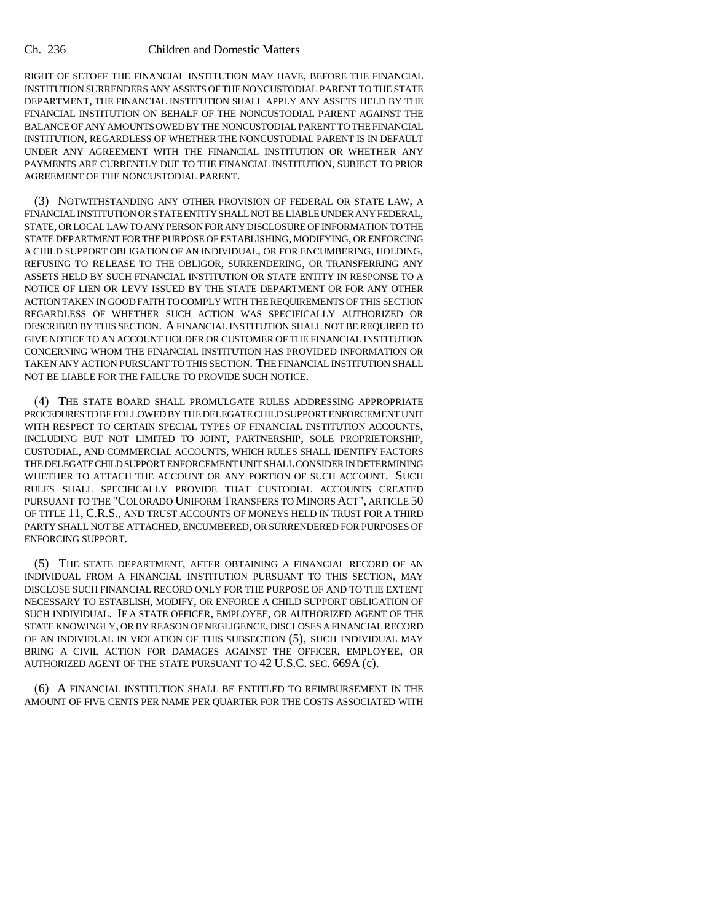RIGHT OF SETOFF THE FINANCIAL INSTITUTION MAY HAVE, BEFORE THE FINANCIAL INSTITUTION SURRENDERS ANY ASSETS OF THE NONCUSTODIAL PARENT TO THE STATE DEPARTMENT, THE FINANCIAL INSTITUTION SHALL APPLY ANY ASSETS HELD BY THE FINANCIAL INSTITUTION ON BEHALF OF THE NONCUSTODIAL PARENT AGAINST THE BALANCE OF ANY AMOUNTS OWED BY THE NONCUSTODIAL PARENT TO THE FINANCIAL INSTITUTION, REGARDLESS OF WHETHER THE NONCUSTODIAL PARENT IS IN DEFAULT UNDER ANY AGREEMENT WITH THE FINANCIAL INSTITUTION OR WHETHER ANY PAYMENTS ARE CURRENTLY DUE TO THE FINANCIAL INSTITUTION, SUBJECT TO PRIOR AGREEMENT OF THE NONCUSTODIAL PARENT.

(3) NOTWITHSTANDING ANY OTHER PROVISION OF FEDERAL OR STATE LAW, A FINANCIAL INSTITUTION OR STATE ENTITY SHALL NOT BE LIABLE UNDER ANY FEDERAL, STATE, OR LOCAL LAW TO ANY PERSON FOR ANY DISCLOSURE OF INFORMATION TO THE STATE DEPARTMENT FOR THE PURPOSE OF ESTABLISHING, MODIFYING, OR ENFORCING A CHILD SUPPORT OBLIGATION OF AN INDIVIDUAL, OR FOR ENCUMBERING, HOLDING, REFUSING TO RELEASE TO THE OBLIGOR, SURRENDERING, OR TRANSFERRING ANY ASSETS HELD BY SUCH FINANCIAL INSTITUTION OR STATE ENTITY IN RESPONSE TO A NOTICE OF LIEN OR LEVY ISSUED BY THE STATE DEPARTMENT OR FOR ANY OTHER ACTION TAKEN IN GOOD FAITH TO COMPLY WITH THE REQUIREMENTS OF THIS SECTION REGARDLESS OF WHETHER SUCH ACTION WAS SPECIFICALLY AUTHORIZED OR DESCRIBED BY THIS SECTION. A FINANCIAL INSTITUTION SHALL NOT BE REQUIRED TO GIVE NOTICE TO AN ACCOUNT HOLDER OR CUSTOMER OF THE FINANCIAL INSTITUTION CONCERNING WHOM THE FINANCIAL INSTITUTION HAS PROVIDED INFORMATION OR TAKEN ANY ACTION PURSUANT TO THIS SECTION. THE FINANCIAL INSTITUTION SHALL NOT BE LIABLE FOR THE FAILURE TO PROVIDE SUCH NOTICE.

(4) THE STATE BOARD SHALL PROMULGATE RULES ADDRESSING APPROPRIATE PROCEDURES TO BE FOLLOWED BY THE DELEGATE CHILD SUPPORT ENFORCEMENT UNIT WITH RESPECT TO CERTAIN SPECIAL TYPES OF FINANCIAL INSTITUTION ACCOUNTS, INCLUDING BUT NOT LIMITED TO JOINT, PARTNERSHIP, SOLE PROPRIETORSHIP, CUSTODIAL, AND COMMERCIAL ACCOUNTS, WHICH RULES SHALL IDENTIFY FACTORS THE DELEGATE CHILD SUPPORT ENFORCEMENT UNIT SHALL CONSIDER IN DETERMINING WHETHER TO ATTACH THE ACCOUNT OR ANY PORTION OF SUCH ACCOUNT. SUCH RULES SHALL SPECIFICALLY PROVIDE THAT CUSTODIAL ACCOUNTS CREATED PURSUANT TO THE "COLORADO UNIFORM TRANSFERS TO MINORS ACT", ARTICLE 50 OF TITLE 11, C.R.S., AND TRUST ACCOUNTS OF MONEYS HELD IN TRUST FOR A THIRD PARTY SHALL NOT BE ATTACHED, ENCUMBERED, OR SURRENDERED FOR PURPOSES OF ENFORCING SUPPORT.

(5) THE STATE DEPARTMENT, AFTER OBTAINING A FINANCIAL RECORD OF AN INDIVIDUAL FROM A FINANCIAL INSTITUTION PURSUANT TO THIS SECTION, MAY DISCLOSE SUCH FINANCIAL RECORD ONLY FOR THE PURPOSE OF AND TO THE EXTENT NECESSARY TO ESTABLISH, MODIFY, OR ENFORCE A CHILD SUPPORT OBLIGATION OF SUCH INDIVIDUAL. IF A STATE OFFICER, EMPLOYEE, OR AUTHORIZED AGENT OF THE STATE KNOWINGLY, OR BY REASON OF NEGLIGENCE, DISCLOSES A FINANCIAL RECORD OF AN INDIVIDUAL IN VIOLATION OF THIS SUBSECTION (5), SUCH INDIVIDUAL MAY BRING A CIVIL ACTION FOR DAMAGES AGAINST THE OFFICER, EMPLOYEE, OR AUTHORIZED AGENT OF THE STATE PURSUANT TO 42 U.S.C. SEC. 669A (c).

(6) A FINANCIAL INSTITUTION SHALL BE ENTITLED TO REIMBURSEMENT IN THE AMOUNT OF FIVE CENTS PER NAME PER QUARTER FOR THE COSTS ASSOCIATED WITH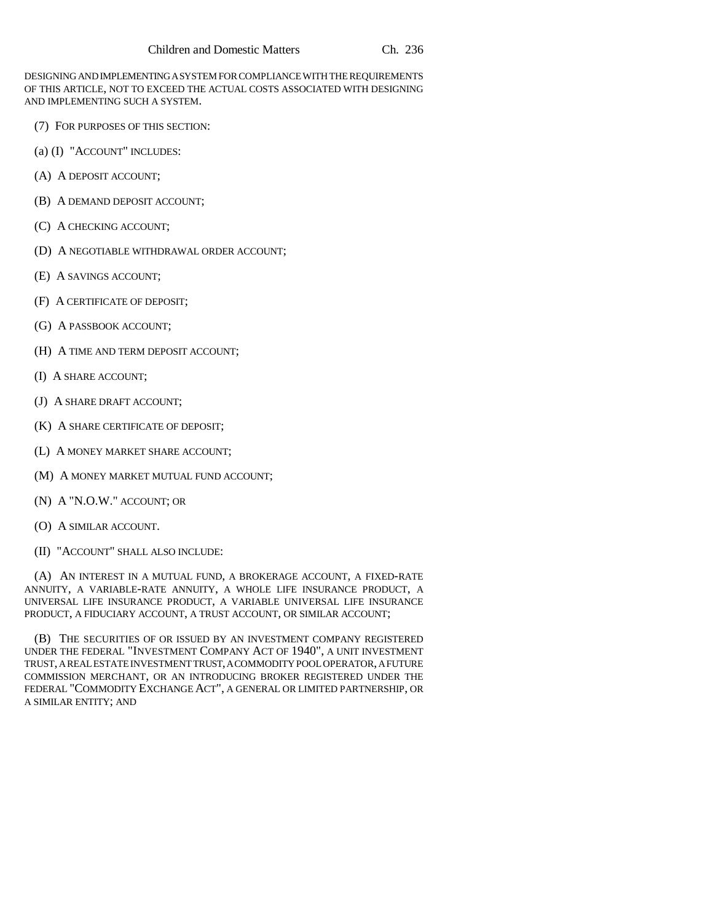DESIGNING AND IMPLEMENTING A SYSTEM FOR COMPLIANCE WITH THE REQUIREMENTS OF THIS ARTICLE, NOT TO EXCEED THE ACTUAL COSTS ASSOCIATED WITH DESIGNING AND IMPLEMENTING SUCH A SYSTEM.

- (7) FOR PURPOSES OF THIS SECTION:
- (a) (I) "ACCOUNT" INCLUDES:
- (A) A DEPOSIT ACCOUNT;
- (B) A DEMAND DEPOSIT ACCOUNT;
- (C) A CHECKING ACCOUNT;
- (D) A NEGOTIABLE WITHDRAWAL ORDER ACCOUNT;
- (E) A SAVINGS ACCOUNT;
- (F) A CERTIFICATE OF DEPOSIT;
- (G) A PASSBOOK ACCOUNT;
- (H) A TIME AND TERM DEPOSIT ACCOUNT;
- (I) A SHARE ACCOUNT;
- (J) A SHARE DRAFT ACCOUNT;
- (K) A SHARE CERTIFICATE OF DEPOSIT;
- (L) A MONEY MARKET SHARE ACCOUNT;
- (M) A MONEY MARKET MUTUAL FUND ACCOUNT;
- (N) A "N.O.W." ACCOUNT; OR
- (O) A SIMILAR ACCOUNT.
- (II) "ACCOUNT" SHALL ALSO INCLUDE:

(A) AN INTEREST IN A MUTUAL FUND, A BROKERAGE ACCOUNT, A FIXED-RATE ANNUITY, A VARIABLE-RATE ANNUITY, A WHOLE LIFE INSURANCE PRODUCT, A UNIVERSAL LIFE INSURANCE PRODUCT, A VARIABLE UNIVERSAL LIFE INSURANCE PRODUCT, A FIDUCIARY ACCOUNT, A TRUST ACCOUNT, OR SIMILAR ACCOUNT;

(B) THE SECURITIES OF OR ISSUED BY AN INVESTMENT COMPANY REGISTERED UNDER THE FEDERAL "INVESTMENT COMPANY ACT OF 1940", A UNIT INVESTMENT TRUST, A REAL ESTATE INVESTMENT TRUST, A COMMODITY POOL OPERATOR, A FUTURE COMMISSION MERCHANT, OR AN INTRODUCING BROKER REGISTERED UNDER THE FEDERAL "COMMODITY EXCHANGE ACT", A GENERAL OR LIMITED PARTNERSHIP, OR A SIMILAR ENTITY; AND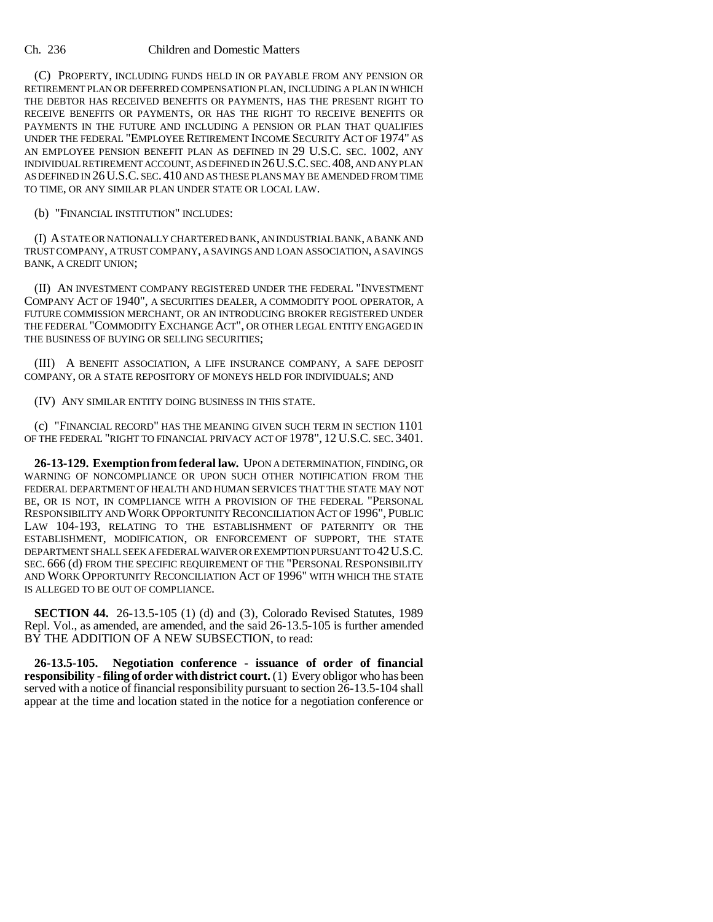(C) PROPERTY, INCLUDING FUNDS HELD IN OR PAYABLE FROM ANY PENSION OR RETIREMENT PLAN OR DEFERRED COMPENSATION PLAN, INCLUDING A PLAN IN WHICH THE DEBTOR HAS RECEIVED BENEFITS OR PAYMENTS, HAS THE PRESENT RIGHT TO RECEIVE BENEFITS OR PAYMENTS, OR HAS THE RIGHT TO RECEIVE BENEFITS OR PAYMENTS IN THE FUTURE AND INCLUDING A PENSION OR PLAN THAT QUALIFIES UNDER THE FEDERAL "EMPLOYEE RETIREMENT INCOME SECURITY ACT OF 1974" AS AN EMPLOYEE PENSION BENEFIT PLAN AS DEFINED IN 29 U.S.C. SEC. 1002, ANY INDIVIDUAL RETIREMENT ACCOUNT, AS DEFINED IN 26U.S.C. SEC.408, AND ANY PLAN AS DEFINED IN 26U.S.C. SEC. 410 AND AS THESE PLANS MAY BE AMENDED FROM TIME TO TIME, OR ANY SIMILAR PLAN UNDER STATE OR LOCAL LAW.

(b) "FINANCIAL INSTITUTION" INCLUDES:

(I) A STATE OR NATIONALLY CHARTERED BANK, AN INDUSTRIAL BANK, A BANK AND TRUST COMPANY, A TRUST COMPANY, A SAVINGS AND LOAN ASSOCIATION, A SAVINGS BANK, A CREDIT UNION;

(II) AN INVESTMENT COMPANY REGISTERED UNDER THE FEDERAL "INVESTMENT COMPANY ACT OF 1940", A SECURITIES DEALER, A COMMODITY POOL OPERATOR, A FUTURE COMMISSION MERCHANT, OR AN INTRODUCING BROKER REGISTERED UNDER THE FEDERAL "COMMODITY EXCHANGE ACT", OR OTHER LEGAL ENTITY ENGAGED IN THE BUSINESS OF BUYING OR SELLING SECURITIES;

(III) A BENEFIT ASSOCIATION, A LIFE INSURANCE COMPANY, A SAFE DEPOSIT COMPANY, OR A STATE REPOSITORY OF MONEYS HELD FOR INDIVIDUALS; AND

(IV) ANY SIMILAR ENTITY DOING BUSINESS IN THIS STATE.

(c) "FINANCIAL RECORD" HAS THE MEANING GIVEN SUCH TERM IN SECTION 1101 OF THE FEDERAL "RIGHT TO FINANCIAL PRIVACY ACT OF 1978", 12 U.S.C. SEC. 3401.

**26-13-129. Exemption from federal law.** UPON A DETERMINATION, FINDING, OR WARNING OF NONCOMPLIANCE OR UPON SUCH OTHER NOTIFICATION FROM THE FEDERAL DEPARTMENT OF HEALTH AND HUMAN SERVICES THAT THE STATE MAY NOT BE, OR IS NOT, IN COMPLIANCE WITH A PROVISION OF THE FEDERAL "PERSONAL RESPONSIBILITY AND WORK OPPORTUNITY RECONCILIATION ACT OF 1996", PUBLIC LAW 104-193, RELATING TO THE ESTABLISHMENT OF PATERNITY OR THE ESTABLISHMENT, MODIFICATION, OR ENFORCEMENT OF SUPPORT, THE STATE DEPARTMENT SHALL SEEK A FEDERAL WAIVER OR EXEMPTION PURSUANT TO 42U.S.C. SEC. 666 (d) FROM THE SPECIFIC REQUIREMENT OF THE "PERSONAL RESPONSIBILITY AND WORK OPPORTUNITY RECONCILIATION ACT OF 1996" WITH WHICH THE STATE IS ALLEGED TO BE OUT OF COMPLIANCE.

**SECTION 44.** 26-13.5-105 (1) (d) and (3), Colorado Revised Statutes, 1989 Repl. Vol., as amended, are amended, and the said 26-13.5-105 is further amended BY THE ADDITION OF A NEW SUBSECTION, to read:

**26-13.5-105. Negotiation conference - issuance of order of financial responsibility - filing of order with district court.** (1) Every obligor who has been served with a notice of financial responsibility pursuant to section 26-13.5-104 shall appear at the time and location stated in the notice for a negotiation conference or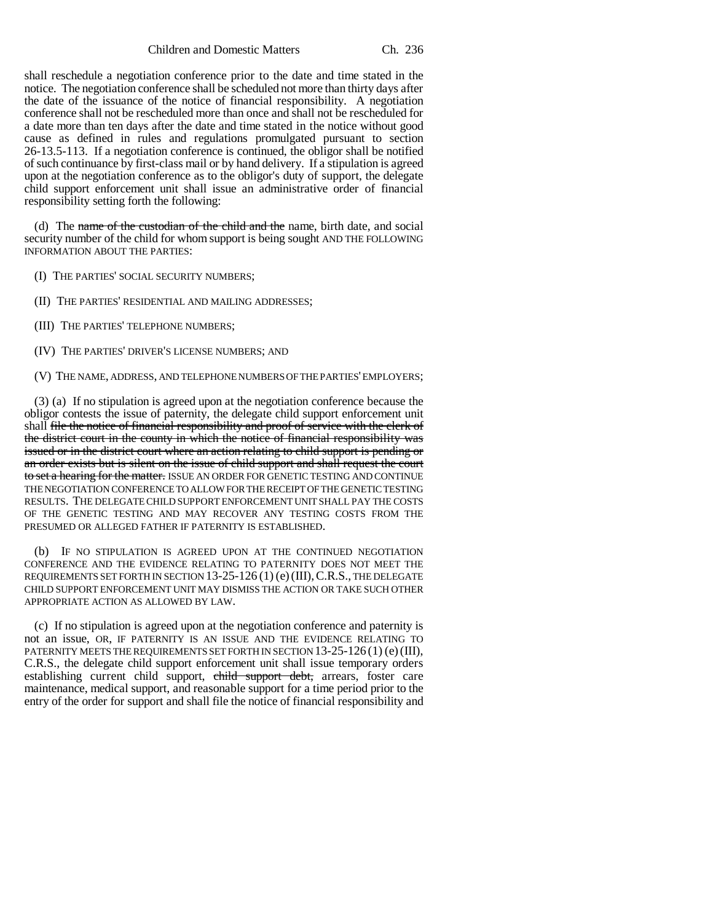shall reschedule a negotiation conference prior to the date and time stated in the notice. The negotiation conference shall be scheduled not more than thirty days after the date of the issuance of the notice of financial responsibility. A negotiation conference shall not be rescheduled more than once and shall not be rescheduled for a date more than ten days after the date and time stated in the notice without good cause as defined in rules and regulations promulgated pursuant to section 26-13.5-113. If a negotiation conference is continued, the obligor shall be notified of such continuance by first-class mail or by hand delivery. If a stipulation is agreed upon at the negotiation conference as to the obligor's duty of support, the delegate child support enforcement unit shall issue an administrative order of financial responsibility setting forth the following:

(d) The name of the custodian of the child and the name, birth date, and social security number of the child for whom support is being sought AND THE FOLLOWING INFORMATION ABOUT THE PARTIES:

(I) THE PARTIES' SOCIAL SECURITY NUMBERS;

(II) THE PARTIES' RESIDENTIAL AND MAILING ADDRESSES;

(III) THE PARTIES' TELEPHONE NUMBERS;

(IV) THE PARTIES' DRIVER'S LICENSE NUMBERS; AND

(V) THE NAME, ADDRESS, AND TELEPHONE NUMBERS OF THE PARTIES' EMPLOYERS;

(3) (a) If no stipulation is agreed upon at the negotiation conference because the obligor contests the issue of paternity, the delegate child support enforcement unit shall file the notice of financial responsibility and proof of service with the clerk of the district court in the county in which the notice of financial responsibility was issued or in the district court where an action relating to child support is pending or an order exists but is silent on the issue of child support and shall request the court to set a hearing for the matter. ISSUE AN ORDER FOR GENETIC TESTING AND CONTINUE THE NEGOTIATION CONFERENCE TO ALLOW FOR THE RECEIPT OF THE GENETIC TESTING RESULTS. THE DELEGATE CHILD SUPPORT ENFORCEMENT UNIT SHALL PAY THE COSTS OF THE GENETIC TESTING AND MAY RECOVER ANY TESTING COSTS FROM THE PRESUMED OR ALLEGED FATHER IF PATERNITY IS ESTABLISHED.

(b) IF NO STIPULATION IS AGREED UPON AT THE CONTINUED NEGOTIATION CONFERENCE AND THE EVIDENCE RELATING TO PATERNITY DOES NOT MEET THE REQUIREMENTS SET FORTH IN SECTION 13-25-126 (1) (e)(III),C.R.S., THE DELEGATE CHILD SUPPORT ENFORCEMENT UNIT MAY DISMISS THE ACTION OR TAKE SUCH OTHER APPROPRIATE ACTION AS ALLOWED BY LAW.

(c) If no stipulation is agreed upon at the negotiation conference and paternity is not an issue, OR, IF PATERNITY IS AN ISSUE AND THE EVIDENCE RELATING TO PATERNITY MEETS THE REQUIREMENTS SET FORTH IN SECTION 13-25-126(1) (e) (III), C.R.S., the delegate child support enforcement unit shall issue temporary orders establishing current child support, child support debt, arrears, foster care maintenance, medical support, and reasonable support for a time period prior to the entry of the order for support and shall file the notice of financial responsibility and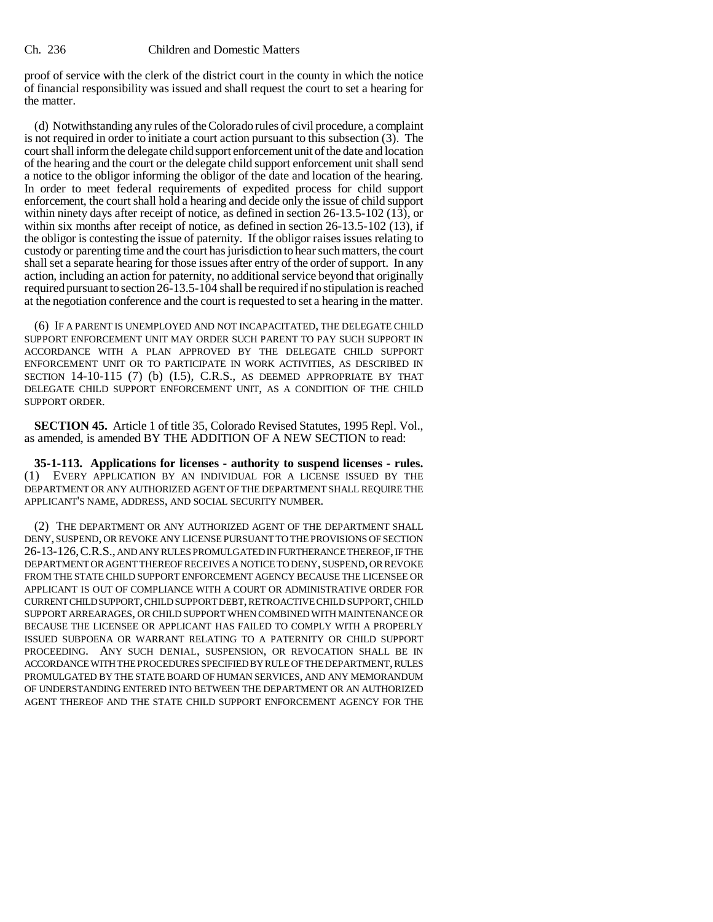proof of service with the clerk of the district court in the county in which the notice of financial responsibility was issued and shall request the court to set a hearing for the matter.

(d) Notwithstanding any rules of the Colorado rules of civil procedure, a complaint is not required in order to initiate a court action pursuant to this subsection (3). The court shall inform the delegate child support enforcement unit of the date and location of the hearing and the court or the delegate child support enforcement unit shall send a notice to the obligor informing the obligor of the date and location of the hearing. In order to meet federal requirements of expedited process for child support enforcement, the court shall hold a hearing and decide only the issue of child support within ninety days after receipt of notice, as defined in section 26-13.5-102 (13), or within six months after receipt of notice, as defined in section 26-13.5-102 (13), if the obligor is contesting the issue of paternity. If the obligor raises issues relating to custody or parenting time and the court has jurisdiction to hear such matters, the court shall set a separate hearing for those issues after entry of the order of support. In any action, including an action for paternity, no additional service beyond that originally required pursuant to section 26-13.5-104 shall be required if no stipulation is reached at the negotiation conference and the court is requested to set a hearing in the matter.

(6) IF A PARENT IS UNEMPLOYED AND NOT INCAPACITATED, THE DELEGATE CHILD SUPPORT ENFORCEMENT UNIT MAY ORDER SUCH PARENT TO PAY SUCH SUPPORT IN ACCORDANCE WITH A PLAN APPROVED BY THE DELEGATE CHILD SUPPORT ENFORCEMENT UNIT OR TO PARTICIPATE IN WORK ACTIVITIES, AS DESCRIBED IN SECTION 14-10-115 (7) (b) (I.5), C.R.S., AS DEEMED APPROPRIATE BY THAT DELEGATE CHILD SUPPORT ENFORCEMENT UNIT, AS A CONDITION OF THE CHILD SUPPORT ORDER.

**SECTION 45.** Article 1 of title 35, Colorado Revised Statutes, 1995 Repl. Vol., as amended, is amended BY THE ADDITION OF A NEW SECTION to read:

**35-1-113. Applications for licenses - authority to suspend licenses - rules.** (1) EVERY APPLICATION BY AN INDIVIDUAL FOR A LICENSE ISSUED BY THE DEPARTMENT OR ANY AUTHORIZED AGENT OF THE DEPARTMENT SHALL REQUIRE THE APPLICANT'S NAME, ADDRESS, AND SOCIAL SECURITY NUMBER.

(2) THE DEPARTMENT OR ANY AUTHORIZED AGENT OF THE DEPARTMENT SHALL DENY, SUSPEND, OR REVOKE ANY LICENSE PURSUANT TO THE PROVISIONS OF SECTION 26-13-126,C.R.S., AND ANY RULES PROMULGATED IN FURTHERANCE THEREOF, IF THE DEPARTMENT OR AGENT THEREOF RECEIVES A NOTICE TO DENY, SUSPEND, OR REVOKE FROM THE STATE CHILD SUPPORT ENFORCEMENT AGENCY BECAUSE THE LICENSEE OR APPLICANT IS OUT OF COMPLIANCE WITH A COURT OR ADMINISTRATIVE ORDER FOR CURRENT CHILD SUPPORT, CHILD SUPPORT DEBT, RETROACTIVE CHILD SUPPORT, CHILD SUPPORT ARREARAGES, OR CHILD SUPPORT WHEN COMBINED WITH MAINTENANCE OR BECAUSE THE LICENSEE OR APPLICANT HAS FAILED TO COMPLY WITH A PROPERLY ISSUED SUBPOENA OR WARRANT RELATING TO A PATERNITY OR CHILD SUPPORT PROCEEDING. ANY SUCH DENIAL, SUSPENSION, OR REVOCATION SHALL BE IN ACCORDANCE WITH THE PROCEDURES SPECIFIED BY RULE OF THE DEPARTMENT, RULES PROMULGATED BY THE STATE BOARD OF HUMAN SERVICES, AND ANY MEMORANDUM OF UNDERSTANDING ENTERED INTO BETWEEN THE DEPARTMENT OR AN AUTHORIZED AGENT THEREOF AND THE STATE CHILD SUPPORT ENFORCEMENT AGENCY FOR THE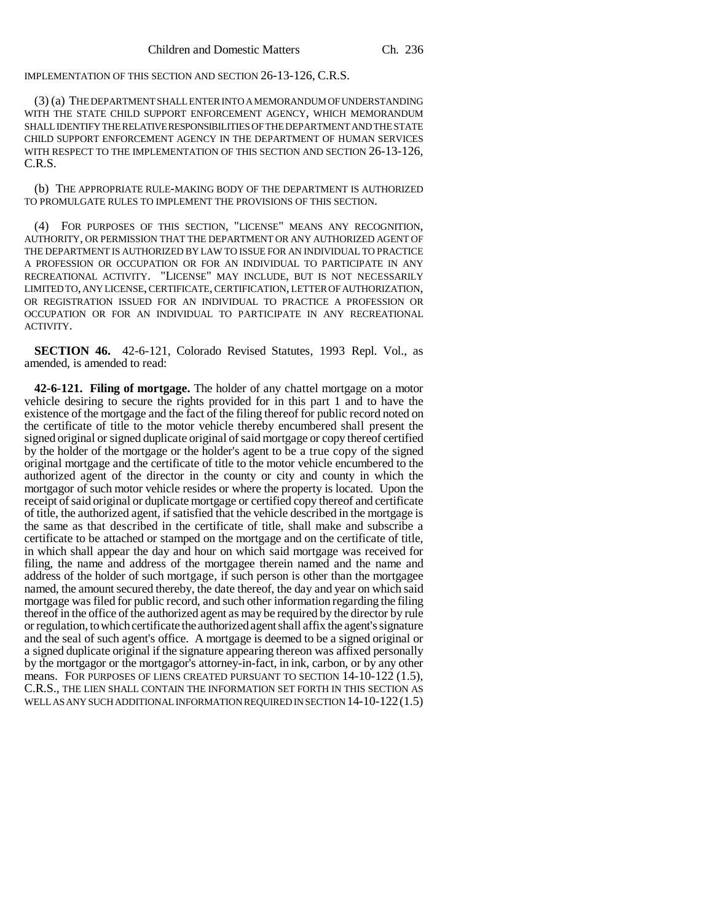IMPLEMENTATION OF THIS SECTION AND SECTION 26-13-126, C.R.S.

(3) (a) THE DEPARTMENT SHALL ENTER INTO A MEMORANDUM OF UNDERSTANDING WITH THE STATE CHILD SUPPORT ENFORCEMENT AGENCY, WHICH MEMORANDUM SHALL IDENTIFY THE RELATIVE RESPONSIBILITIES OF THE DEPARTMENT AND THE STATE CHILD SUPPORT ENFORCEMENT AGENCY IN THE DEPARTMENT OF HUMAN SERVICES WITH RESPECT TO THE IMPLEMENTATION OF THIS SECTION AND SECTION 26-13-126, C.R.S.

(b) THE APPROPRIATE RULE-MAKING BODY OF THE DEPARTMENT IS AUTHORIZED TO PROMULGATE RULES TO IMPLEMENT THE PROVISIONS OF THIS SECTION.

(4) FOR PURPOSES OF THIS SECTION, "LICENSE" MEANS ANY RECOGNITION, AUTHORITY, OR PERMISSION THAT THE DEPARTMENT OR ANY AUTHORIZED AGENT OF THE DEPARTMENT IS AUTHORIZED BY LAW TO ISSUE FOR AN INDIVIDUAL TO PRACTICE A PROFESSION OR OCCUPATION OR FOR AN INDIVIDUAL TO PARTICIPATE IN ANY RECREATIONAL ACTIVITY. "LICENSE" MAY INCLUDE, BUT IS NOT NECESSARILY LIMITED TO, ANY LICENSE, CERTIFICATE, CERTIFICATION, LETTER OF AUTHORIZATION, OR REGISTRATION ISSUED FOR AN INDIVIDUAL TO PRACTICE A PROFESSION OR OCCUPATION OR FOR AN INDIVIDUAL TO PARTICIPATE IN ANY RECREATIONAL ACTIVITY.

**SECTION 46.** 42-6-121, Colorado Revised Statutes, 1993 Repl. Vol., as amended, is amended to read:

**42-6-121. Filing of mortgage.** The holder of any chattel mortgage on a motor vehicle desiring to secure the rights provided for in this part 1 and to have the existence of the mortgage and the fact of the filing thereof for public record noted on the certificate of title to the motor vehicle thereby encumbered shall present the signed original or signed duplicate original of said mortgage or copy thereof certified by the holder of the mortgage or the holder's agent to be a true copy of the signed original mortgage and the certificate of title to the motor vehicle encumbered to the authorized agent of the director in the county or city and county in which the mortgagor of such motor vehicle resides or where the property is located. Upon the receipt of said original or duplicate mortgage or certified copy thereof and certificate of title, the authorized agent, if satisfied that the vehicle described in the mortgage is the same as that described in the certificate of title, shall make and subscribe a certificate to be attached or stamped on the mortgage and on the certificate of title, in which shall appear the day and hour on which said mortgage was received for filing, the name and address of the mortgagee therein named and the name and address of the holder of such mortgage, if such person is other than the mortgagee named, the amount secured thereby, the date thereof, the day and year on which said mortgage was filed for public record, and such other information regarding the filing thereof in the office of the authorized agent as may be required by the director by rule or regulation, to which certificate the authorized agent shall affix the agent's signature and the seal of such agent's office. A mortgage is deemed to be a signed original or a signed duplicate original if the signature appearing thereon was affixed personally by the mortgagor or the mortgagor's attorney-in-fact, in ink, carbon, or by any other means. FOR PURPOSES OF LIENS CREATED PURSUANT TO SECTION 14-10-122 (1.5), C.R.S., THE LIEN SHALL CONTAIN THE INFORMATION SET FORTH IN THIS SECTION AS WELL AS ANY SUCH ADDITIONAL INFORMATION REQUIRED IN SECTION  $14$ - $10$ - $122(1.5)$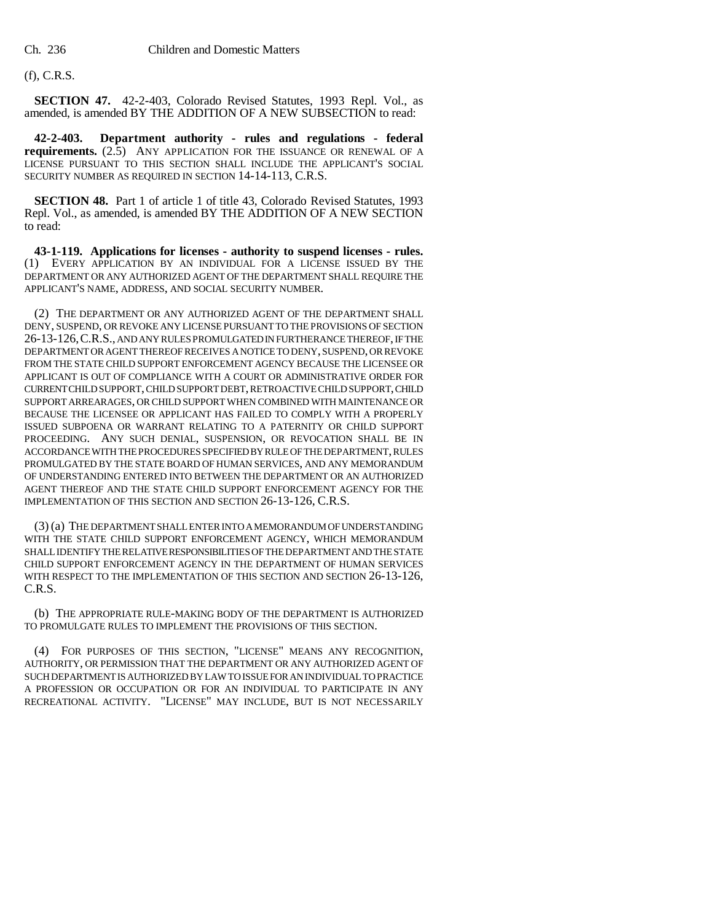# (f), C.R.S.

**SECTION 47.** 42-2-403, Colorado Revised Statutes, 1993 Repl. Vol., as amended, is amended BY THE ADDITION OF A NEW SUBSECTION to read:

**42-2-403. Department authority - rules and regulations - federal requirements.** (2.5) ANY APPLICATION FOR THE ISSUANCE OR RENEWAL OF A LICENSE PURSUANT TO THIS SECTION SHALL INCLUDE THE APPLICANT'S SOCIAL SECURITY NUMBER AS REQUIRED IN SECTION 14-14-113, C.R.S.

**SECTION 48.** Part 1 of article 1 of title 43, Colorado Revised Statutes, 1993 Repl. Vol., as amended, is amended BY THE ADDITION OF A NEW SECTION to read:

**43-1-119. Applications for licenses - authority to suspend licenses - rules.** (1) EVERY APPLICATION BY AN INDIVIDUAL FOR A LICENSE ISSUED BY THE DEPARTMENT OR ANY AUTHORIZED AGENT OF THE DEPARTMENT SHALL REQUIRE THE APPLICANT'S NAME, ADDRESS, AND SOCIAL SECURITY NUMBER.

(2) THE DEPARTMENT OR ANY AUTHORIZED AGENT OF THE DEPARTMENT SHALL DENY, SUSPEND, OR REVOKE ANY LICENSE PURSUANT TO THE PROVISIONS OF SECTION 26-13-126,C.R.S., AND ANY RULES PROMULGATED IN FURTHERANCE THEREOF, IF THE DEPARTMENT OR AGENT THEREOF RECEIVES A NOTICE TO DENY, SUSPEND, OR REVOKE FROM THE STATE CHILD SUPPORT ENFORCEMENT AGENCY BECAUSE THE LICENSEE OR APPLICANT IS OUT OF COMPLIANCE WITH A COURT OR ADMINISTRATIVE ORDER FOR CURRENT CHILD SUPPORT, CHILD SUPPORT DEBT, RETROACTIVE CHILD SUPPORT, CHILD SUPPORT ARREARAGES, OR CHILD SUPPORT WHEN COMBINED WITH MAINTENANCE OR BECAUSE THE LICENSEE OR APPLICANT HAS FAILED TO COMPLY WITH A PROPERLY ISSUED SUBPOENA OR WARRANT RELATING TO A PATERNITY OR CHILD SUPPORT PROCEEDING. ANY SUCH DENIAL, SUSPENSION, OR REVOCATION SHALL BE IN ACCORDANCE WITH THE PROCEDURES SPECIFIED BY RULE OF THE DEPARTMENT, RULES PROMULGATED BY THE STATE BOARD OF HUMAN SERVICES, AND ANY MEMORANDUM OF UNDERSTANDING ENTERED INTO BETWEEN THE DEPARTMENT OR AN AUTHORIZED AGENT THEREOF AND THE STATE CHILD SUPPORT ENFORCEMENT AGENCY FOR THE IMPLEMENTATION OF THIS SECTION AND SECTION 26-13-126, C.R.S.

(3) (a) THE DEPARTMENT SHALL ENTER INTO A MEMORANDUM OF UNDERSTANDING WITH THE STATE CHILD SUPPORT ENFORCEMENT AGENCY, WHICH MEMORANDUM SHALL IDENTIFY THE RELATIVE RESPONSIBILITIES OF THE DEPARTMENT AND THE STATE CHILD SUPPORT ENFORCEMENT AGENCY IN THE DEPARTMENT OF HUMAN SERVICES WITH RESPECT TO THE IMPLEMENTATION OF THIS SECTION AND SECTION 26-13-126, C.R.S.

(b) THE APPROPRIATE RULE-MAKING BODY OF THE DEPARTMENT IS AUTHORIZED TO PROMULGATE RULES TO IMPLEMENT THE PROVISIONS OF THIS SECTION.

(4) FOR PURPOSES OF THIS SECTION, "LICENSE" MEANS ANY RECOGNITION, AUTHORITY, OR PERMISSION THAT THE DEPARTMENT OR ANY AUTHORIZED AGENT OF SUCH DEPARTMENT IS AUTHORIZED BY LAW TO ISSUE FOR AN INDIVIDUAL TO PRACTICE A PROFESSION OR OCCUPATION OR FOR AN INDIVIDUAL TO PARTICIPATE IN ANY RECREATIONAL ACTIVITY. "LICENSE" MAY INCLUDE, BUT IS NOT NECESSARILY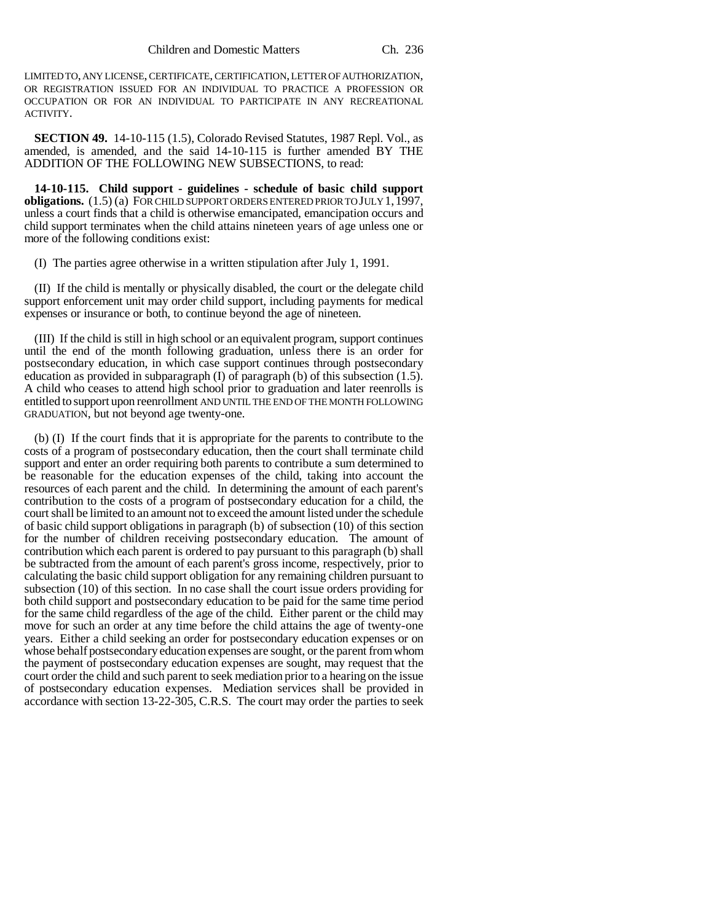LIMITED TO, ANY LICENSE, CERTIFICATE, CERTIFICATION, LETTER OF AUTHORIZATION, OR REGISTRATION ISSUED FOR AN INDIVIDUAL TO PRACTICE A PROFESSION OR OCCUPATION OR FOR AN INDIVIDUAL TO PARTICIPATE IN ANY RECREATIONAL ACTIVITY.

**SECTION 49.** 14-10-115 (1.5), Colorado Revised Statutes, 1987 Repl. Vol., as amended, is amended, and the said 14-10-115 is further amended BY THE ADDITION OF THE FOLLOWING NEW SUBSECTIONS, to read:

**14-10-115. Child support - guidelines - schedule of basic child support obligations.** (1.5) (a) FOR CHILD SUPPORT ORDERS ENTERED PRIOR TO JULY 1,1997, unless a court finds that a child is otherwise emancipated, emancipation occurs and child support terminates when the child attains nineteen years of age unless one or more of the following conditions exist:

(I) The parties agree otherwise in a written stipulation after July 1, 1991.

(II) If the child is mentally or physically disabled, the court or the delegate child support enforcement unit may order child support, including payments for medical expenses or insurance or both, to continue beyond the age of nineteen.

(III) If the child is still in high school or an equivalent program, support continues until the end of the month following graduation, unless there is an order for postsecondary education, in which case support continues through postsecondary education as provided in subparagraph (I) of paragraph (b) of this subsection (1.5). A child who ceases to attend high school prior to graduation and later reenrolls is entitled to support upon reenrollment AND UNTIL THE END OF THE MONTH FOLLOWING GRADUATION, but not beyond age twenty-one.

(b) (I) If the court finds that it is appropriate for the parents to contribute to the costs of a program of postsecondary education, then the court shall terminate child support and enter an order requiring both parents to contribute a sum determined to be reasonable for the education expenses of the child, taking into account the resources of each parent and the child. In determining the amount of each parent's contribution to the costs of a program of postsecondary education for a child, the court shall be limited to an amount not to exceed the amount listed under the schedule of basic child support obligations in paragraph (b) of subsection (10) of this section for the number of children receiving postsecondary education. The amount of contribution which each parent is ordered to pay pursuant to this paragraph (b) shall be subtracted from the amount of each parent's gross income, respectively, prior to calculating the basic child support obligation for any remaining children pursuant to subsection (10) of this section. In no case shall the court issue orders providing for both child support and postsecondary education to be paid for the same time period for the same child regardless of the age of the child. Either parent or the child may move for such an order at any time before the child attains the age of twenty-one years. Either a child seeking an order for postsecondary education expenses or on whose behalf postsecondary education expenses are sought, or the parent from whom the payment of postsecondary education expenses are sought, may request that the court order the child and such parent to seek mediation prior to a hearing on the issue of postsecondary education expenses. Mediation services shall be provided in accordance with section 13-22-305, C.R.S. The court may order the parties to seek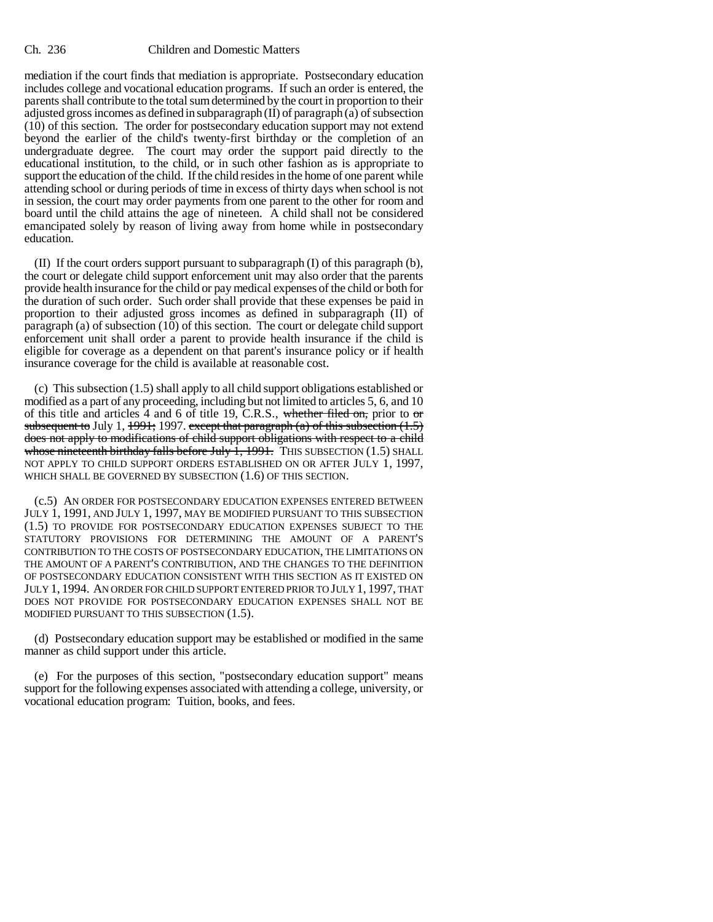mediation if the court finds that mediation is appropriate. Postsecondary education includes college and vocational education programs. If such an order is entered, the parents shall contribute to the total sum determined by the court in proportion to their adjusted gross incomes as defined in subparagraph  $(II)$  of paragraph  $(a)$  of subsection (10) of this section. The order for postsecondary education support may not extend beyond the earlier of the child's twenty-first birthday or the completion of an undergraduate degree. The court may order the support paid directly to the educational institution, to the child, or in such other fashion as is appropriate to support the education of the child. If the child resides in the home of one parent while attending school or during periods of time in excess of thirty days when school is not in session, the court may order payments from one parent to the other for room and board until the child attains the age of nineteen. A child shall not be considered emancipated solely by reason of living away from home while in postsecondary education.

(II) If the court orders support pursuant to subparagraph (I) of this paragraph (b), the court or delegate child support enforcement unit may also order that the parents provide health insurance for the child or pay medical expenses of the child or both for the duration of such order. Such order shall provide that these expenses be paid in proportion to their adjusted gross incomes as defined in subparagraph (II) of paragraph (a) of subsection (10) of this section. The court or delegate child support enforcement unit shall order a parent to provide health insurance if the child is eligible for coverage as a dependent on that parent's insurance policy or if health insurance coverage for the child is available at reasonable cost.

(c) This subsection (1.5) shall apply to all child support obligations established or modified as a part of any proceeding, including but not limited to articles 5, 6, and 10 of this title and articles  $\overline{4}$  and  $\overline{6}$  of title 19, C.R.S., whether filed on, prior to or subsequent to July 1, 1991; 1997. except that paragraph (a) of this subsection  $(1.5)$ does not apply to modifications of child support obligations with respect to a child whose nineteenth birthday falls before July  $\hat{1}$ , 1991. THIS SUBSECTION (1.5) SHALL NOT APPLY TO CHILD SUPPORT ORDERS ESTABLISHED ON OR AFTER JULY 1, 1997, WHICH SHALL BE GOVERNED BY SUBSECTION (1.6) OF THIS SECTION.

(c.5) AN ORDER FOR POSTSECONDARY EDUCATION EXPENSES ENTERED BETWEEN JULY 1, 1991, AND JULY 1, 1997, MAY BE MODIFIED PURSUANT TO THIS SUBSECTION (1.5) TO PROVIDE FOR POSTSECONDARY EDUCATION EXPENSES SUBJECT TO THE STATUTORY PROVISIONS FOR DETERMINING THE AMOUNT OF A PARENT'S CONTRIBUTION TO THE COSTS OF POSTSECONDARY EDUCATION, THE LIMITATIONS ON THE AMOUNT OF A PARENT'S CONTRIBUTION, AND THE CHANGES TO THE DEFINITION OF POSTSECONDARY EDUCATION CONSISTENT WITH THIS SECTION AS IT EXISTED ON JULY 1, 1994. AN ORDER FOR CHILD SUPPORT ENTERED PRIOR TO JULY 1, 1997, THAT DOES NOT PROVIDE FOR POSTSECONDARY EDUCATION EXPENSES SHALL NOT BE MODIFIED PURSUANT TO THIS SUBSECTION (1.5).

(d) Postsecondary education support may be established or modified in the same manner as child support under this article.

(e) For the purposes of this section, "postsecondary education support" means support for the following expenses associated with attending a college, university, or vocational education program: Tuition, books, and fees.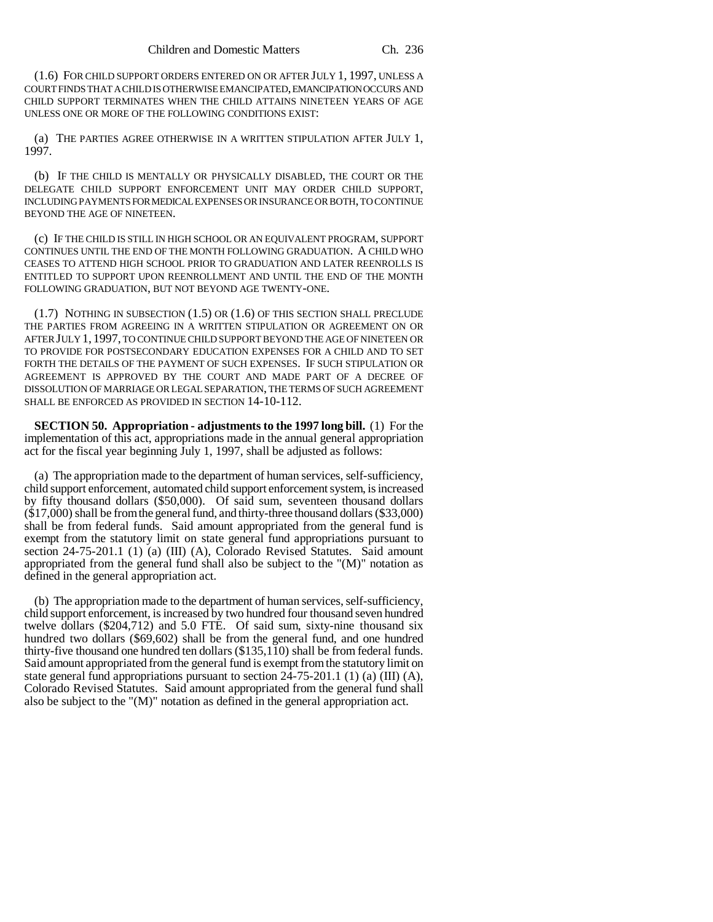(1.6) FOR CHILD SUPPORT ORDERS ENTERED ON OR AFTER JULY 1, 1997, UNLESS A COURT FINDS THAT A CHILD IS OTHERWISE EMANCIPATED, EMANCIPATION OCCURS AND CHILD SUPPORT TERMINATES WHEN THE CHILD ATTAINS NINETEEN YEARS OF AGE UNLESS ONE OR MORE OF THE FOLLOWING CONDITIONS EXIST:

(a) THE PARTIES AGREE OTHERWISE IN A WRITTEN STIPULATION AFTER JULY 1, 1997.

(b) IF THE CHILD IS MENTALLY OR PHYSICALLY DISABLED, THE COURT OR THE DELEGATE CHILD SUPPORT ENFORCEMENT UNIT MAY ORDER CHILD SUPPORT, INCLUDING PAYMENTS FOR MEDICAL EXPENSES OR INSURANCE OR BOTH, TO CONTINUE BEYOND THE AGE OF NINETEEN.

(c) IF THE CHILD IS STILL IN HIGH SCHOOL OR AN EQUIVALENT PROGRAM, SUPPORT CONTINUES UNTIL THE END OF THE MONTH FOLLOWING GRADUATION. A CHILD WHO CEASES TO ATTEND HIGH SCHOOL PRIOR TO GRADUATION AND LATER REENROLLS IS ENTITLED TO SUPPORT UPON REENROLLMENT AND UNTIL THE END OF THE MONTH FOLLOWING GRADUATION, BUT NOT BEYOND AGE TWENTY-ONE.

(1.7) NOTHING IN SUBSECTION (1.5) OR (1.6) OF THIS SECTION SHALL PRECLUDE THE PARTIES FROM AGREEING IN A WRITTEN STIPULATION OR AGREEMENT ON OR AFTER JULY 1, 1997, TO CONTINUE CHILD SUPPORT BEYOND THE AGE OF NINETEEN OR TO PROVIDE FOR POSTSECONDARY EDUCATION EXPENSES FOR A CHILD AND TO SET FORTH THE DETAILS OF THE PAYMENT OF SUCH EXPENSES. IF SUCH STIPULATION OR AGREEMENT IS APPROVED BY THE COURT AND MADE PART OF A DECREE OF DISSOLUTION OF MARRIAGE OR LEGAL SEPARATION, THE TERMS OF SUCH AGREEMENT SHALL BE ENFORCED AS PROVIDED IN SECTION 14-10-112.

**SECTION 50. Appropriation - adjustments to the 1997 long bill.** (1) For the implementation of this act, appropriations made in the annual general appropriation act for the fiscal year beginning July 1, 1997, shall be adjusted as follows:

(a) The appropriation made to the department of human services, self-sufficiency, child support enforcement, automated child support enforcement system, is increased by fifty thousand dollars (\$50,000). Of said sum, seventeen thousand dollars (\$17,000) shall be from the general fund, and thirty-three thousand dollars (\$33,000) shall be from federal funds. Said amount appropriated from the general fund is exempt from the statutory limit on state general fund appropriations pursuant to section 24-75-201.1 (1) (a) (III) (A), Colorado Revised Statutes. Said amount appropriated from the general fund shall also be subject to the "(M)" notation as defined in the general appropriation act.

(b) The appropriation made to the department of human services, self-sufficiency, child support enforcement, is increased by two hundred four thousand seven hundred twelve dollars (\$204,712) and 5.0 FTE. Of said sum, sixty-nine thousand six hundred two dollars (\$69,602) shall be from the general fund, and one hundred thirty-five thousand one hundred ten dollars  $(\$135,110)$  shall be from federal funds. Said amount appropriated from the general fund is exempt from the statutory limit on state general fund appropriations pursuant to section  $24-75-201.1$  (1) (a) (III) (A), Colorado Revised Statutes. Said amount appropriated from the general fund shall also be subject to the "(M)" notation as defined in the general appropriation act.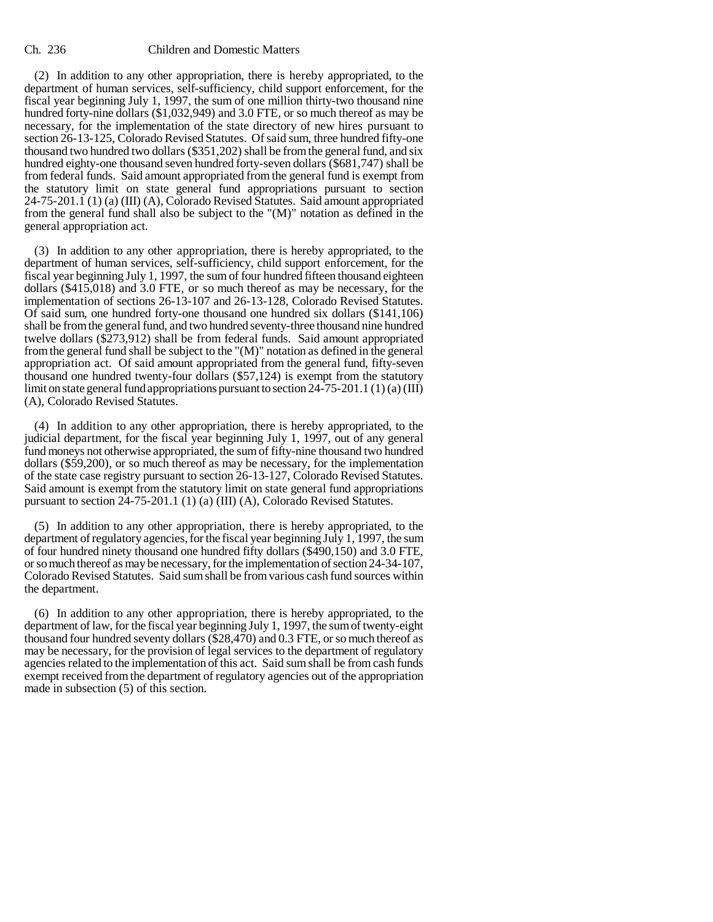(2) In addition to any other appropriation, there is hereby appropriated, to the department of human services, self-sufficiency, child support enforcement, for the fiscal year beginning July 1, 1997, the sum of one million thirty-two thousand nine hundred forty-nine dollars (\$1,032,949) and 3.0 FTE, or so much thereof as may be necessary, for the implementation of the state directory of new hires pursuant to section 26-13-125, Colorado Revised Statutes. Of said sum, three hundred fifty-one thousand two hundred two dollars (\$351,202) shall be from the general fund, and six hundred eighty-one thousand seven hundred forty-seven dollars (\$681,747) shall be from federal funds. Said amount appropriated from the general fund is exempt from the statutory limit on state general fund appropriations pursuant to section 24-75-201.1 (1) (a) (III) (A), Colorado Revised Statutes. Said amount appropriated from the general fund shall also be subject to the "(M)" notation as defined in the general appropriation act.

(3) In addition to any other appropriation, there is hereby appropriated, to the department of human services, self-sufficiency, child support enforcement, for the fiscal year beginning July 1, 1997, the sum of four hundred fifteen thousand eighteen dollars (\$415,018) and 3.0 FTE, or so much thereof as may be necessary, for the implementation of sections 26-13-107 and 26-13-128, Colorado Revised Statutes. Of said sum, one hundred forty-one thousand one hundred six dollars (\$141,106) shall be from the general fund, and two hundred seventy-three thousand nine hundred twelve dollars (\$273,912) shall be from federal funds. Said amount appropriated from the general fund shall be subject to the "(M)" notation as defined in the general appropriation act. Of said amount appropriated from the general fund, fifty-seven thousand one hundred twenty-four dollars (\$57,124) is exempt from the statutory limit on state general fund appropriations pursuant to section  $24-75-201.1$  (1) (a) (III) (A), Colorado Revised Statutes.

(4) In addition to any other appropriation, there is hereby appropriated, to the judicial department, for the fiscal year beginning July 1, 1997, out of any general fund moneys not otherwise appropriated, the sum of fifty-nine thousand two hundred dollars (\$59,200), or so much thereof as may be necessary, for the implementation of the state case registry pursuant to section 26-13-127, Colorado Revised Statutes. Said amount is exempt from the statutory limit on state general fund appropriations pursuant to section 24-75-201.1 (1) (a) (III) (A), Colorado Revised Statutes.

(5) In addition to any other appropriation, there is hereby appropriated, to the department of regulatory agencies, for the fiscal year beginning July 1, 1997, the sum of four hundred ninety thousand one hundred fifty dollars (\$490,150) and 3.0 FTE, or so much thereof as may be necessary, for the implementation of section 24-34-107, Colorado Revised Statutes. Said sum shall be from various cash fund sources within the department.

(6) In addition to any other appropriation, there is hereby appropriated, to the department of law, for the fiscal year beginning July 1, 1997, the sum of twenty-eight thousand four hundred seventy dollars (\$28,470) and 0.3 FTE, or so much thereof as may be necessary, for the provision of legal services to the department of regulatory agencies related to the implementation of this act. Said sum shall be from cash funds exempt received from the department of regulatory agencies out of the appropriation made in subsection (5) of this section.